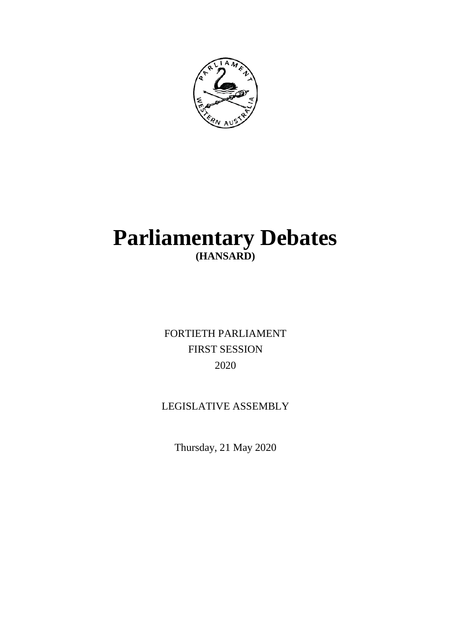

# **Parliamentary Debates (HANSARD)**

FORTIETH PARLIAMENT FIRST SESSION 2020

## LEGISLATIVE ASSEMBLY

Thursday, 21 May 2020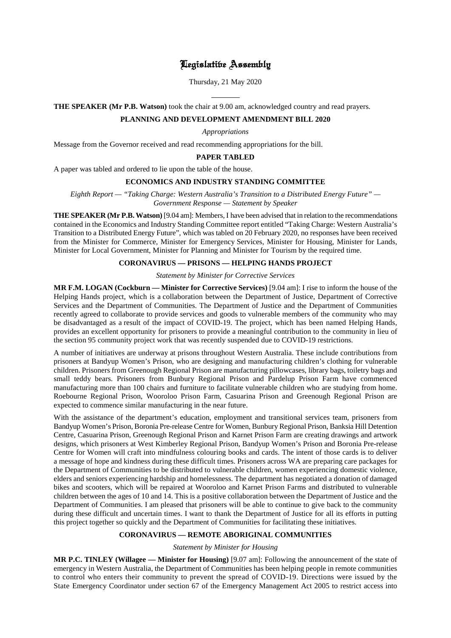## Legislative Assembly

Thursday, 21 May 2020

## $\overline{a}$ **THE SPEAKER (Mr P.B. Watson)** took the chair at 9.00 am, acknowledged country and read prayers.

## **PLANNING AND DEVELOPMENT AMENDMENT BILL 2020**

*Appropriations*

Message from the Governor received and read recommending appropriations for the bill.

## **PAPER TABLED**

A paper was tabled and ordered to lie upon the table of the house.

#### **ECONOMICS AND INDUSTRY STANDING COMMITTEE**

*Eighth Report — "Taking Charge: Western Australia's Transition to a Distributed Energy Future" — Government Response — Statement by Speaker*

**THE SPEAKER (Mr P.B. Watson)** [9.04 am]: Members, I have been advised that in relation to the recommendations contained in the Economics and Industry Standing Committee report entitled "Taking Charge: Western Australia's Transition to a Distributed Energy Future", which was tabled on 20 February 2020, no responses have been received from the Minister for Commerce, Minister for Emergency Services, Minister for Housing, Minister for Lands, Minister for Local Government, Minister for Planning and Minister for Tourism by the required time.

## **CORONAVIRUS — PRISONS — HELPING HANDS PROJECT**

*Statement by Minister for Corrective Services*

**MR F.M. LOGAN (Cockburn — Minister for Corrective Services)** [9.04 am]: I rise to inform the house of the Helping Hands project, which is a collaboration between the Department of Justice, Department of Corrective Services and the Department of Communities. The Department of Justice and the Department of Communities recently agreed to collaborate to provide services and goods to vulnerable members of the community who may be disadvantaged as a result of the impact of COVID-19. The project, which has been named Helping Hands, provides an excellent opportunity for prisoners to provide a meaningful contribution to the community in lieu of the section 95 community project work that was recently suspended due to COVID-19 restrictions.

A number of initiatives are underway at prisons throughout Western Australia. These include contributions from prisoners at Bandyup Women's Prison, who are designing and manufacturing children's clothing for vulnerable children. Prisoners from Greenough Regional Prison are manufacturing pillowcases, library bags, toiletry bags and small teddy bears. Prisoners from Bunbury Regional Prison and Pardelup Prison Farm have commenced manufacturing more than 100 chairs and furniture to facilitate vulnerable children who are studying from home. Roebourne Regional Prison, Wooroloo Prison Farm, Casuarina Prison and Greenough Regional Prison are expected to commence similar manufacturing in the near future.

With the assistance of the department's education, employment and transitional services team, prisoners from Bandyup Women's Prison, Boronia Pre-release Centre for Women, Bunbury Regional Prison, Banksia Hill Detention Centre, Casuarina Prison, Greenough Regional Prison and Karnet Prison Farm are creating drawings and artwork designs, which prisoners at West Kimberley Regional Prison, Bandyup Women's Prison and Boronia Pre-release Centre for Women will craft into mindfulness colouring books and cards. The intent of those cards is to deliver a message of hope and kindness during these difficult times. Prisoners across WA are preparing care packages for the Department of Communities to be distributed to vulnerable children, women experiencing domestic violence, elders and seniors experiencing hardship and homelessness. The department has negotiated a donation of damaged bikes and scooters, which will be repaired at Wooroloo and Karnet Prison Farms and distributed to vulnerable children between the ages of 10 and 14. This is a positive collaboration between the Department of Justice and the Department of Communities. I am pleased that prisoners will be able to continue to give back to the community during these difficult and uncertain times. I want to thank the Department of Justice for all its efforts in putting this project together so quickly and the Department of Communities for facilitating these initiatives.

## **CORONAVIRUS — REMOTE ABORIGINAL COMMUNITIES**

*Statement by Minister for Housing*

**MR P.C. TINLEY (Willagee — Minister for Housing)** [9.07 am]: Following the announcement of the state of emergency in Western Australia, the Department of Communities has been helping people in remote communities to control who enters their community to prevent the spread of COVID-19. Directions were issued by the State Emergency Coordinator under section 67 of the Emergency Management Act 2005 to restrict access into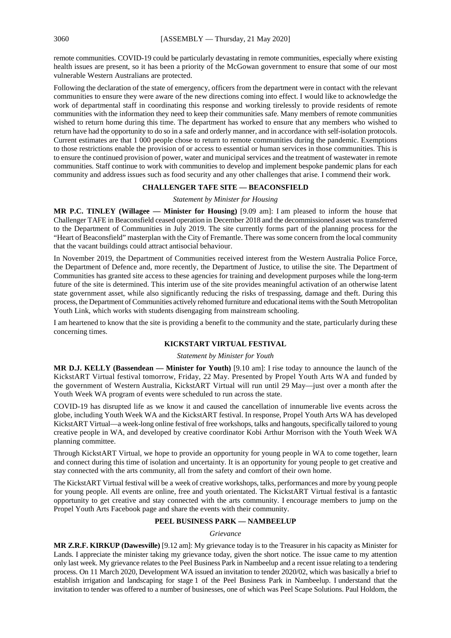remote communities. COVID-19 could be particularly devastating in remote communities, especially where existing health issues are present, so it has been a priority of the McGowan government to ensure that some of our most vulnerable Western Australians are protected.

Following the declaration of the state of emergency, officers from the department were in contact with the relevant communities to ensure they were aware of the new directions coming into effect. I would like to acknowledge the work of departmental staff in coordinating this response and working tirelessly to provide residents of remote communities with the information they need to keep their communities safe. Many members of remote communities wished to return home during this time. The department has worked to ensure that any members who wished to return have had the opportunity to do so in a safe and orderly manner, and in accordance with self-isolation protocols. Current estimates are that 1 000 people chose to return to remote communities during the pandemic. Exemptions to those restrictions enable the provision of or access to essential or human services in those communities. This is to ensure the continued provision of power, water and municipal services and the treatment of wastewater in remote communities. Staff continue to work with communities to develop and implement bespoke pandemic plans for each community and address issues such as food security and any other challenges that arise. I commend their work.

#### **CHALLENGER TAFE SITE — BEACONSFIELD**

#### *Statement by Minister for Housing*

**MR P.C. TINLEY (Willagee — Minister for Housing)** [9.09 am]: I am pleased to inform the house that Challenger TAFE in Beaconsfield ceased operation in December 2018 and the decommissioned asset was transferred to the Department of Communities in July 2019. The site currently forms part of the planning process for the "Heart of Beaconsfield" masterplan with the City of Fremantle. There was some concern from the local community that the vacant buildings could attract antisocial behaviour.

In November 2019, the Department of Communities received interest from the Western Australia Police Force, the Department of Defence and, more recently, the Department of Justice, to utilise the site. The Department of Communities has granted site access to these agencies for training and development purposes while the long-term future of the site is determined. This interim use of the site provides meaningful activation of an otherwise latent state government asset, while also significantly reducing the risks of trespassing, damage and theft. During this process, the Department of Communities actively rehomed furniture and educational items with the South Metropolitan Youth Link, which works with students disengaging from mainstream schooling.

I am heartened to know that the site is providing a benefit to the community and the state, particularly during these concerning times.

## **KICKSTART VIRTUAL FESTIVAL**

#### *Statement by Minister for Youth*

**MR D.J. KELLY (Bassendean — Minister for Youth)** [9.10 am]: I rise today to announce the launch of the KickstART Virtual festival tomorrow, Friday, 22 May. Presented by Propel Youth Arts WA and funded by the government of Western Australia, KickstART Virtual will run until 29 May—just over a month after the Youth Week WA program of events were scheduled to run across the state.

COVID-19 has disrupted life as we know it and caused the cancellation of innumerable live events across the globe, including Youth Week WA and the KickstART festival. In response, Propel Youth Arts WA has developed KickstART Virtual—a week-long online festival of free workshops, talks and hangouts, specifically tailored to young creative people in WA, and developed by creative coordinator Kobi Arthur Morrison with the Youth Week WA planning committee.

Through KickstART Virtual, we hope to provide an opportunity for young people in WA to come together, learn and connect during this time of isolation and uncertainty. It is an opportunity for young people to get creative and stay connected with the arts community, all from the safety and comfort of their own home.

The KickstART Virtual festival will be a week of creative workshops, talks, performances and more by young people for young people. All events are online, free and youth orientated. The KickstART Virtual festival is a fantastic opportunity to get creative and stay connected with the arts community. I encourage members to jump on the Propel Youth Arts Facebook page and share the events with their community.

## **PEEL BUSINESS PARK — NAMBEELUP**

#### *Grievance*

**MR Z.R.F. KIRKUP (Dawesville)** [9.12 am]: My grievance today is to the Treasurer in his capacity as Minister for Lands. I appreciate the minister taking my grievance today, given the short notice. The issue came to my attention only last week. My grievance relates to the Peel Business Park in Nambeelup and a recent issue relating to a tendering process. On 11 March 2020, Development WA issued an invitation to tender 2020/02, which was basically a brief to establish irrigation and landscaping for stage 1 of the Peel Business Park in Nambeelup. I understand that the invitation to tender was offered to a number of businesses, one of which was Peel Scape Solutions. Paul Holdom, the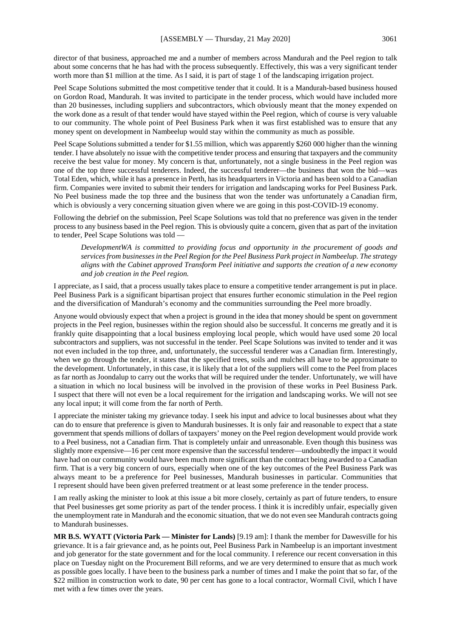director of that business, approached me and a number of members across Mandurah and the Peel region to talk about some concerns that he has had with the process subsequently. Effectively, this was a very significant tender worth more than \$1 million at the time. As I said, it is part of stage 1 of the landscaping irrigation project.

Peel Scape Solutions submitted the most competitive tender that it could. It is a Mandurah-based business housed on Gordon Road, Mandurah. It was invited to participate in the tender process, which would have included more than 20 businesses, including suppliers and subcontractors, which obviously meant that the money expended on the work done as a result of that tender would have stayed within the Peel region, which of course is very valuable to our community. The whole point of Peel Business Park when it was first established was to ensure that any money spent on development in Nambeelup would stay within the community as much as possible.

Peel Scape Solutions submitted a tender for \$1.55 million, which was apparently \$260 000 higher than the winning tender. I have absolutely no issue with the competitive tender process and ensuring that taxpayers and the community receive the best value for money. My concern is that, unfortunately, not a single business in the Peel region was one of the top three successful tenderers. Indeed, the successful tenderer—the business that won the bid—was Total Eden, which, while it has a presence in Perth, has its headquarters in Victoria and has been sold to a Canadian firm. Companies were invited to submit their tenders for irrigation and landscaping works for Peel Business Park. No Peel business made the top three and the business that won the tender was unfortunately a Canadian firm, which is obviously a very concerning situation given where we are going in this post-COVID-19 economy.

Following the debrief on the submission, Peel Scape Solutions was told that no preference was given in the tender process to any business based in the Peel region. This is obviously quite a concern, given that as part of the invitation to tender, Peel Scape Solutions was told —

*DevelopmentWA is committed to providing focus and opportunity in the procurement of goods and services from businesses in the Peel Region for the Peel Business Park project in Nambeelup. The strategy aligns with the Cabinet approved Transform Peel initiative and supports the creation of a new economy and job creation in the Peel region.*

I appreciate, as I said, that a process usually takes place to ensure a competitive tender arrangement is put in place. Peel Business Park is a significant bipartisan project that ensures further economic stimulation in the Peel region and the diversification of Mandurah's economy and the communities surrounding the Peel more broadly.

Anyone would obviously expect that when a project is ground in the idea that money should be spent on government projects in the Peel region, businesses within the region should also be successful. It concerns me greatly and it is frankly quite disappointing that a local business employing local people, which would have used some 20 local subcontractors and suppliers, was not successful in the tender. Peel Scape Solutions was invited to tender and it was not even included in the top three, and, unfortunately, the successful tenderer was a Canadian firm. Interestingly, when we go through the tender, it states that the specified trees, soils and mulches all have to be approximate to the development. Unfortunately, in this case, it is likely that a lot of the suppliers will come to the Peel from places as far north as Joondalup to carry out the works that will be required under the tender. Unfortunately, we will have a situation in which no local business will be involved in the provision of these works in Peel Business Park. I suspect that there will not even be a local requirement for the irrigation and landscaping works. We will not see any local input; it will come from the far north of Perth.

I appreciate the minister taking my grievance today. I seek his input and advice to local businesses about what they can do to ensure that preference is given to Mandurah businesses. It is only fair and reasonable to expect that a state government that spends millions of dollars of taxpayers' money on the Peel region development would provide work to a Peel business, not a Canadian firm. That is completely unfair and unreasonable. Even though this business was slightly more expensive—16 per cent more expensive than the successful tenderer—undoubtedly the impact it would have had on our community would have been much more significant than the contract being awarded to a Canadian firm. That is a very big concern of ours, especially when one of the key outcomes of the Peel Business Park was always meant to be a preference for Peel businesses, Mandurah businesses in particular. Communities that I represent should have been given preferred treatment or at least some preference in the tender process.

I am really asking the minister to look at this issue a bit more closely, certainly as part of future tenders, to ensure that Peel businesses get some priority as part of the tender process. I think it is incredibly unfair, especially given the unemployment rate in Mandurah and the economic situation, that we do not even see Mandurah contracts going to Mandurah businesses.

**MR B.S. WYATT (Victoria Park — Minister for Lands)** [9.19 am]: I thank the member for Dawesville for his grievance. It is a fair grievance and, as he points out, Peel Business Park in Nambeelup is an important investment and job generator for the state government and for the local community. I reference our recent conversation in this place on Tuesday night on the Procurement Bill reforms, and we are very determined to ensure that as much work as possible goes locally. I have been to the business park a number of times and I make the point that so far, of the \$22 million in construction work to date, 90 per cent has gone to a local contractor, Wormall Civil, which I have met with a few times over the years.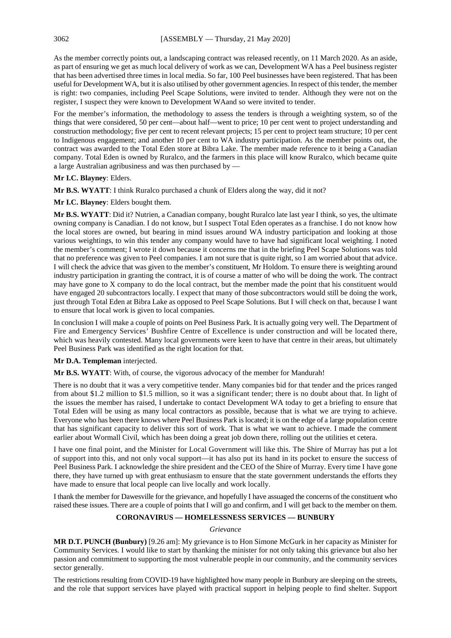As the member correctly points out, a landscaping contract was released recently, on 11 March 2020. As an aside, as part of ensuring we get as much local delivery of work as we can, Development WA has a Peel business register that has been advertised three times in local media. So far, 100 Peel businesses have been registered. That has been useful for Development WA, but it is also utilised by other government agencies. In respect of this tender, the member is right: two companies, including Peel Scape Solutions, were invited to tender. Although they were not on the register, I suspect they were known to Development WAand so were invited to tender.

For the member's information, the methodology to assess the tenders is through a weighting system, so of the things that were considered, 50 per cent—about half—went to price; 10 per cent went to project understanding and construction methodology; five per cent to recent relevant projects; 15 per cent to project team structure; 10 per cent to Indigenous engagement; and another 10 per cent to WA industry participation. As the member points out, the contract was awarded to the Total Eden store at Bibra Lake. The member made reference to it being a Canadian company. Total Eden is owned by Ruralco, and the farmers in this place will know Ruralco, which became quite a large Australian agribusiness and was then purchased by —

## **Mr I.C. Blayney**: Elders.

**Mr B.S. WYATT**: I think Ruralco purchased a chunk of Elders along the way, did it not?

**Mr I.C. Blayney**: Elders bought them.

**Mr B.S. WYATT**: Did it? Nutrien, a Canadian company, bought Ruralco late last year I think, so yes, the ultimate owning company is Canadian. I do not know, but I suspect Total Eden operates as a franchise. I do not know how the local stores are owned, but bearing in mind issues around WA industry participation and looking at those various weightings, to win this tender any company would have to have had significant local weighting. I noted the member's comment; I wrote it down because it concerns me that in the briefing Peel Scape Solutions was told that no preference was given to Peel companies. I am not sure that is quite right, so I am worried about that advice. I will check the advice that was given to the member's constituent, Mr Holdom. To ensure there is weighting around industry participation in granting the contract, it is of course a matter of who will be doing the work. The contract may have gone to X company to do the local contract, but the member made the point that his constituent would have engaged 20 subcontractors locally. I expect that many of those subcontractors would still be doing the work, just through Total Eden at Bibra Lake as opposed to Peel Scape Solutions. But I will check on that, because I want to ensure that local work is given to local companies.

In conclusion I will make a couple of points on Peel Business Park. It is actually going very well. The Department of Fire and Emergency Services' Bushfire Centre of Excellence is under construction and will be located there, which was heavily contested. Many local governments were keen to have that centre in their areas, but ultimately Peel Business Park was identified as the right location for that.

#### **Mr D.A. Templeman** interjected.

**Mr B.S. WYATT**: With, of course, the vigorous advocacy of the member for Mandurah!

There is no doubt that it was a very competitive tender. Many companies bid for that tender and the prices ranged from about \$1.2 million to \$1.5 million, so it was a significant tender; there is no doubt about that. In light of the issues the member has raised, I undertake to contact Development WA today to get a briefing to ensure that Total Eden will be using as many local contractors as possible, because that is what we are trying to achieve. Everyone who has been there knows where Peel Business Park is located; it is on the edge of a large population centre that has significant capacity to deliver this sort of work. That is what we want to achieve. I made the comment earlier about Wormall Civil, which has been doing a great job down there, rolling out the utilities et cetera.

I have one final point, and the Minister for Local Government will like this. The Shire of Murray has put a lot of support into this, and not only vocal support—it has also put its hand in its pocket to ensure the success of Peel Business Park. I acknowledge the shire president and the CEO of the Shire of Murray. Every time I have gone there, they have turned up with great enthusiasm to ensure that the state government understands the efforts they have made to ensure that local people can live locally and work locally.

I thank the member for Dawesville for the grievance, and hopefully I have assuaged the concerns of the constituent who raised these issues. There are a couple of points that I will go and confirm, and I will get back to the member on them.

## **CORONAVIRUS — HOMELESSNESS SERVICES — BUNBURY**

*Grievance*

**MR D.T. PUNCH (Bunbury)** [9.26 am]: My grievance is to Hon Simone McGurk in her capacity as Minister for Community Services. I would like to start by thanking the minister for not only taking this grievance but also her passion and commitment to supporting the most vulnerable people in our community, and the community services sector generally.

The restrictions resulting from COVID-19 have highlighted how many people in Bunbury are sleeping on the streets, and the role that support services have played with practical support in helping people to find shelter. Support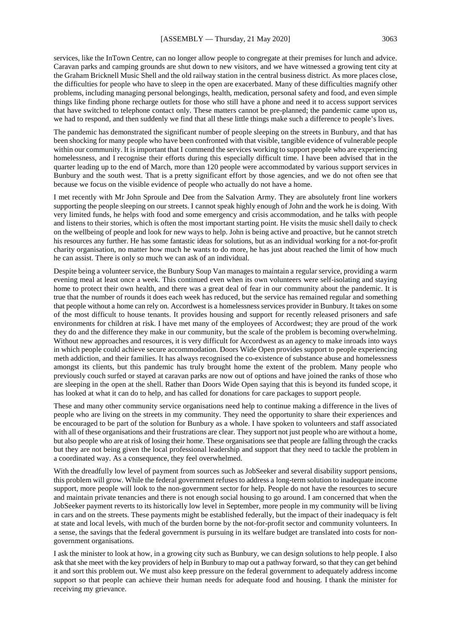services, like the InTown Centre, can no longer allow people to congregate at their premises for lunch and advice. Caravan parks and camping grounds are shut down to new visitors, and we have witnessed a growing tent city at the Graham Bricknell Music Shell and the old railway station in the central business district. As more places close, the difficulties for people who have to sleep in the open are exacerbated. Many of these difficulties magnify other problems, including managing personal belongings, health, medication, personal safety and food, and even simple things like finding phone recharge outlets for those who still have a phone and need it to access support services that have switched to telephone contact only. These matters cannot be pre-planned; the pandemic came upon us, we had to respond, and then suddenly we find that all these little things make such a difference to people's lives.

The pandemic has demonstrated the significant number of people sleeping on the streets in Bunbury, and that has been shocking for many people who have been confronted with that visible, tangible evidence of vulnerable people within our community. It is important that I commend the services working to support people who are experiencing homelessness, and I recognise their efforts during this especially difficult time. I have been advised that in the quarter leading up to the end of March, more than 120 people were accommodated by various support services in Bunbury and the south west. That is a pretty significant effort by those agencies, and we do not often see that because we focus on the visible evidence of people who actually do not have a home.

I met recently with Mr John Sproule and Dee from the Salvation Army. They are absolutely front line workers supporting the people sleeping on our streets. I cannot speak highly enough of John and the work he is doing. With very limited funds, he helps with food and some emergency and crisis accommodation, and he talks with people and listens to their stories, which is often the most important starting point. He visits the music shell daily to check on the wellbeing of people and look for new ways to help. John is being active and proactive, but he cannot stretch his resources any further. He has some fantastic ideas for solutions, but as an individual working for a not-for-profit charity organisation, no matter how much he wants to do more, he has just about reached the limit of how much he can assist. There is only so much we can ask of an individual.

Despite being a volunteer service, the Bunbury Soup Van manages to maintain a regular service, providing a warm evening meal at least once a week. This continued even when its own volunteers were self-isolating and staying home to protect their own health, and there was a great deal of fear in our community about the pandemic. It is true that the number of rounds it does each week has reduced, but the service has remained regular and something that people without a home can rely on. Accordwest is a homelessness services provider in Bunbury. It takes on some of the most difficult to house tenants. It provides housing and support for recently released prisoners and safe environments for children at risk. I have met many of the employees of Accordwest; they are proud of the work they do and the difference they make in our community, but the scale of the problem is becoming overwhelming. Without new approaches and resources, it is very difficult for Accordwest as an agency to make inroads into ways in which people could achieve secure accommodation. Doors Wide Open provides support to people experiencing meth addiction, and their families. It has always recognised the co-existence of substance abuse and homelessness amongst its clients, but this pandemic has truly brought home the extent of the problem. Many people who previously couch surfed or stayed at caravan parks are now out of options and have joined the ranks of those who are sleeping in the open at the shell. Rather than Doors Wide Open saying that this is beyond its funded scope, it has looked at what it can do to help, and has called for donations for care packages to support people.

These and many other community service organisations need help to continue making a difference in the lives of people who are living on the streets in my community. They need the opportunity to share their experiences and be encouraged to be part of the solution for Bunbury as a whole. I have spoken to volunteers and staff associated with all of these organisations and their frustrations are clear. They support not just people who are without a home, but also people who are at risk of losing their home. These organisations see that people are falling through the cracks but they are not being given the local professional leadership and support that they need to tackle the problem in a coordinated way. As a consequence, they feel overwhelmed.

With the dreadfully low level of payment from sources such as JobSeeker and several disability support pensions, this problem will grow. While the federal government refuses to address a long-term solution to inadequate income support, more people will look to the non-government sector for help. People do not have the resources to secure and maintain private tenancies and there is not enough social housing to go around. I am concerned that when the JobSeeker payment reverts to its historically low level in September, more people in my community will be living in cars and on the streets. These payments might be established federally, but the impact of their inadequacy is felt at state and local levels, with much of the burden borne by the not-for-profit sector and community volunteers. In a sense, the savings that the federal government is pursuing in its welfare budget are translated into costs for nongovernment organisations.

I ask the minister to look at how, in a growing city such as Bunbury, we can design solutions to help people. I also ask that she meet with the key providers of help in Bunbury to map out a pathway forward, so that they can get behind it and sort this problem out. We must also keep pressure on the federal government to adequately address income support so that people can achieve their human needs for adequate food and housing. I thank the minister for receiving my grievance.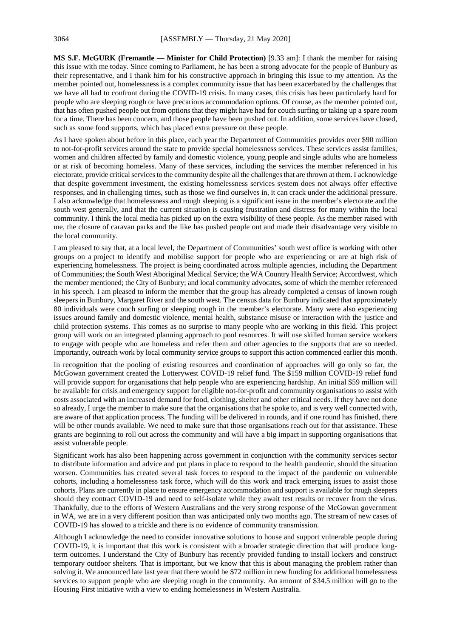**MS S.F. McGURK (Fremantle — Minister for Child Protection)** [9.33 am]: I thank the member for raising this issue with me today. Since coming to Parliament, he has been a strong advocate for the people of Bunbury as their representative, and I thank him for his constructive approach in bringing this issue to my attention. As the member pointed out, homelessness is a complex community issue that has been exacerbated by the challenges that we have all had to confront during the COVID-19 crisis. In many cases, this crisis has been particularly hard for people who are sleeping rough or have precarious accommodation options. Of course, as the member pointed out, that has often pushed people out from options that they might have had for couch surfing or taking up a spare room for a time. There has been concern, and those people have been pushed out. In addition, some services have closed, such as some food supports, which has placed extra pressure on these people.

As I have spoken about before in this place, each year the Department of Communities provides over \$90 million to not-for-profit services around the state to provide special homelessness services. These services assist families, women and children affected by family and domestic violence, young people and single adults who are homeless or at risk of becoming homeless. Many of these services, including the services the member referenced in his electorate, provide critical services to the community despite all the challenges that are thrown at them. I acknowledge that despite government investment, the existing homelessness services system does not always offer effective responses, and in challenging times, such as those we find ourselves in, it can crack under the additional pressure. I also acknowledge that homelessness and rough sleeping is a significant issue in the member's electorate and the south west generally, and that the current situation is causing frustration and distress for many within the local community. I think the local media has picked up on the extra visibility of these people. As the member raised with me, the closure of caravan parks and the like has pushed people out and made their disadvantage very visible to the local community.

I am pleased to say that, at a local level, the Department of Communities' south west office is working with other groups on a project to identify and mobilise support for people who are experiencing or are at high risk of experiencing homelessness. The project is being coordinated across multiple agencies, including the Department of Communities; the South West Aboriginal Medical Service; the WA Country Health Service; Accordwest, which the member mentioned; the City of Bunbury; and local community advocates, some of which the member referenced in his speech. I am pleased to inform the member that the group has already completed a census of known rough sleepers in Bunbury, Margaret River and the south west. The census data for Bunbury indicated that approximately 80 individuals were couch surfing or sleeping rough in the member's electorate. Many were also experiencing issues around family and domestic violence, mental health, substance misuse or interaction with the justice and child protection systems. This comes as no surprise to many people who are working in this field. This project group will work on an integrated planning approach to pool resources. It will use skilled human service workers to engage with people who are homeless and refer them and other agencies to the supports that are so needed. Importantly, outreach work by local community service groups to support this action commenced earlier this month.

In recognition that the pooling of existing resources and coordination of approaches will go only so far, the McGowan government created the Lotterywest COVID-19 relief fund. The \$159 million COVID-19 relief fund will provide support for organisations that help people who are experiencing hardship. An initial \$59 million will be available for crisis and emergency support for eligible not-for-profit and community organisations to assist with costs associated with an increased demand for food, clothing, shelter and other critical needs. If they have not done so already, I urge the member to make sure that the organisations that he spoke to, and is very well connected with, are aware of that application process. The funding will be delivered in rounds, and if one round has finished, there will be other rounds available. We need to make sure that those organisations reach out for that assistance. These grants are beginning to roll out across the community and will have a big impact in supporting organisations that assist vulnerable people.

Significant work has also been happening across government in conjunction with the community services sector to distribute information and advice and put plans in place to respond to the health pandemic, should the situation worsen. Communities has created several task forces to respond to the impact of the pandemic on vulnerable cohorts, including a homelessness task force, which will do this work and track emerging issues to assist those cohorts. Plans are currently in place to ensure emergency accommodation and support is available for rough sleepers should they contract COVID-19 and need to self-isolate while they await test results or recover from the virus. Thankfully, due to the efforts of Western Australians and the very strong response of the McGowan government in WA, we are in a very different position than was anticipated only two months ago. The stream of new cases of COVID-19 has slowed to a trickle and there is no evidence of community transmission.

Although I acknowledge the need to consider innovative solutions to house and support vulnerable people during COVID-19, it is important that this work is consistent with a broader strategic direction that will produce longterm outcomes. I understand the City of Bunbury has recently provided funding to install lockers and construct temporary outdoor shelters. That is important, but we know that this is about managing the problem rather than solving it. We announced late last year that there would be \$72 million in new funding for additional homelessness services to support people who are sleeping rough in the community. An amount of \$34.5 million will go to the Housing First initiative with a view to ending homelessness in Western Australia.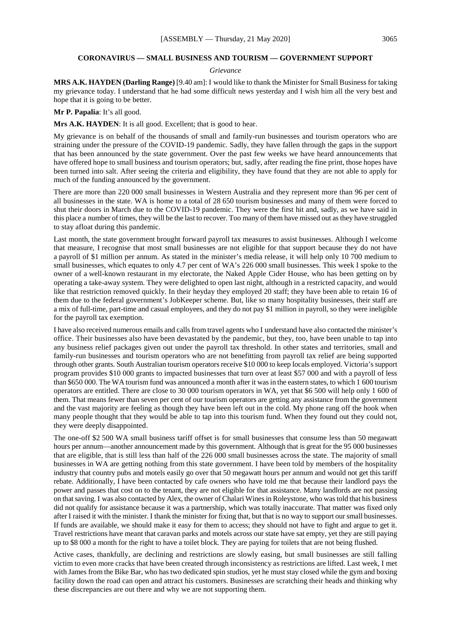#### **CORONAVIRUS — SMALL BUSINESS AND TOURISM — GOVERNMENT SUPPORT**

#### *Grievance*

**MRS A.K. HAYDEN (Darling Range)** [9.40 am]: I would like to thank the Minister for Small Business for taking my grievance today. I understand that he had some difficult news yesterday and I wish him all the very best and hope that it is going to be better.

**Mr P. Papalia**: It's all good.

**Mrs A.K. HAYDEN**: It is all good. Excellent; that is good to hear.

My grievance is on behalf of the thousands of small and family-run businesses and tourism operators who are straining under the pressure of the COVID-19 pandemic. Sadly, they have fallen through the gaps in the support that has been announced by the state government. Over the past few weeks we have heard announcements that have offered hope to small business and tourism operators; but, sadly, after reading the fine print, those hopes have been turned into salt. After seeing the criteria and eligibility, they have found that they are not able to apply for much of the funding announced by the government.

There are more than 220 000 small businesses in Western Australia and they represent more than 96 per cent of all businesses in the state. WA is home to a total of 28 650 tourism businesses and many of them were forced to shut their doors in March due to the COVID-19 pandemic. They were the first hit and, sadly, as we have said in this place a number of times, they will be the last to recover. Too many of them have missed out as they have struggled to stay afloat during this pandemic.

Last month, the state government brought forward payroll tax measures to assist businesses. Although I welcome that measure, I recognise that most small businesses are not eligible for that support because they do not have a payroll of \$1 million per annum. As stated in the minister's media release, it will help only 10 700 medium to small businesses, which equates to only 4.7 per cent of WA's 226 000 small businesses. This week I spoke to the owner of a well-known restaurant in my electorate, the Naked Apple Cider House, who has been getting on by operating a take-away system. They were delighted to open last night, although in a restricted capacity, and would like that restriction removed quickly. In their heyday they employed 20 staff; they have been able to retain 16 of them due to the federal government's JobKeeper scheme. But, like so many hospitality businesses, their staff are a mix of full-time, part-time and casual employees, and they do not pay \$1 million in payroll, so they were ineligible for the payroll tax exemption.

I have also received numerous emails and calls from travel agents who I understand have also contacted the minister's office. Their businesses also have been devastated by the pandemic, but they, too, have been unable to tap into any business relief packages given out under the payroll tax threshold. In other states and territories, small and family-run businesses and tourism operators who are not benefitting from payroll tax relief are being supported through other grants. South Australian tourism operators receive \$10 000 to keep locals employed. Victoria's support program provides \$10 000 grants to impacted businesses that turn over at least \$57 000 and with a payroll of less than \$650 000. The WA tourism fund was announced a month after it was in the eastern states, to which 1 600 tourism operators are entitled. There are close to 30 000 tourism operators in WA, yet that \$6 500 will help only 1 600 of them. That means fewer than seven per cent of our tourism operators are getting any assistance from the government and the vast majority are feeling as though they have been left out in the cold. My phone rang off the hook when many people thought that they would be able to tap into this tourism fund. When they found out they could not, they were deeply disappointed.

The one-off \$2 500 WA small business tariff offset is for small businesses that consume less than 50 megawatt hours per annum—another announcement made by this government. Although that is great for the 95 000 businesses that are eligible, that is still less than half of the 226 000 small businesses across the state. The majority of small businesses in WA are getting nothing from this state government. I have been told by members of the hospitality industry that country pubs and motels easily go over that 50 megawatt hours per annum and would not get this tariff rebate. Additionally, I have been contacted by cafe owners who have told me that because their landlord pays the power and passes that cost on to the tenant, they are not eligible for that assistance. Many landlords are not passing on that saving. I was also contacted by Alex, the owner of Chalari Wines in Roleystone, who was told that his business did not qualify for assistance because it was a partnership, which was totally inaccurate. That matter was fixed only after I raised it with the minister. I thank the minister for fixing that, but that is no way to support our small businesses. If funds are available, we should make it easy for them to access; they should not have to fight and argue to get it. Travel restrictions have meant that caravan parks and motels across our state have sat empty, yet they are still paying up to \$8 000 a month for the right to have a toilet block. They are paying for toilets that are not being flushed.

Active cases, thankfully, are declining and restrictions are slowly easing, but small businesses are still falling victim to even more cracks that have been created through inconsistency as restrictions are lifted. Last week, I met with James from the Bike Bar, who has two dedicated spin studios, yet he must stay closed while the gym and boxing facility down the road can open and attract his customers. Businesses are scratching their heads and thinking why these discrepancies are out there and why we are not supporting them.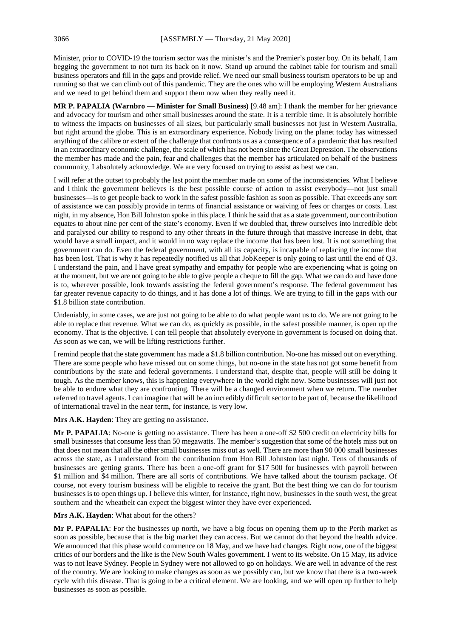Minister, prior to COVID-19 the tourism sector was the minister's and the Premier's poster boy. On its behalf, I am begging the government to not turn its back on it now. Stand up around the cabinet table for tourism and small business operators and fill in the gaps and provide relief. We need our small business tourism operators to be up and running so that we can climb out of this pandemic. They are the ones who will be employing Western Australians and we need to get behind them and support them now when they really need it.

**MR P. PAPALIA (Warnbro — Minister for Small Business)** [9.48 am]: I thank the member for her grievance and advocacy for tourism and other small businesses around the state. It is a terrible time. It is absolutely horrible to witness the impacts on businesses of all sizes, but particularly small businesses not just in Western Australia, but right around the globe. This is an extraordinary experience. Nobody living on the planet today has witnessed anything of the calibre or extent of the challenge that confronts us as a consequence of a pandemic that has resulted in an extraordinary economic challenge, the scale of which has not been since the Great Depression. The observations the member has made and the pain, fear and challenges that the member has articulated on behalf of the business community, I absolutely acknowledge. We are very focused on trying to assist as best we can.

I will refer at the outset to probably the last point the member made on some of the inconsistencies. What I believe and I think the government believes is the best possible course of action to assist everybody—not just small businesses—is to get people back to work in the safest possible fashion as soon as possible. That exceeds any sort of assistance we can possibly provide in terms of financial assistance or waiving of fees or charges or costs. Last night, in my absence, Hon Bill Johnston spoke in this place. I think he said that as a state government, our contribution equates to about nine per cent of the state's economy. Even if we doubled that, threw ourselves into incredible debt and paralysed our ability to respond to any other threats in the future through that massive increase in debt, that would have a small impact, and it would in no way replace the income that has been lost. It is not something that government can do. Even the federal government, with all its capacity, is incapable of replacing the income that has been lost. That is why it has repeatedly notified us all that JobKeeper is only going to last until the end of Q3. I understand the pain, and I have great sympathy and empathy for people who are experiencing what is going on at the moment, but we are not going to be able to give people a cheque to fill the gap. What we can do and have done is to, wherever possible, look towards assisting the federal government's response. The federal government has far greater revenue capacity to do things, and it has done a lot of things. We are trying to fill in the gaps with our \$1.8 billion state contribution.

Undeniably, in some cases, we are just not going to be able to do what people want us to do. We are not going to be able to replace that revenue. What we can do, as quickly as possible, in the safest possible manner, is open up the economy. That is the objective. I can tell people that absolutely everyone in government is focused on doing that. As soon as we can, we will be lifting restrictions further.

I remind people that the state government has made a \$1.8 billion contribution. No-one has missed out on everything. There are some people who have missed out on some things, but no-one in the state has not got some benefit from contributions by the state and federal governments. I understand that, despite that, people will still be doing it tough. As the member knows, this is happening everywhere in the world right now. Some businesses will just not be able to endure what they are confronting. There will be a changed environment when we return. The member referred to travel agents. I can imagine that will be an incredibly difficult sector to be part of, because the likelihood of international travel in the near term, for instance, is very low.

**Mrs A.K. Hayden**: They are getting no assistance.

**Mr P. PAPALIA**: No-one is getting no assistance. There has been a one-off \$2 500 credit on electricity bills for small businesses that consume less than 50 megawatts. The member's suggestion that some of the hotels miss out on that does not mean that all the other small businesses miss out as well. There are more than 90 000 small businesses across the state, as I understand from the contribution from Hon Bill Johnston last night. Tens of thousands of businesses are getting grants. There has been a one-off grant for \$17 500 for businesses with payroll between \$1 million and \$4 million. There are all sorts of contributions. We have talked about the tourism package. Of course, not every tourism business will be eligible to receive the grant. But the best thing we can do for tourism businesses is to open things up. I believe this winter, for instance, right now, businesses in the south west, the great southern and the wheatbelt can expect the biggest winter they have ever experienced.

**Mrs A.K. Hayden**: What about for the others?

**Mr P. PAPALIA**: For the businesses up north, we have a big focus on opening them up to the Perth market as soon as possible, because that is the big market they can access. But we cannot do that beyond the health advice. We announced that this phase would commence on 18 May, and we have had changes. Right now, one of the biggest critics of our borders and the like is the New South Wales government. I went to its website. On 15 May, its advice was to not leave Sydney. People in Sydney were not allowed to go on holidays. We are well in advance of the rest of the country. We are looking to make changes as soon as we possibly can, but we know that there is a two-week cycle with this disease. That is going to be a critical element. We are looking, and we will open up further to help businesses as soon as possible.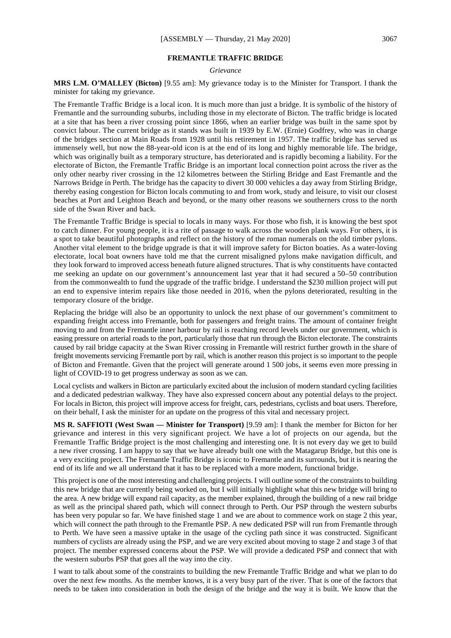#### **FREMANTLE TRAFFIC BRIDGE**

#### *Grievance*

**MRS L.M. O'MALLEY (Bicton)** [9.55 am]: My grievance today is to the Minister for Transport. I thank the minister for taking my grievance.

The Fremantle Traffic Bridge is a local icon. It is much more than just a bridge. It is symbolic of the history of Fremantle and the surrounding suburbs, including those in my electorate of Bicton. The traffic bridge is located at a site that has been a river crossing point since 1866, when an earlier bridge was built in the same spot by convict labour. The current bridge as it stands was built in 1939 by E.W. (Ernie) Godfrey, who was in charge of the bridges section at Main Roads from 1928 until his retirement in 1957. The traffic bridge has served us immensely well, but now the 88-year-old icon is at the end of its long and highly memorable life. The bridge, which was originally built as a temporary structure, has deteriorated and is rapidly becoming a liability. For the electorate of Bicton, the Fremantle Traffic Bridge is an important local connection point across the river as the only other nearby river crossing in the 12 kilometres between the Stirling Bridge and East Fremantle and the Narrows Bridge in Perth. The bridge has the capacity to divert 30 000 vehicles a day away from Stirling Bridge, thereby easing congestion for Bicton locals commuting to and from work, study and leisure, to visit our closest beaches at Port and Leighton Beach and beyond, or the many other reasons we southerners cross to the north side of the Swan River and back.

The Fremantle Traffic Bridge is special to locals in many ways. For those who fish, it is knowing the best spot to catch dinner. For young people, it is a rite of passage to walk across the wooden plank ways. For others, it is a spot to take beautiful photographs and reflect on the history of the roman numerals on the old timber pylons. Another vital element to the bridge upgrade is that it will improve safety for Bicton boaties. As a water-loving electorate, local boat owners have told me that the current misaligned pylons make navigation difficult, and they look forward to improved access beneath future aligned structures. That is why constituents have contacted me seeking an update on our government's announcement last year that it had secured a 50–50 contribution from the commonwealth to fund the upgrade of the traffic bridge. I understand the \$230 million project will put an end to expensive interim repairs like those needed in 2016, when the pylons deteriorated, resulting in the temporary closure of the bridge.

Replacing the bridge will also be an opportunity to unlock the next phase of our government's commitment to expanding freight access into Fremantle, both for passengers and freight trains. The amount of container freight moving to and from the Fremantle inner harbour by rail is reaching record levels under our government, which is easing pressure on arterial roads to the port, particularly those that run through the Bicton electorate. The constraints caused by rail bridge capacity at the Swan River crossing in Fremantle will restrict further growth in the share of freight movements servicing Fremantle port by rail, which is another reason this project is so important to the people of Bicton and Fremantle. Given that the project will generate around 1 500 jobs, it seems even more pressing in light of COVID-19 to get progress underway as soon as we can.

Local cyclists and walkers in Bicton are particularly excited about the inclusion of modern standard cycling facilities and a dedicated pedestrian walkway. They have also expressed concern about any potential delays to the project. For locals in Bicton, this project will improve access for freight, cars, pedestrians, cyclists and boat users. Therefore, on their behalf, I ask the minister for an update on the progress of this vital and necessary project.

**MS R. SAFFIOTI (West Swan — Minister for Transport)** [9.59 am]: I thank the member for Bicton for her grievance and interest in this very significant project. We have a lot of projects on our agenda, but the Fremantle Traffic Bridge project is the most challenging and interesting one. It is not every day we get to build a new river crossing. I am happy to say that we have already built one with the Matagarup Bridge, but this one is a very exciting project. The Fremantle Traffic Bridge is iconic to Fremantle and its surrounds, but it is nearing the end of its life and we all understand that it has to be replaced with a more modern, functional bridge.

This project is one of the most interesting and challenging projects. I will outline some of the constraints to building this new bridge that are currently being worked on, but I will initially highlight what this new bridge will bring to the area. A new bridge will expand rail capacity, as the member explained, through the building of a new rail bridge as well as the principal shared path, which will connect through to Perth. Our PSP through the western suburbs has been very popular so far. We have finished stage 1 and we are about to commence work on stage 2 this year, which will connect the path through to the Fremantle PSP. A new dedicated PSP will run from Fremantle through to Perth. We have seen a massive uptake in the usage of the cycling path since it was constructed. Significant numbers of cyclists are already using the PSP, and we are very excited about moving to stage 2 and stage 3 of that project. The member expressed concerns about the PSP. We will provide a dedicated PSP and connect that with the western suburbs PSP that goes all the way into the city.

I want to talk about some of the constraints to building the new Fremantle Traffic Bridge and what we plan to do over the next few months. As the member knows, it is a very busy part of the river. That is one of the factors that needs to be taken into consideration in both the design of the bridge and the way it is built. We know that the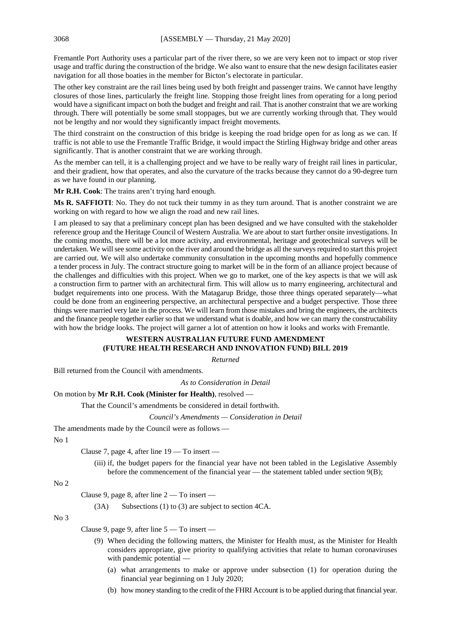Fremantle Port Authority uses a particular part of the river there, so we are very keen not to impact or stop river usage and traffic during the construction of the bridge. We also want to ensure that the new design facilitates easier navigation for all those boaties in the member for Bicton's electorate in particular.

The other key constraint are the rail lines being used by both freight and passenger trains. We cannot have lengthy closures of those lines, particularly the freight line. Stopping those freight lines from operating for a long period would have a significant impact on both the budget and freight and rail. That is another constraint that we are working through. There will potentially be some small stoppages, but we are currently working through that. They would not be lengthy and nor would they significantly impact freight movements.

The third constraint on the construction of this bridge is keeping the road bridge open for as long as we can. If traffic is not able to use the Fremantle Traffic Bridge, it would impact the Stirling Highway bridge and other areas significantly. That is another constraint that we are working through.

As the member can tell, it is a challenging project and we have to be really wary of freight rail lines in particular, and their gradient, how that operates, and also the curvature of the tracks because they cannot do a 90-degree turn as we have found in our planning.

**Mr R.H. Cook**: The trains aren't trying hard enough.

**Ms R. SAFFIOTI**: No. They do not tuck their tummy in as they turn around. That is another constraint we are working on with regard to how we align the road and new rail lines.

I am pleased to say that a preliminary concept plan has been designed and we have consulted with the stakeholder reference group and the Heritage Council of Western Australia. We are about to start further onsite investigations. In the coming months, there will be a lot more activity, and environmental, heritage and geotechnical surveys will be undertaken. We will see some activity on the river and around the bridge as all the surveys required to start this project are carried out. We will also undertake community consultation in the upcoming months and hopefully commence a tender process in July. The contract structure going to market will be in the form of an alliance project because of the challenges and difficulties with this project. When we go to market, one of the key aspects is that we will ask a construction firm to partner with an architectural firm. This will allow us to marry engineering, architectural and budget requirements into one process. With the Matagarup Bridge, those three things operated separately—what could be done from an engineering perspective, an architectural perspective and a budget perspective. Those three things were married very late in the process. We will learn from those mistakes and bring the engineers, the architects and the finance people together earlier so that we understand what is doable, and how we can marry the constructability with how the bridge looks. The project will garner a lot of attention on how it looks and works with Fremantle.

## **WESTERN AUSTRALIAN FUTURE FUND AMENDMENT (FUTURE HEALTH RESEARCH AND INNOVATION FUND) BILL 2019**

*Returned*

Bill returned from the Council with amendments.

*As to Consideration in Detail*

## On motion by **Mr R.H. Cook (Minister for Health)**, resolved —

That the Council's amendments be considered in detail forthwith.

*Council's Amendments — Consideration in Detail*

The amendments made by the Council were as follows —

No 1

Clause 7, page 4, after line 19 — To insert —

(iii) if, the budget papers for the financial year have not been tabled in the Legislative Assembly before the commencement of the financial year — the statement tabled under section  $9(B)$ ;

## No 2

Clause 9, page 8, after line 2 — To insert —

(3A) Subsections (1) to (3) are subject to section 4CA.

No 3

Clause 9, page 9, after line 5 — To insert —

- (9) When deciding the following matters, the Minister for Health must, as the Minister for Health considers appropriate, give priority to qualifying activities that relate to human coronaviruses with pandemic potential —
	- (a) what arrangements to make or approve under subsection (1) for operation during the financial year beginning on 1 July 2020;
	- (b) how money standing to the credit of the FHRI Account is to be applied during that financial year.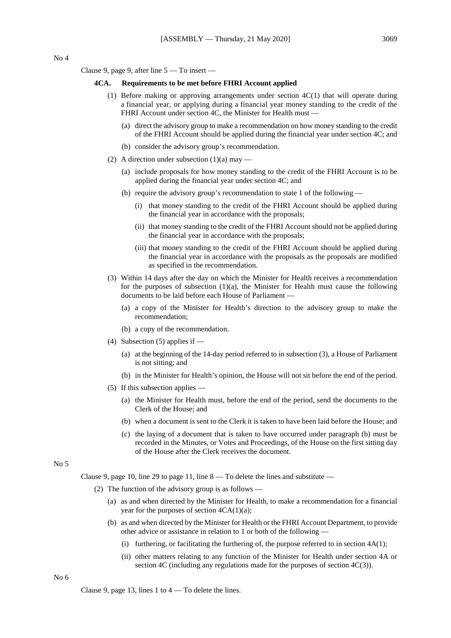Clause 9, page 9, after line 5 — To insert —

#### **4CA. Requirements to be met before FHRI Account applied**

- (1) Before making or approving arrangements under section 4C(1) that will operate during a financial year, or applying during a financial year money standing to the credit of the FHRI Account under section 4C, the Minister for Health must —
	- (a) direct the advisory group to make a recommendation on how money standing to the credit of the FHRI Account should be applied during the financial year under section 4C; and
	- (b) consider the advisory group's recommendation.
- (2) A direction under subsection  $(1)(a)$  may
	- (a) include proposals for how money standing to the credit of the FHRI Account is to be applied during the financial year under section 4C; and
	- (b) require the advisory group's recommendation to state 1 of the following
		- (i) that money standing to the credit of the FHRI Account should be applied during the financial year in accordance with the proposals;
		- (ii) that money standing to the credit of the FHRI Account should not be applied during the financial year in accordance with the proposals;
		- (iii) that money standing to the credit of the FHRI Account should be applied during the financial year in accordance with the proposals as the proposals are modified as specified in the recommendation.
- (3) Within 14 days after the day on which the Minister for Health receives a recommendation for the purposes of subsection  $(1)(a)$ , the Minister for Health must cause the following documents to be laid before each House of Parliament —
	- (a) a copy of the Minister for Health's direction to the advisory group to make the recommendation;
	- (b) a copy of the recommendation.
- (4) Subsection  $(5)$  applies if
	- (a) at the beginning of the 14-day period referred to in subsection (3), a House of Parliament is not sitting; and
	- (b) in the Minister for Health's opinion, the House will not sit before the end of the period.
- (5) If this subsection applies
	- (a) the Minister for Health must, before the end of the period, send the documents to the Clerk of the House; and
	- (b) when a document is sent to the Clerk it is taken to have been laid before the House; and
	- (c) the laying of a document that is taken to have occurred under paragraph (b) must be recorded in the Minutes, or Votes and Proceedings, of the House on the first sitting day of the House after the Clerk receives the document.

## No 5

Clause 9, page 10, line 29 to page 11, line  $8 -$  To delete the lines and substitute  $-$ 

- (2) The function of the advisory group is as follows
	- (a) as and when directed by the Minister for Health, to make a recommendation for a financial year for the purposes of section  $4CA(1)(a)$ ;
	- (b) as and when directed by the Minister for Health or the FHRI Account Department, to provide other advice or assistance in relation to 1 or both of the following —
		- (i) furthering, or facilitating the furthering of, the purpose referred to in section  $4A(1)$ ;
		- (ii) other matters relating to any function of the Minister for Health under section 4A or section 4C (including any regulations made for the purposes of section 4C(3)).

Clause 9, page 13, lines  $1$  to  $4 -$  To delete the lines.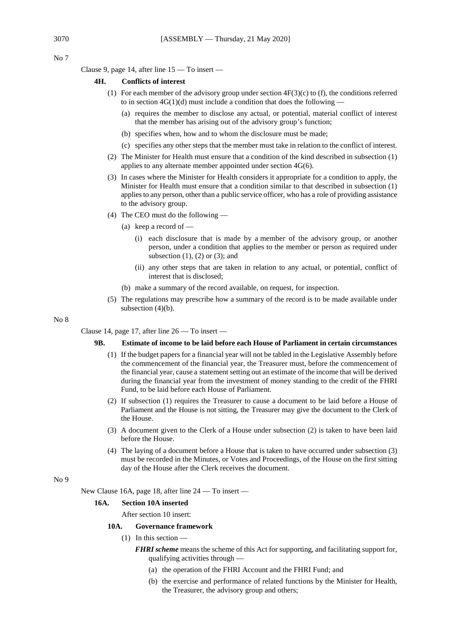$N_0$  7

Clause 9, page 14, after line 15 — To insert —

#### **4H. Conflicts of interest**

- (1) For each member of the advisory group under section  $4F(3)(c)$  to (f), the conditions referred to in section  $4G(1)(d)$  must include a condition that does the following -
	- (a) requires the member to disclose any actual, or potential, material conflict of interest that the member has arising out of the advisory group's function;
	- (b) specifies when, how and to whom the disclosure must be made;
	- (c) specifies any other steps that the member must take in relation to the conflict of interest.
- (2) The Minister for Health must ensure that a condition of the kind described in subsection (1) applies to any alternate member appointed under section 4G(6).
- (3) In cases where the Minister for Health considers it appropriate for a condition to apply, the Minister for Health must ensure that a condition similar to that described in subsection (1) applies to any person, other than a public service officer, who has a role of providing assistance to the advisory group.
- (4) The CEO must do the following
	- (a) keep a record of
		- (i) each disclosure that is made by a member of the advisory group, or another person, under a condition that applies to the member or person as required under subsection  $(1)$ ,  $(2)$  or  $(3)$ ; and
		- (ii) any other steps that are taken in relation to any actual, or potential, conflict of interest that is disclosed;
	- (b) make a summary of the record available, on request, for inspection.
- (5) The regulations may prescribe how a summary of the record is to be made available under subsection  $(4)(b)$ .

No 8

Clause 14, page 17, after line  $26 - To$  insert —

## **9B. Estimate of income to be laid before each House of Parliament in certain circumstances**

- (1) If the budget papers for a financial year will not be tabled in the Legislative Assembly before the commencement of the financial year, the Treasurer must, before the commencement of the financial year, cause a statement setting out an estimate of the income that will be derived during the financial year from the investment of money standing to the credit of the FHRI Fund, to be laid before each House of Parliament.
- (2) If subsection (1) requires the Treasurer to cause a document to be laid before a House of Parliament and the House is not sitting, the Treasurer may give the document to the Clerk of the House.
- (3) A document given to the Clerk of a House under subsection (2) is taken to have been laid before the House.
- (4) The laying of a document before a House that is taken to have occurred under subsection (3) must be recorded in the Minutes, or Votes and Proceedings, of the House on the first sitting day of the House after the Clerk receives the document.

## No 9

New Clause 16A, page 18, after line 24 — To insert —

#### **16A. Section 10A inserted**

After section 10 insert:

#### **10A. Governance framework**

(1) In this section —

*FHRI scheme* means the scheme of this Act for supporting, and facilitating support for, qualifying activities through —

- (a) the operation of the FHRI Account and the FHRI Fund; and
- (b) the exercise and performance of related functions by the Minister for Health, the Treasurer, the advisory group and others;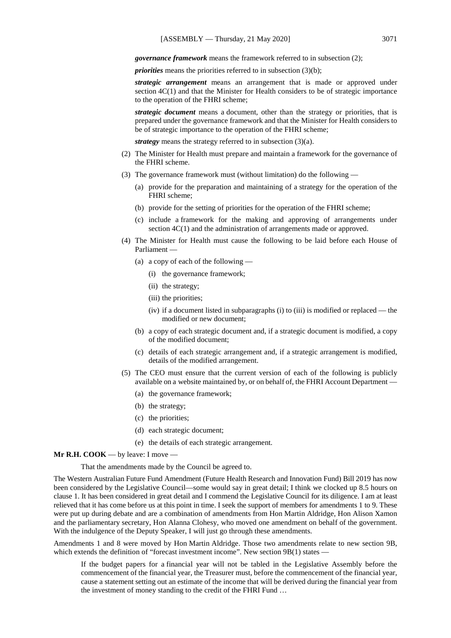*governance framework* means the framework referred to in subsection (2);

*priorities* means the priorities referred to in subsection (3)(b);

*strategic arrangement* means an arrangement that is made or approved under section 4C(1) and that the Minister for Health considers to be of strategic importance to the operation of the FHRI scheme;

*strategic document* means a document, other than the strategy or priorities, that is prepared under the governance framework and that the Minister for Health considers to be of strategic importance to the operation of the FHRI scheme;

*strategy* means the strategy referred to in subsection (3)(a).

- (2) The Minister for Health must prepare and maintain a framework for the governance of the FHRI scheme.
- (3) The governance framework must (without limitation) do the following
	- (a) provide for the preparation and maintaining of a strategy for the operation of the FHRI scheme;
	- (b) provide for the setting of priorities for the operation of the FHRI scheme;
	- (c) include a framework for the making and approving of arrangements under section 4C(1) and the administration of arrangements made or approved.
- (4) The Minister for Health must cause the following to be laid before each House of Parliament —
	- (a) a copy of each of the following
		- (i) the governance framework;
		- (ii) the strategy;
		- (iii) the priorities;
		- (iv) if a document listed in subparagraphs (i) to (iii) is modified or replaced the modified or new document;
	- (b) a copy of each strategic document and, if a strategic document is modified, a copy of the modified document;
	- (c) details of each strategic arrangement and, if a strategic arrangement is modified, details of the modified arrangement.
- (5) The CEO must ensure that the current version of each of the following is publicly available on a website maintained by, or on behalf of, the FHRI Account Department —
	- (a) the governance framework;
	- (b) the strategy;
	- (c) the priorities;
	- (d) each strategic document;
	- (e) the details of each strategic arrangement.

#### **Mr R.H. COOK** — by leave: I move —

That the amendments made by the Council be agreed to.

The Western Australian Future Fund Amendment (Future Health Research and Innovation Fund) Bill 2019 has now been considered by the Legislative Council—some would say in great detail; I think we clocked up 8.5 hours on clause 1. It has been considered in great detail and I commend the Legislative Council for its diligence. I am at least relieved that it has come before us at this point in time. I seek the support of members for amendments 1 to 9. These were put up during debate and are a combination of amendments from Hon Martin Aldridge, Hon Alison Xamon and the parliamentary secretary, Hon Alanna Clohesy, who moved one amendment on behalf of the government. With the indulgence of the Deputy Speaker, I will just go through these amendments.

Amendments 1 and 8 were moved by Hon Martin Aldridge. Those two amendments relate to new section 9B, which extends the definition of "forecast investment income". New section 9B(1) states -

If the budget papers for a financial year will not be tabled in the Legislative Assembly before the commencement of the financial year, the Treasurer must, before the commencement of the financial year, cause a statement setting out an estimate of the income that will be derived during the financial year from the investment of money standing to the credit of the FHRI Fund …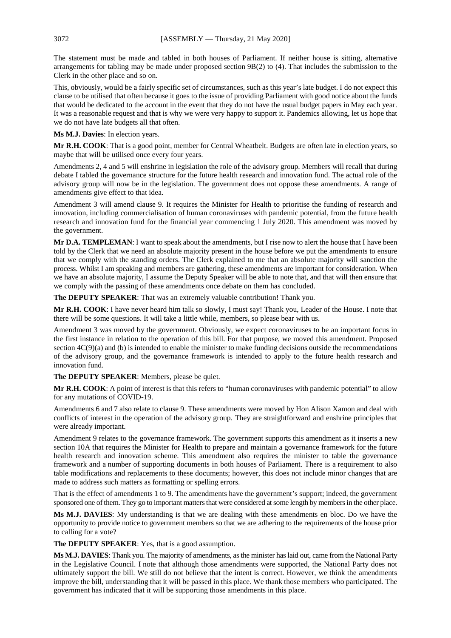The statement must be made and tabled in both houses of Parliament. If neither house is sitting, alternative arrangements for tabling may be made under proposed section 9B(2) to (4). That includes the submission to the Clerk in the other place and so on.

This, obviously, would be a fairly specific set of circumstances, such as this year's late budget. I do not expect this clause to be utilised that often because it goes to the issue of providing Parliament with good notice about the funds that would be dedicated to the account in the event that they do not have the usual budget papers in May each year. It was a reasonable request and that is why we were very happy to support it. Pandemics allowing, let us hope that we do not have late budgets all that often.

**Ms M.J. Davies**: In election years.

**Mr R.H. COOK**: That is a good point, member for Central Wheatbelt. Budgets are often late in election years, so maybe that will be utilised once every four years.

Amendments 2, 4 and 5 will enshrine in legislation the role of the advisory group. Members will recall that during debate I tabled the governance structure for the future health research and innovation fund. The actual role of the advisory group will now be in the legislation. The government does not oppose these amendments. A range of amendments give effect to that idea.

Amendment 3 will amend clause 9. It requires the Minister for Health to prioritise the funding of research and innovation, including commercialisation of human coronaviruses with pandemic potential, from the future health research and innovation fund for the financial year commencing 1 July 2020. This amendment was moved by the government.

**Mr D.A. TEMPLEMAN**: I want to speak about the amendments, but I rise now to alert the house that I have been told by the Clerk that we need an absolute majority present in the house before we put the amendments to ensure that we comply with the standing orders. The Clerk explained to me that an absolute majority will sanction the process. Whilst I am speaking and members are gathering, these amendments are important for consideration. When we have an absolute majority, I assume the Deputy Speaker will be able to note that, and that will then ensure that we comply with the passing of these amendments once debate on them has concluded.

**The DEPUTY SPEAKER:** That was an extremely valuable contribution! Thank you.

**Mr R.H. COOK**: I have never heard him talk so slowly, I must say! Thank you, Leader of the House. I note that there will be some questions. It will take a little while, members, so please bear with us.

Amendment 3 was moved by the government. Obviously, we expect coronaviruses to be an important focus in the first instance in relation to the operation of this bill. For that purpose, we moved this amendment. Proposed section  $4C(9)(a)$  and (b) is intended to enable the minister to make funding decisions outside the recommendations of the advisory group, and the governance framework is intended to apply to the future health research and innovation fund.

**The DEPUTY SPEAKER**: Members, please be quiet.

**Mr R.H. COOK**: A point of interest is that this refers to "human coronaviruses with pandemic potential" to allow for any mutations of COVID-19.

Amendments 6 and 7 also relate to clause 9. These amendments were moved by Hon Alison Xamon and deal with conflicts of interest in the operation of the advisory group. They are straightforward and enshrine principles that were already important.

Amendment 9 relates to the governance framework. The government supports this amendment as it inserts a new section 10A that requires the Minister for Health to prepare and maintain a governance framework for the future health research and innovation scheme. This amendment also requires the minister to table the governance framework and a number of supporting documents in both houses of Parliament. There is a requirement to also table modifications and replacements to these documents; however, this does not include minor changes that are made to address such matters as formatting or spelling errors.

That is the effect of amendments 1 to 9. The amendments have the government's support; indeed, the government sponsored one of them. They go to important matters that were considered at some length by members in the other place.

**Ms M.J. DAVIES**: My understanding is that we are dealing with these amendments en bloc. Do we have the opportunity to provide notice to government members so that we are adhering to the requirements of the house prior to calling for a vote?

**The DEPUTY SPEAKER**: Yes, that is a good assumption.

**Ms M.J. DAVIES**: Thank you. The majority of amendments, as the minister has laid out, came from the National Party in the Legislative Council. I note that although those amendments were supported, the National Party does not ultimately support the bill. We still do not believe that the intent is correct. However, we think the amendments improve the bill, understanding that it will be passed in this place. We thank those members who participated. The government has indicated that it will be supporting those amendments in this place.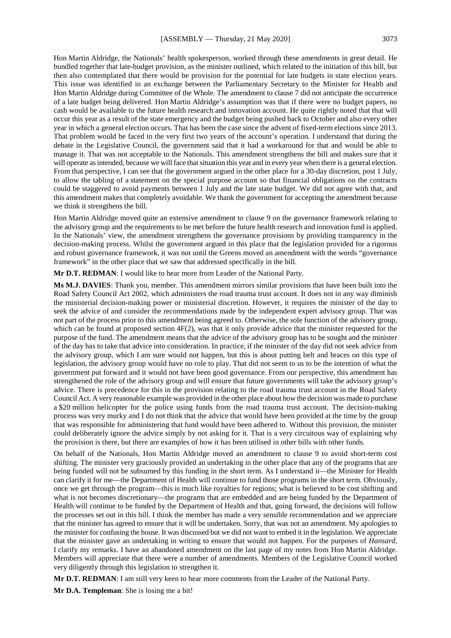Hon Martin Aldridge, the Nationals' health spokesperson, worked through these amendments in great detail. He bundled together that late-budget provision, as the minister outlined, which related to the initiation of this bill, but then also contemplated that there would be provision for the potential for late budgets in state election years. This issue was identified in an exchange between the Parliamentary Secretary to the Minister for Health and Hon Martin Aldridge during Committee of the Whole. The amendment to clause 7 did not anticipate the occurrence of a late budget being delivered. Hon Martin Aldridge's assumption was that if there were no budget papers, no cash would be available to the future health research and innovation account. He quite rightly noted that that will occur this year as a result of the state emergency and the budget being pushed back to October and also every other year in which a general election occurs. That has been the case since the advent of fixed-term elections since 2013. That problem would be faced in the very first two years of the account's operation. I understand that during the debate in the Legislative Council, the government said that it had a workaround for that and would be able to manage it. That was not acceptable to the Nationals. This amendment strengthens the bill and makes sure that it will operate as intended, because we will face that situation this year and in every year when there is a general election. From that perspective, I can see that the government argued in the other place for a 30-day discretion, post 1 July, to allow the tabling of a statement on the special purpose account so that financial obligations on the contracts could be staggered to avoid payments between 1 July and the late state budget. We did not agree with that, and this amendment makes that completely avoidable. We thank the government for accepting the amendment because we think it strengthens the bill.

Hon Martin Aldridge moved quite an extensive amendment to clause 9 on the governance framework relating to the advisory group and the requirements to be met before the future health research and innovation fund is applied. In the Nationals' view, the amendment strengthens the governance provisions by providing transparency in the decision-making process. Whilst the government argued in this place that the legislation provided for a rigorous and robust governance framework, it was not until the Greens moved an amendment with the words "governance framework" in the other place that we saw that addressed specifically in the bill.

**Mr D.T. REDMAN**: I would like to hear more from Leader of the National Party.

**Ms M.J. DAVIES**: Thank you, member. This amendment mirrors similar provisions that have been built into the Road Safety Council Act 2002, which administers the road trauma trust account. It does not in any way diminish the ministerial decision-making power or ministerial discretion. However, it requires the minister of the day to seek the advice of and consider the recommendations made by the independent expert advisory group. That was not part of the process prior to this amendment being agreed to. Otherwise, the sole function of the advisory group, which can be found at proposed section  $4F(2)$ , was that it only provide advice that the minister requested for the purpose of the fund. The amendment means that the advice of the advisory group has to be sought and the minister of the day has to take that advice into consideration. In practice, if the minister of the day did not seek advice from the advisory group, which I am sure would not happen, but this is about putting belt and braces on this type of legislation, the advisory group would have no role to play. That did not seem to us to be the intention of what the government put forward and it would not have been good governance. From our perspective, this amendment has strengthened the role of the advisory group and will ensure that future governments will take the advisory group's advice. There is precedence for this in the provision relating to the road trauma trust account in the Road Safety Council Act. A very reasonable example was provided in the other place about how the decision was made to purchase a \$20 million helicopter for the police using funds from the road trauma trust account. The decision-making process was very murky and I do not think that the advice that would have been provided at the time by the group that was responsible for administering that fund would have been adhered to. Without this provision, the minister could deliberately ignore the advice simply by not asking for it. That is a very circuitous way of explaining why the provision is there, but there are examples of how it has been utilised in other bills with other funds.

On behalf of the Nationals, Hon Martin Aldridge moved an amendment to clause 9 to avoid short-term cost shifting. The minister very graciously provided an undertaking in the other place that any of the programs that are being funded will not be subsumed by this funding in the short term. As I understand it—the Minister for Health can clarify it for me—the Department of Health will continue to fund those programs in the short term. Obviously, once we get through the program—this is much like royalties for regions; what is believed to be cost shifting and what is not becomes discretionary—the programs that are embedded and are being funded by the Department of Health will continue to be funded by the Department of Health and that, going forward, the decisions will follow the processes set out in this bill. I think the member has made a very sensible recommendation and we appreciate that the minister has agreed to ensure that it will be undertaken. Sorry, that was not an amendment. My apologies to the minister for confusing the house. It was discussed but we did not want to embed it in the legislation. We appreciate that the minister gave an undertaking in writing to ensure that would not happen. For the purposes of *Hansard*, I clarify my remarks. I have an abandoned amendment on the last page of my notes from Hon Martin Aldridge. Members will appreciate that there were a number of amendments. Members of the Legislative Council worked very diligently through this legislation to strengthen it.

**Mr D.T. REDMAN**: I am still very keen to hear more comments from the Leader of the National Party.

**Mr D.A. Templeman**: She is losing me a bit!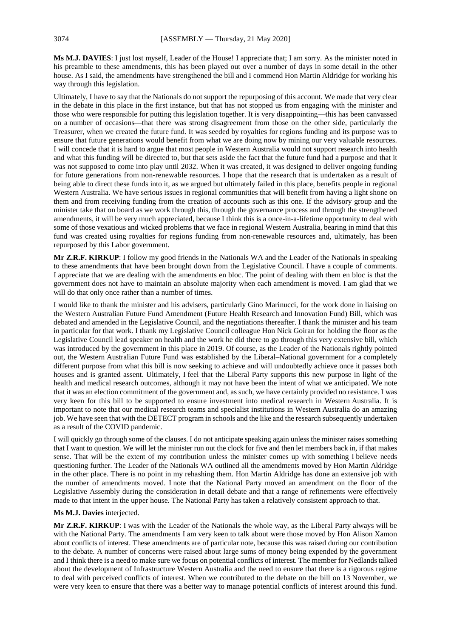**Ms M.J. DAVIES**: I just lost myself, Leader of the House! I appreciate that; I am sorry. As the minister noted in his preamble to these amendments, this has been played out over a number of days in some detail in the other house. As I said, the amendments have strengthened the bill and I commend Hon Martin Aldridge for working his way through this legislation.

Ultimately, I have to say that the Nationals do not support the repurposing of this account. We made that very clear in the debate in this place in the first instance, but that has not stopped us from engaging with the minister and those who were responsible for putting this legislation together. It is very disappointing—this has been canvassed on a number of occasions—that there was strong disagreement from those on the other side, particularly the Treasurer, when we created the future fund. It was seeded by royalties for regions funding and its purpose was to ensure that future generations would benefit from what we are doing now by mining our very valuable resources. I will concede that it is hard to argue that most people in Western Australia would not support research into health and what this funding will be directed to, but that sets aside the fact that the future fund had a purpose and that it was not supposed to come into play until 2032. When it was created, it was designed to deliver ongoing funding for future generations from non-renewable resources. I hope that the research that is undertaken as a result of being able to direct these funds into it, as we argued but ultimately failed in this place, benefits people in regional Western Australia. We have serious issues in regional communities that will benefit from having a light shone on them and from receiving funding from the creation of accounts such as this one. If the advisory group and the minister take that on board as we work through this, through the governance process and through the strengthened amendments, it will be very much appreciated, because I think this is a once-in-a-lifetime opportunity to deal with some of those vexatious and wicked problems that we face in regional Western Australia, bearing in mind that this fund was created using royalties for regions funding from non-renewable resources and, ultimately, has been repurposed by this Labor government.

**Mr Z.R.F. KIRKUP**: I follow my good friends in the Nationals WA and the Leader of the Nationals in speaking to these amendments that have been brought down from the Legislative Council. I have a couple of comments. I appreciate that we are dealing with the amendments en bloc. The point of dealing with them en bloc is that the government does not have to maintain an absolute majority when each amendment is moved. I am glad that we will do that only once rather than a number of times.

I would like to thank the minister and his advisers, particularly Gino Marinucci, for the work done in liaising on the Western Australian Future Fund Amendment (Future Health Research and Innovation Fund) Bill, which was debated and amended in the Legislative Council, and the negotiations thereafter. I thank the minister and his team in particular for that work. I thank my Legislative Council colleague Hon Nick Goiran for holding the floor as the Legislative Council lead speaker on health and the work he did there to go through this very extensive bill, which was introduced by the government in this place in 2019. Of course, as the Leader of the Nationals rightly pointed out, the Western Australian Future Fund was established by the Liberal–National government for a completely different purpose from what this bill is now seeking to achieve and will undoubtedly achieve once it passes both houses and is granted assent. Ultimately, I feel that the Liberal Party supports this new purpose in light of the health and medical research outcomes, although it may not have been the intent of what we anticipated. We note that it was an election commitment of the government and, as such, we have certainly provided no resistance. I was very keen for this bill to be supported to ensure investment into medical research in Western Australia. It is important to note that our medical research teams and specialist institutions in Western Australia do an amazing job. We have seen that with the DETECT program in schools and the like and the research subsequently undertaken as a result of the COVID pandemic.

I will quickly go through some of the clauses. I do not anticipate speaking again unless the minister raises something that I want to question. We will let the minister run out the clock for five and then let members back in, if that makes sense. That will be the extent of my contribution unless the minister comes up with something I believe needs questioning further. The Leader of the Nationals WA outlined all the amendments moved by Hon Martin Aldridge in the other place. There is no point in my rehashing them. Hon Martin Aldridge has done an extensive job with the number of amendments moved. I note that the National Party moved an amendment on the floor of the Legislative Assembly during the consideration in detail debate and that a range of refinements were effectively made to that intent in the upper house. The National Party has taken a relatively consistent approach to that.

#### **Ms M.J. Davies** interjected.

**Mr Z.R.F. KIRKUP**: I was with the Leader of the Nationals the whole way, as the Liberal Party always will be with the National Party. The amendments I am very keen to talk about were those moved by Hon Alison Xamon about conflicts of interest. These amendments are of particular note, because this was raised during our contribution to the debate. A number of concerns were raised about large sums of money being expended by the government and I think there is a need to make sure we focus on potential conflicts of interest. The member for Nedlands talked about the development of Infrastructure Western Australia and the need to ensure that there is a rigorous regime to deal with perceived conflicts of interest. When we contributed to the debate on the bill on 13 November, we were very keen to ensure that there was a better way to manage potential conflicts of interest around this fund.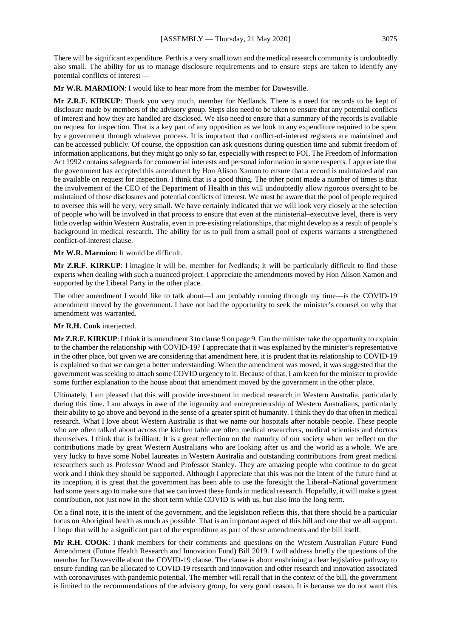There will be significant expenditure. Perth is a very small town and the medical research community is undoubtedly also small. The ability for us to manage disclosure requirements and to ensure steps are taken to identify any potential conflicts of interest —

**Mr W.R. MARMION**: I would like to hear more from the member for Dawesville.

**Mr Z.R.F. KIRKUP**: Thank you very much, member for Nedlands. There is a need for records to be kept of disclosure made by members of the advisory group. Steps also need to be taken to ensure that any potential conflicts of interest and how they are handled are disclosed. We also need to ensure that a summary of the records is available on request for inspection. That is a key part of any opposition as we look to any expenditure required to be spent by a government through whatever process. It is important that conflict-of-interest registers are maintained and can be accessed publicly. Of course, the opposition can ask questions during question time and submit freedom of information applications, but they might go only so far, especially with respect to FOI. The Freedom of Information Act 1992 contains safeguards for commercial interests and personal information in some respects. I appreciate that the government has accepted this amendment by Hon Alison Xamon to ensure that a record is maintained and can be available on request for inspection. I think that is a good thing. The other point made a number of times is that the involvement of the CEO of the Department of Health in this will undoubtedly allow rigorous oversight to be maintained of those disclosures and potential conflicts of interest. We must be aware that the pool of people required to oversee this will be very, very small. We have certainly indicated that we will look very closely at the selection of people who will be involved in that process to ensure that even at the ministerial–executive level, there is very little overlap within Western Australia, even in pre-existing relationships, that might develop as a result of people's background in medical research. The ability for us to pull from a small pool of experts warrants a strengthened conflict-of-interest clause.

## **Mr W.R. Marmion**: It would be difficult.

**Mr Z.R.F. KIRKUP**: I imagine it will be, member for Nedlands; it will be particularly difficult to find those experts when dealing with such a nuanced project. I appreciate the amendments moved by Hon Alison Xamon and supported by the Liberal Party in the other place.

The other amendment I would like to talk about—I am probably running through my time—is the COVID-19 amendment moved by the government. I have not had the opportunity to seek the minister's counsel on why that amendment was warranted.

## **Mr R.H. Cook** interjected.

**Mr Z.R.F. KIRKUP**: I think it is amendment 3 to clause 9 on page 9. Can the minister take the opportunity to explain to the chamber the relationship with COVID-19? I appreciate that it was explained by the minister's representative in the other place, but given we are considering that amendment here, it is prudent that its relationship to COVID-19 is explained so that we can get a better understanding. When the amendment was moved, it was suggested that the government was seeking to attach some COVID urgency to it. Because of that, I am keen for the minister to provide some further explanation to the house about that amendment moved by the government in the other place.

Ultimately, I am pleased that this will provide investment in medical research in Western Australia, particularly during this time. I am always in awe of the ingenuity and entrepreneurship of Western Australians, particularly their ability to go above and beyond in the sense of a greater spirit of humanity. I think they do that often in medical research. What I love about Western Australia is that we name our hospitals after notable people. These people who are often talked about across the kitchen table are often medical researchers, medical scientists and doctors themselves. I think that is brilliant. It is a great reflection on the maturity of our society when we reflect on the contributions made by great Western Australians who are looking after us and the world as a whole. We are very lucky to have some Nobel laureates in Western Australia and outstanding contributions from great medical researchers such as Professor Wood and Professor Stanley. They are amazing people who continue to do great work and I think they should be supported. Although I appreciate that this was not the intent of the future fund at its inception, it is great that the government has been able to use the foresight the Liberal–National government had some years ago to make sure that we can invest these funds in medical research. Hopefully, it will make a great contribution, not just now in the short term while COVID is with us, but also into the long term.

On a final note, it is the intent of the government, and the legislation reflects this, that there should be a particular focus on Aboriginal health as much as possible. That is an important aspect of this bill and one that we all support. I hope that will be a significant part of the expenditure as part of these amendments and the bill itself.

**Mr R.H. COOK**: I thank members for their comments and questions on the Western Australian Future Fund Amendment (Future Health Research and Innovation Fund) Bill 2019. I will address briefly the questions of the member for Dawesville about the COVID-19 clause. The clause is about enshrining a clear legislative pathway to ensure funding can be allocated to COVID-19 research and innovation and other research and innovation associated with coronaviruses with pandemic potential. The member will recall that in the context of the bill, the government is limited to the recommendations of the advisory group, for very good reason. It is because we do not want this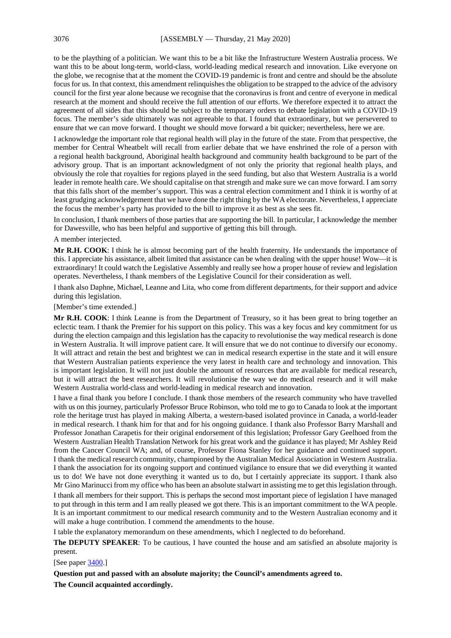to be the plaything of a politician. We want this to be a bit like the Infrastructure Western Australia process. We want this to be about long-term, world-class, world-leading medical research and innovation. Like everyone on the globe, we recognise that at the moment the COVID-19 pandemic is front and centre and should be the absolute focus for us. In that context, this amendment relinquishes the obligation to be strapped to the advice of the advisory council for the first year alone because we recognise that the coronavirus is front and centre of everyone in medical research at the moment and should receive the full attention of our efforts. We therefore expected it to attract the agreement of all sides that this should be subject to the temporary orders to debate legislation with a COVID-19 focus. The member's side ultimately was not agreeable to that. I found that extraordinary, but we persevered to ensure that we can move forward. I thought we should move forward a bit quicker; nevertheless, here we are.

I acknowledge the important role that regional health will play in the future of the state. From that perspective, the member for Central Wheatbelt will recall from earlier debate that we have enshrined the role of a person with a regional health background, Aboriginal health background and community health background to be part of the advisory group. That is an important acknowledgment of not only the priority that regional health plays, and obviously the role that royalties for regions played in the seed funding, but also that Western Australia is a world leader in remote health care. We should capitalise on that strength and make sure we can move forward. I am sorry that this falls short of the member's support. This was a central election commitment and I think it is worthy of at least grudging acknowledgement that we have done the right thing by the WA electorate. Nevertheless, I appreciate the focus the member's party has provided to the bill to improve it as best as she sees fit.

In conclusion, I thank members of those parties that are supporting the bill. In particular, I acknowledge the member for Dawesville, who has been helpful and supportive of getting this bill through.

#### A member interjected.

**Mr R.H. COOK**: I think he is almost becoming part of the health fraternity. He understands the importance of this. I appreciate his assistance, albeit limited that assistance can be when dealing with the upper house! Wow—it is extraordinary! It could watch the Legislative Assembly and really see how a proper house of review and legislation operates. Nevertheless, I thank members of the Legislative Council for their consideration as well.

I thank also Daphne, Michael, Leanne and Lita, who come from different departments, for their support and advice during this legislation.

#### [Member's time extended.]

**Mr R.H. COOK**: I think Leanne is from the Department of Treasury, so it has been great to bring together an eclectic team. I thank the Premier for his support on this policy. This was a key focus and key commitment for us during the election campaign and this legislation has the capacity to revolutionise the way medical research is done in Western Australia. It will improve patient care. It will ensure that we do not continue to diversify our economy. It will attract and retain the best and brightest we can in medical research expertise in the state and it will ensure that Western Australian patients experience the very latest in health care and technology and innovation. This is important legislation. It will not just double the amount of resources that are available for medical research, but it will attract the best researchers. It will revolutionise the way we do medical research and it will make Western Australia world-class and world-leading in medical research and innovation.

I have a final thank you before I conclude. I thank those members of the research community who have travelled with us on this journey, particularly Professor Bruce Robinson, who told me to go to Canada to look at the important role the heritage trust has played in making Alberta, a western-based isolated province in Canada, a world-leader in medical research. I thank him for that and for his ongoing guidance. I thank also Professor Barry Marshall and Professor Jonathan Carapetis for their original endorsement of this legislation; Professor Gary Geelhoed from the Western Australian Health Translation Network for his great work and the guidance it has played; Mr Ashley Reid from the Cancer Council WA; and, of course, Professor Fiona Stanley for her guidance and continued support. I thank the medical research community, championed by the Australian Medical Association in Western Australia. I thank the association for its ongoing support and continued vigilance to ensure that we did everything it wanted us to do! We have not done everything it wanted us to do, but I certainly appreciate its support. I thank also Mr Gino Marinucci from my office who has been an absolute stalwart in assisting me to get this legislation through. I thank all members for their support. This is perhaps the second most important piece of legislation I have managed to put through in this term and I am really pleased we got there. This is an important commitment to the WA people. It is an important commitment to our medical research community and to the Western Australian economy and it will make a huge contribution. I commend the amendments to the house.

I table the explanatory memorandum on these amendments, which I neglected to do beforehand.

**The DEPUTY SPEAKER**: To be cautious, I have counted the house and am satisfied an absolute majority is present.

#### [See paper [3400.](https://www.parliament.wa.gov.au/publications/tabledpapers.nsf/displaypaper/4013400a828fa2ec2635afb14825856f00333125/$file/3400.pdf)]

**Question put and passed with an absolute majority; the Council's amendments agreed to. The Council acquainted accordingly.**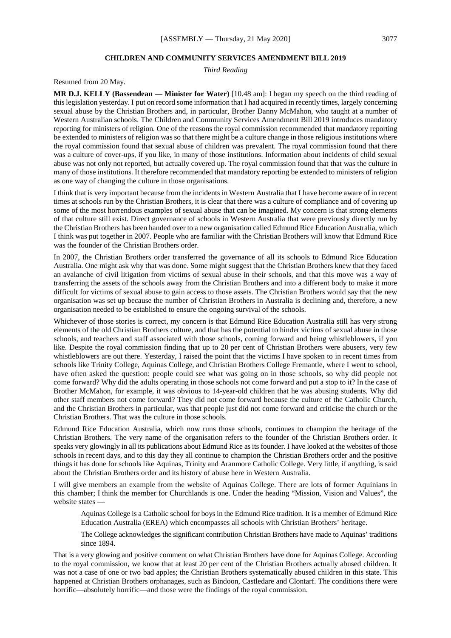## **CHILDREN AND COMMUNITY SERVICES AMENDMENT BILL 2019**

*Third Reading*

Resumed from 20 May.

**MR D.J. KELLY (Bassendean — Minister for Water)** [10.48 am]: I began my speech on the third reading of this legislation yesterday. I put on record some information that I had acquired in recently times, largely concerning sexual abuse by the Christian Brothers and, in particular, Brother Danny McMahon, who taught at a number of Western Australian schools. The Children and Community Services Amendment Bill 2019 introduces mandatory reporting for ministers of religion. One of the reasons the royal commission recommended that mandatory reporting be extended to ministers of religion was so that there might be a culture change in those religious institutions where the royal commission found that sexual abuse of children was prevalent. The royal commission found that there was a culture of cover-ups, if you like, in many of those institutions. Information about incidents of child sexual abuse was not only not reported, but actually covered up. The royal commission found that that was the culture in many of those institutions. It therefore recommended that mandatory reporting be extended to ministers of religion as one way of changing the culture in those organisations.

I think that is very important because from the incidents in Western Australia that I have become aware of in recent times at schools run by the Christian Brothers, it is clear that there was a culture of compliance and of covering up some of the most horrendous examples of sexual abuse that can be imagined. My concern is that strong elements of that culture still exist. Direct governance of schools in Western Australia that were previously directly run by the Christian Brothers has been handed over to a new organisation called Edmund Rice Education Australia, which I think was put together in 2007. People who are familiar with the Christian Brothers will know that Edmund Rice was the founder of the Christian Brothers order.

In 2007, the Christian Brothers order transferred the governance of all its schools to Edmund Rice Education Australia. One might ask why that was done. Some might suggest that the Christian Brothers knew that they faced an avalanche of civil litigation from victims of sexual abuse in their schools, and that this move was a way of transferring the assets of the schools away from the Christian Brothers and into a different body to make it more difficult for victims of sexual abuse to gain access to those assets. The Christian Brothers would say that the new organisation was set up because the number of Christian Brothers in Australia is declining and, therefore, a new organisation needed to be established to ensure the ongoing survival of the schools.

Whichever of those stories is correct, my concern is that Edmund Rice Education Australia still has very strong elements of the old Christian Brothers culture, and that has the potential to hinder victims of sexual abuse in those schools, and teachers and staff associated with those schools, coming forward and being whistleblowers, if you like. Despite the royal commission finding that up to 20 per cent of Christian Brothers were abusers, very few whistleblowers are out there. Yesterday, I raised the point that the victims I have spoken to in recent times from schools like Trinity College, Aquinas College, and Christian Brothers College Fremantle, where I went to school, have often asked the question: people could see what was going on in those schools, so why did people not come forward? Why did the adults operating in those schools not come forward and put a stop to it? In the case of Brother McMahon, for example, it was obvious to 14-year-old children that he was abusing students. Why did other staff members not come forward? They did not come forward because the culture of the Catholic Church, and the Christian Brothers in particular, was that people just did not come forward and criticise the church or the Christian Brothers. That was the culture in those schools.

Edmund Rice Education Australia, which now runs those schools, continues to champion the heritage of the Christian Brothers. The very name of the organisation refers to the founder of the Christian Brothers order. It speaks very glowingly in all its publications about Edmund Rice as its founder. I have looked at the websites of those schools in recent days, and to this day they all continue to champion the Christian Brothers order and the positive things it has done for schools like Aquinas, Trinity and Aranmore Catholic College. Very little, if anything, is said about the Christian Brothers order and its history of abuse here in Western Australia.

I will give members an example from the website of Aquinas College. There are lots of former Aquinians in this chamber; I think the member for Churchlands is one. Under the heading "Mission, Vision and Values", the website states —

Aquinas College is a Catholic school for boys in the Edmund Rice tradition. It is a member of Edmund Rice Education Australia (EREA) which encompasses all schools with Christian Brothers' heritage.

The College acknowledges the significant contribution Christian Brothers have made to Aquinas' traditions since 1894.

That is a very glowing and positive comment on what Christian Brothers have done for Aquinas College. According to the royal commission, we know that at least 20 per cent of the Christian Brothers actually abused children. It was not a case of one or two bad apples; the Christian Brothers systematically abused children in this state. This happened at Christian Brothers orphanages, such as Bindoon, Castledare and Clontarf. The conditions there were horrific—absolutely horrific—and those were the findings of the royal commission.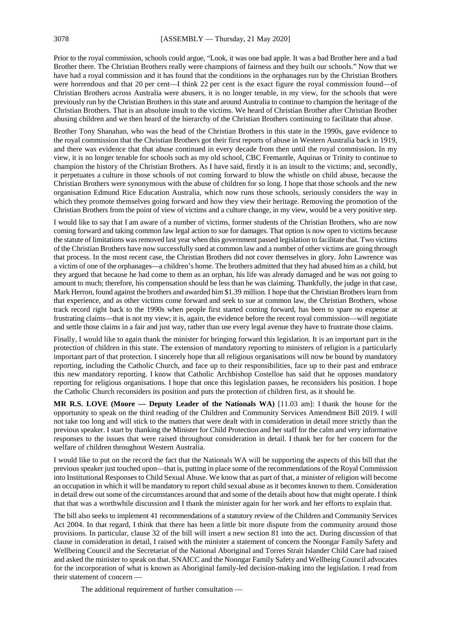Prior to the royal commission, schools could argue, "Look, it was one bad apple. It was a bad Brother here and a bad Brother there. The Christian Brothers really were champions of fairness and they built our schools." Now that we have had a royal commission and it has found that the conditions in the orphanages run by the Christian Brothers were horrendous and that 20 per cent—I think 22 per cent is the exact figure the royal commission found—of Christian Brothers across Australia were abusers, it is no longer tenable, in my view, for the schools that were previously run by the Christian Brothers in this state and around Australia to continue to champion the heritage of the Christian Brothers. That is an absolute insult to the victims. We heard of Christian Brother after Christian Brother abusing children and we then heard of the hierarchy of the Christian Brothers continuing to facilitate that abuse.

Brother Tony Shanahan, who was the head of the Christian Brothers in this state in the 1990s, gave evidence to the royal commission that the Christian Brothers got their first reports of abuse in Western Australia back in 1919, and there was evidence that that abuse continued in every decade from then until the royal commission. In my view, it is no longer tenable for schools such as my old school, CBC Fremantle, Aquinas or Trinity to continue to champion the history of the Christian Brothers. As I have said, firstly it is an insult to the victims; and, secondly, it perpetuates a culture in those schools of not coming forward to blow the whistle on child abuse, because the Christian Brothers were synonymous with the abuse of children for so long. I hope that those schools and the new organisation Edmund Rice Education Australia, which now runs those schools, seriously considers the way in which they promote themselves going forward and how they view their heritage. Removing the promotion of the Christian Brothers from the point of view of victims and a culture change, in my view, would be a very positive step.

I would like to say that I am aware of a number of victims, former students of the Christian Brothers, who are now coming forward and taking common law legal action to sue for damages. That option is now open to victims because the statute of limitations was removed last year when this government passed legislation to facilitate that. Two victims of the Christian Brothers have now successfully sued at common law and a number of other victims are going through that process. In the most recent case, the Christian Brothers did not cover themselves in glory. John Lawrence was a victim of one of the orphanages—a children's home. The brothers admitted that they had abused him as a child, but they argued that because he had come to them as an orphan, his life was already damaged and he was not going to amount to much; therefore, his compensation should be less than he was claiming. Thankfully, the judge in that case, Mark Herron, found against the brothers and awarded him \$1.39 million. I hope that the Christian Brothers learn from that experience, and as other victims come forward and seek to sue at common law, the Christian Brothers, whose track record right back to the 1990s when people first started coming forward, has been to spare no expense at frustrating claims—that is not my view; it is, again, the evidence before the recent royal commission—will negotiate and settle those claims in a fair and just way, rather than use every legal avenue they have to frustrate those claims.

Finally, I would like to again thank the minister for bringing forward this legislation. It is an important part in the protection of children in this state. The extension of mandatory reporting to ministers of religion is a particularly important part of that protection. I sincerely hope that all religious organisations will now be bound by mandatory reporting, including the Catholic Church, and face up to their responsibilities, face up to their past and embrace this new mandatory reporting. I know that Catholic Archbishop Costelloe has said that he opposes mandatory reporting for religious organisations. I hope that once this legislation passes, he reconsiders his position. I hope the Catholic Church reconsiders its position and puts the protection of children first, as it should be.

**MR R.S. LOVE (Moore — Deputy Leader of the Nationals WA)** [11.03 am]: I thank the house for the opportunity to speak on the third reading of the Children and Community Services Amendment Bill 2019. I will not take too long and will stick to the matters that were dealt with in consideration in detail more strictly than the previous speaker. I start by thanking the Minister for Child Protection and her staff for the calm and very informative responses to the issues that were raised throughout consideration in detail. I thank her for her concern for the welfare of children throughout Western Australia.

I would like to put on the record the fact that the Nationals WA will be supporting the aspects of this bill that the previous speaker just touched upon—that is, putting in place some of the recommendations of the Royal Commission into Institutional Responses to Child Sexual Abuse. We know that as part of that, a minister of religion will become an occupation in which it will be mandatory to report child sexual abuse as it becomes known to them. Consideration in detail drew out some of the circumstances around that and some of the details about how that might operate. I think that that was a worthwhile discussion and I thank the minister again for her work and her efforts to explain that.

The bill also seeks to implement 41 recommendations of a statutory review of the Children and Community Services Act 2004. In that regard, I think that there has been a little bit more dispute from the community around those provisions. In particular, clause 32 of the bill will insert a new section 81 into the act. During discussion of that clause in consideration in detail, I raised with the minister a statement of concern the Noongar Family Safety and Wellbeing Council and the Secretariat of the National Aboriginal and Torres Strait Islander Child Care had raised and asked the minister to speak on that. SNAICC and the Noongar Family Safety and Wellbeing Council advocates for the incorporation of what is known as Aboriginal family-led decision-making into the legislation. I read from their statement of concern —

The additional requirement of further consultation —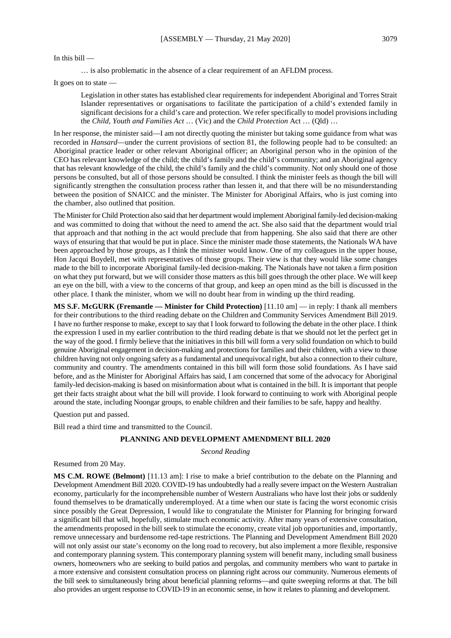#### In this bill —

… is also problematic in the absence of a clear requirement of an AFLDM process.

It goes on to state —

Legislation in other states has established clear requirements for independent Aboriginal and Torres Strait Islander representatives or organisations to facilitate the participation of a child's extended family in significant decisions for a child's care and protection. We refer specifically to model provisions including the *Child, Youth and Families Act* … (Vic) and the *Child Protection* Act … (Qld) …

In her response, the minister said—I am not directly quoting the minister but taking some guidance from what was recorded in *Hansard*—under the current provisions of section 81, the following people had to be consulted: an Aboriginal practice leader or other relevant Aboriginal officer; an Aboriginal person who in the opinion of the CEO has relevant knowledge of the child; the child's family and the child's community; and an Aboriginal agency that has relevant knowledge of the child, the child's family and the child's community. Not only should one of those persons be consulted, but all of those persons should be consulted. I think the minister feels as though the bill will significantly strengthen the consultation process rather than lessen it, and that there will be no misunderstanding between the position of SNAICC and the minister. The Minister for Aboriginal Affairs, who is just coming into the chamber, also outlined that position.

The Minister for Child Protection also said that her department would implement Aboriginal family-led decision-making and was committed to doing that without the need to amend the act. She also said that the department would trial that approach and that nothing in the act would preclude that from happening. She also said that there are other ways of ensuring that that would be put in place. Since the minister made those statements, the Nationals WA have been approached by those groups, as I think the minister would know. One of my colleagues in the upper house, Hon Jacqui Boydell, met with representatives of those groups. Their view is that they would like some changes made to the bill to incorporate Aboriginal family-led decision-making. The Nationals have not taken a firm position on what they put forward, but we will consider those matters as this bill goes through the other place. We will keep an eye on the bill, with a view to the concerns of that group, and keep an open mind as the bill is discussed in the other place. I thank the minister, whom we will no doubt hear from in winding up the third reading.

**MS S.F. McGURK (Fremantle — Minister for Child Protection)** [11.10 am] — in reply: I thank all members for their contributions to the third reading debate on the Children and Community Services Amendment Bill 2019. I have no further response to make, except to say that I look forward to following the debate in the other place. I think the expression I used in my earlier contribution to the third reading debate is that we should not let the perfect get in the way of the good. I firmly believe that the initiatives in this bill will form a very solid foundation on which to build genuine Aboriginal engagement in decision-making and protections for families and their children, with a view to those children having not only ongoing safety as a fundamental and unequivocal right, but also a connection to their culture, community and country. The amendments contained in this bill will form those solid foundations. As I have said before, and as the Minister for Aboriginal Affairs has said, I am concerned that some of the advocacy for Aboriginal family-led decision-making is based on misinformation about what is contained in the bill. It is important that people get their facts straight about what the bill will provide. I look forward to continuing to work with Aboriginal people around the state, including Noongar groups, to enable children and their families to be safe, happy and healthy.

Question put and passed.

Bill read a third time and transmitted to the Council.

#### **PLANNING AND DEVELOPMENT AMENDMENT BILL 2020**

*Second Reading*

Resumed from 20 May.

**MS C.M. ROWE (Belmont)** [11.13 am]: I rise to make a brief contribution to the debate on the Planning and Development Amendment Bill 2020. COVID-19 has undoubtedly had a really severe impact on the Western Australian economy, particularly for the incomprehensible number of Western Australians who have lost their jobs or suddenly found themselves to be dramatically underemployed. At a time when our state is facing the worst economic crisis since possibly the Great Depression, I would like to congratulate the Minister for Planning for bringing forward a significant bill that will, hopefully, stimulate much economic activity. After many years of extensive consultation, the amendments proposed in the bill seek to stimulate the economy, create vital job opportunities and, importantly, remove unnecessary and burdensome red-tape restrictions. The Planning and Development Amendment Bill 2020 will not only assist our state's economy on the long road to recovery, but also implement a more flexible, responsive and contemporary planning system. This contemporary planning system will benefit many, including small business owners, homeowners who are seeking to build patios and pergolas, and community members who want to partake in a more extensive and consistent consultation process on planning right across our community. Numerous elements of the bill seek to simultaneously bring about beneficial planning reforms—and quite sweeping reforms at that. The bill also provides an urgent response to COVID-19 in an economic sense, in how it relates to planning and development.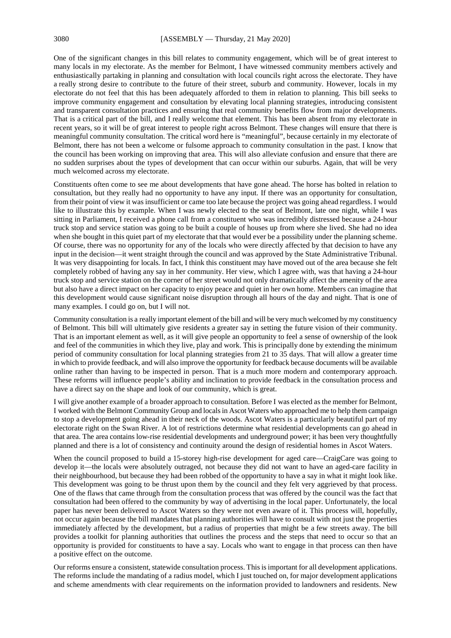One of the significant changes in this bill relates to community engagement, which will be of great interest to many locals in my electorate. As the member for Belmont, I have witnessed community members actively and enthusiastically partaking in planning and consultation with local councils right across the electorate. They have a really strong desire to contribute to the future of their street, suburb and community. However, locals in my electorate do not feel that this has been adequately afforded to them in relation to planning. This bill seeks to improve community engagement and consultation by elevating local planning strategies, introducing consistent and transparent consultation practices and ensuring that real community benefits flow from major developments. That is a critical part of the bill, and I really welcome that element. This has been absent from my electorate in recent years, so it will be of great interest to people right across Belmont. These changes will ensure that there is meaningful community consultation. The critical word here is "meaningful", because certainly in my electorate of Belmont, there has not been a welcome or fulsome approach to community consultation in the past. I know that the council has been working on improving that area. This will also alleviate confusion and ensure that there are no sudden surprises about the types of development that can occur within our suburbs. Again, that will be very much welcomed across my electorate.

Constituents often come to see me about developments that have gone ahead. The horse has bolted in relation to consultation, but they really had no opportunity to have any input. If there was an opportunity for consultation, from their point of view it was insufficient or came too late because the project was going ahead regardless. I would like to illustrate this by example. When I was newly elected to the seat of Belmont, late one night, while I was sitting in Parliament, I received a phone call from a constituent who was incredibly distressed because a 24-hour truck stop and service station was going to be built a couple of houses up from where she lived. She had no idea when she bought in this quiet part of my electorate that that would ever be a possibility under the planning scheme. Of course, there was no opportunity for any of the locals who were directly affected by that decision to have any input in the decision—it went straight through the council and was approved by the State Administrative Tribunal. It was very disappointing for locals. In fact, I think this constituent may have moved out of the area because she felt completely robbed of having any say in her community. Her view, which I agree with, was that having a 24-hour truck stop and service station on the corner of her street would not only dramatically affect the amenity of the area but also have a direct impact on her capacity to enjoy peace and quiet in her own home. Members can imagine that this development would cause significant noise disruption through all hours of the day and night. That is one of many examples. I could go on, but I will not.

Community consultation is a really important element of the bill and will be very much welcomed by my constituency of Belmont. This bill will ultimately give residents a greater say in setting the future vision of their community. That is an important element as well, as it will give people an opportunity to feel a sense of ownership of the look and feel of the communities in which they live, play and work. This is principally done by extending the minimum period of community consultation for local planning strategies from 21 to 35 days. That will allow a greater time in which to provide feedback, and will also improve the opportunity for feedback because documents will be available online rather than having to be inspected in person. That is a much more modern and contemporary approach. These reforms will influence people's ability and inclination to provide feedback in the consultation process and have a direct say on the shape and look of our community, which is great.

I will give another example of a broader approach to consultation. Before I was elected as the member for Belmont, I worked with the Belmont Community Group and locals in Ascot Waters who approached me to help them campaign to stop a development going ahead in their neck of the woods. Ascot Waters is a particularly beautiful part of my electorate right on the Swan River. A lot of restrictions determine what residential developments can go ahead in that area. The area contains low-rise residential developments and underground power; it has been very thoughtfully planned and there is a lot of consistency and continuity around the design of residential homes in Ascot Waters.

When the council proposed to build a 15-storey high-rise development for aged care—CraigCare was going to develop it—the locals were absolutely outraged, not because they did not want to have an aged-care facility in their neighbourhood, but because they had been robbed of the opportunity to have a say in what it might look like. This development was going to be thrust upon them by the council and they felt very aggrieved by that process. One of the flaws that came through from the consultation process that was offered by the council was the fact that consultation had been offered to the community by way of advertising in the local paper. Unfortunately, the local paper has never been delivered to Ascot Waters so they were not even aware of it. This process will, hopefully, not occur again because the bill mandates that planning authorities will have to consult with not just the properties immediately affected by the development, but a radius of properties that might be a few streets away. The bill provides a toolkit for planning authorities that outlines the process and the steps that need to occur so that an opportunity is provided for constituents to have a say. Locals who want to engage in that process can then have a positive effect on the outcome.

Our reforms ensure a consistent, statewide consultation process. This is important for all development applications. The reforms include the mandating of a radius model, which I just touched on, for major development applications and scheme amendments with clear requirements on the information provided to landowners and residents. New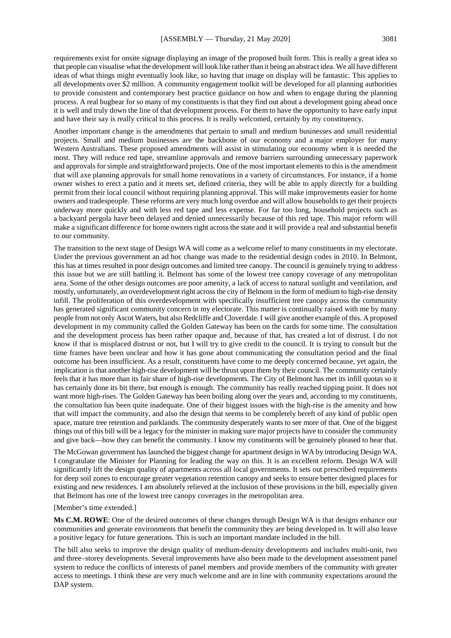requirements exist for onsite signage displaying an image of the proposed built form. This is really a great idea so that people can visualise what the development will look like rather than it being an abstract idea. We all have different ideas of what things might eventually look like, so having that image on display will be fantastic. This applies to all developments over \$2 million. A community engagement toolkit will be developed for all planning authorities to provide consistent and contemporary best practice guidance on how and when to engage during the planning process. A real bugbear for so many of my constituents is that they find out about a development going ahead once it is well and truly down the line of that development process. For them to have the opportunity to have early input and have their say is really critical to this process. It is really welcomed, certainly by my constituency.

Another important change is the amendments that pertain to small and medium businesses and small residential projects. Small and medium businesses are the backbone of our economy and a major employer for many Western Australians. These proposed amendments will assist in stimulating our economy when it is needed the most. They will reduce red tape, streamline approvals and remove barriers surrounding unnecessary paperwork and approvals for simple and straightforward projects. One of the most important elements to this is the amendment that will axe planning approvals for small home renovations in a variety of circumstances. For instance, if a home owner wishes to erect a patio and it meets set, defined criteria, they will be able to apply directly for a building permit from their local council without requiring planning approval. This will make improvements easier for home owners and tradespeople. These reforms are very much long overdue and will allow households to get their projects underway more quickly and with less red tape and less expense. For far too long, household projects such as a backyard pergola have been delayed and denied unnecessarily because of this red tape. This major reform will make a significant difference for home owners right across the state and it will provide a real and substantial benefit to our community.

The transition to the next stage of Design WA will come as a welcome relief to many constituents in my electorate. Under the previous government an ad hoc change was made to the residential design codes in 2010. In Belmont, this has at times resulted in poor design outcomes and limited tree canopy. The council is genuinely trying to address this issue but we are still battling it. Belmont has some of the lowest tree canopy coverage of any metropolitan area. Some of the other design outcomes are poor amenity, a lack of access to natural sunlight and ventilation, and mostly, unfortunately, an overdevelopment right across the city of Belmont in the form of medium to high-rise density infill. The proliferation of this overdevelopment with specifically insufficient tree canopy across the community has generated significant community concern in my electorate. This matter is continually raised with me by many people from not only Ascot Waters, but also Redcliffe and Cloverdale. I will give another example of this. A proposed development in my community called the Golden Gateway has been on the cards for some time. The consultation and the development process has been rather opaque and, because of that, has created a lot of distrust. I do not know if that is misplaced distrust or not, but I will try to give credit to the council. It is trying to consult but the time frames have been unclear and how it has gone about communicating the consultation period and the final outcome has been insufficient. As a result, constituents have come to me deeply concerned because, yet again, the implication is that another high-rise development will be thrust upon them by their council. The community certainly feels that it has more than its fair share of high-rise developments. The City of Belmont has met its infill quotas so it has certainly done its bit there, but enough is enough. The community has really reached tipping point. It does not want more high-rises. The Golden Gateway has been boiling along over the years and, according to my constituents, the consultation has been quite inadequate. One of their biggest issues with the high-rise is the amenity and how that will impact the community, and also the design that seems to be completely bereft of any kind of public open space, mature tree retention and parklands. The community desperately wants to see more of that. One of the biggest things out of this bill will be a legacy for the minister in making sure major projects have to consider the community and give back—how they can benefit the community. I know my constituents will be genuinely pleased to hear that.

The McGowan government has launched the biggest change for apartment design in WA by introducing Design WA. I congratulate the Minister for Planning for leading the way on this. It is an excellent reform. Design WA will significantly lift the design quality of apartments across all local governments. It sets out prescribed requirements for deep soil zones to encourage greater vegetation retention canopy and seeks to ensure better designed places for existing and new residences. I am absolutely relieved at the inclusion of these provisions in the bill, especially given that Belmont has one of the lowest tree canopy coverages in the metropolitan area.

#### [Member's time extended.]

**Ms C.M. ROWE**: One of the desired outcomes of these changes through Design WA is that designs enhance our communities and generate environments that benefit the community they are being developed in. It will also leave a positive legacy for future generations. This is such an important mandate included in the bill.

The bill also seeks to improve the design quality of medium-density developments and includes multi-unit, two and three–storey developments. Several improvements have also been made to the development assessment panel system to reduce the conflicts of interests of panel members and provide members of the community with greater access to meetings. I think these are very much welcome and are in line with community expectations around the DAP system.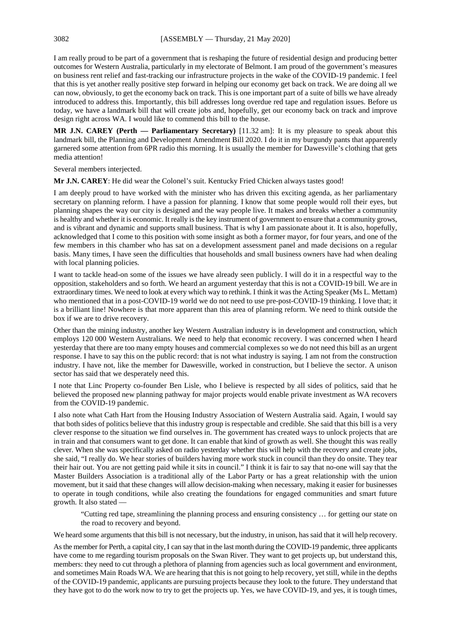I am really proud to be part of a government that is reshaping the future of residential design and producing better outcomes for Western Australia, particularly in my electorate of Belmont. I am proud of the government's measures on business rent relief and fast-tracking our infrastructure projects in the wake of the COVID-19 pandemic. I feel that this is yet another really positive step forward in helping our economy get back on track. We are doing all we can now, obviously, to get the economy back on track. This is one important part of a suite of bills we have already introduced to address this. Importantly, this bill addresses long overdue red tape and regulation issues. Before us today, we have a landmark bill that will create jobs and, hopefully, get our economy back on track and improve design right across WA. I would like to commend this bill to the house.

**MR J.N. CAREY (Perth — Parliamentary Secretary)** [11.32 am]: It is my pleasure to speak about this landmark bill, the Planning and Development Amendment Bill 2020. I do it in my burgundy pants that apparently garnered some attention from 6PR radio this morning. It is usually the member for Dawesville's clothing that gets media attention!

Several members interjected.

**Mr J.N. CAREY**: He did wear the Colonel's suit. Kentucky Fried Chicken always tastes good!

I am deeply proud to have worked with the minister who has driven this exciting agenda, as her parliamentary secretary on planning reform. I have a passion for planning. I know that some people would roll their eyes, but planning shapes the way our city is designed and the way people live. It makes and breaks whether a community is healthy and whether it is economic. It really is the key instrument of government to ensure that a community grows, and is vibrant and dynamic and supports small business. That is why I am passionate about it. It is also, hopefully, acknowledged that I come to this position with some insight as both a former mayor, for four years, and one of the few members in this chamber who has sat on a development assessment panel and made decisions on a regular basis. Many times, I have seen the difficulties that households and small business owners have had when dealing with local planning policies.

I want to tackle head-on some of the issues we have already seen publicly. I will do it in a respectful way to the opposition, stakeholders and so forth. We heard an argument yesterday that this is not a COVID-19 bill. We are in extraordinary times. We need to look at every which way to rethink. I think it was the Acting Speaker (Ms L. Mettam) who mentioned that in a post-COVID-19 world we do not need to use pre-post-COVID-19 thinking. I love that; it is a brilliant line! Nowhere is that more apparent than this area of planning reform. We need to think outside the box if we are to drive recovery.

Other than the mining industry, another key Western Australian industry is in development and construction, which employs 120 000 Western Australians. We need to help that economic recovery. I was concerned when I heard yesterday that there are too many empty houses and commercial complexes so we do not need this bill as an urgent response. I have to say this on the public record: that is not what industry is saying. I am not from the construction industry. I have not, like the member for Dawesville, worked in construction, but I believe the sector. A unison sector has said that we desperately need this.

I note that Linc Property co-founder Ben Lisle, who I believe is respected by all sides of politics, said that he believed the proposed new planning pathway for major projects would enable private investment as WA recovers from the COVID-19 pandemic.

I also note what Cath Hart from the Housing Industry Association of Western Australia said. Again, I would say that both sides of politics believe that this industry group is respectable and credible. She said that this bill is a very clever response to the situation we find ourselves in. The government has created ways to unlock projects that are in train and that consumers want to get done. It can enable that kind of growth as well. She thought this was really clever. When she was specifically asked on radio yesterday whether this will help with the recovery and create jobs, she said, "I really do. We hear stories of builders having more work stuck in council than they do onsite. They tear their hair out. You are not getting paid while it sits in council." I think it is fair to say that no-one will say that the Master Builders Association is a traditional ally of the Labor Party or has a great relationship with the union movement, but it said that these changes will allow decision-making when necessary, making it easier for businesses to operate in tough conditions, while also creating the foundations for engaged communities and smart future growth. It also stated —

"Cutting red tape, streamlining the planning process and ensuring consistency … for getting our state on the road to recovery and beyond.

We heard some arguments that this bill is not necessary, but the industry, in unison, has said that it will help recovery.

As the member for Perth, a capital city, I can say that in the last month during the COVID-19 pandemic, three applicants have come to me regarding tourism proposals on the Swan River. They want to get projects up, but understand this, members: they need to cut through a plethora of planning from agencies such as local government and environment, and sometimes Main Roads WA. We are hearing that this is not going to help recovery, yet still, while in the depths of the COVID-19 pandemic, applicants are pursuing projects because they look to the future. They understand that they have got to do the work now to try to get the projects up. Yes, we have COVID-19, and yes, it is tough times,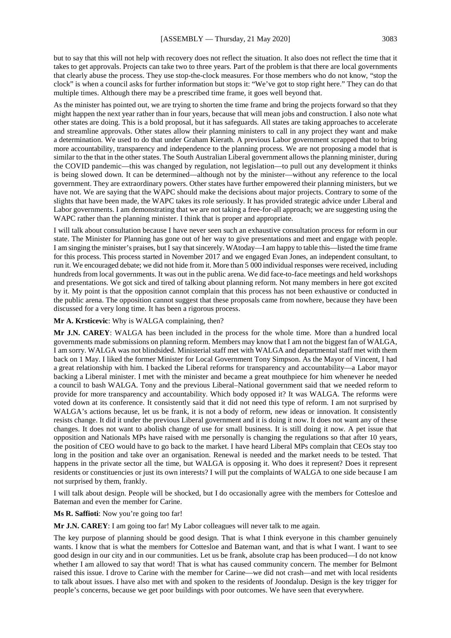but to say that this will not help with recovery does not reflect the situation. It also does not reflect the time that it takes to get approvals. Projects can take two to three years. Part of the problem is that there are local governments that clearly abuse the process. They use stop-the-clock measures. For those members who do not know, "stop the clock" is when a council asks for further information but stops it: "We've got to stop right here." They can do that multiple times. Although there may be a prescribed time frame, it goes well beyond that.

As the minister has pointed out, we are trying to shorten the time frame and bring the projects forward so that they might happen the next year rather than in four years, because that will mean jobs and construction. I also note what other states are doing. This is a bold proposal, but it has safeguards. All states are taking approaches to accelerate and streamline approvals. Other states allow their planning ministers to call in any project they want and make a determination. We used to do that under Graham Kierath. A previous Labor government scrapped that to bring more accountability, transparency and independence to the planning process. We are not proposing a model that is similar to the that in the other states. The South Australian Liberal government allows the planning minister, during the COVID pandemic—this was changed by regulation, not legislation—to pull out any development it thinks is being slowed down. It can be determined—although not by the minister—without any reference to the local government. They are extraordinary powers. Other states have further empowered their planning ministers, but we have not. We are saying that the WAPC should make the decisions about major projects. Contrary to some of the slights that have been made, the WAPC takes its role seriously. It has provided strategic advice under Liberal and Labor governments. I am demonstrating that we are not taking a free-for-all approach; we are suggesting using the WAPC rather than the planning minister. I think that is proper and appropriate.

I will talk about consultation because I have never seen such an exhaustive consultation process for reform in our state. The Minister for Planning has gone out of her way to give presentations and meet and engage with people. I am singing the minister's praises, but I say that sincerely. WAtoday—I am happy to table this—listed the time frame for this process. This process started in November 2017 and we engaged Evan Jones, an independent consultant, to run it. We encouraged debate; we did not hide from it. More than 5 000 individual responses were received, including hundreds from local governments. It was out in the public arena. We did face-to-face meetings and held workshops and presentations. We got sick and tired of talking about planning reform. Not many members in here got excited by it. My point is that the opposition cannot complain that this process has not been exhaustive or conducted in the public arena. The opposition cannot suggest that these proposals came from nowhere, because they have been discussed for a very long time. It has been a rigorous process.

#### **Mr A. Krsticevic**: Why is WALGA complaining, then?

**Mr J.N. CAREY**: WALGA has been included in the process for the whole time. More than a hundred local governments made submissions on planning reform. Members may know that I am not the biggest fan of WALGA, I am sorry. WALGA was not blindsided. Ministerial staff met with WALGA and departmental staff met with them back on 1 May. I liked the former Minister for Local Government Tony Simpson. As the Mayor of Vincent, I had a great relationship with him. I backed the Liberal reforms for transparency and accountability—a Labor mayor backing a Liberal minister. I met with the minister and became a great mouthpiece for him whenever he needed a council to bash WALGA. Tony and the previous Liberal–National government said that we needed reform to provide for more transparency and accountability. Which body opposed it? It was WALGA. The reforms were voted down at its conference. It consistently said that it did not need this type of reform. I am not surprised by WALGA's actions because, let us be frank, it is not a body of reform, new ideas or innovation. It consistently resists change. It did it under the previous Liberal government and it is doing it now. It does not want any of these changes. It does not want to abolish change of use for small business. It is still doing it now. A pet issue that opposition and Nationals MPs have raised with me personally is changing the regulations so that after 10 years, the position of CEO would have to go back to the market. I have heard Liberal MPs complain that CEOs stay too long in the position and take over an organisation. Renewal is needed and the market needs to be tested. That happens in the private sector all the time, but WALGA is opposing it. Who does it represent? Does it represent residents or constituencies or just its own interests? I will put the complaints of WALGA to one side because I am not surprised by them, frankly.

I will talk about design. People will be shocked, but I do occasionally agree with the members for Cottesloe and Bateman and even the member for Carine.

#### **Ms R. Saffioti**: Now you're going too far!

**Mr J.N. CAREY**: I am going too far! My Labor colleagues will never talk to me again.

The key purpose of planning should be good design. That is what I think everyone in this chamber genuinely wants. I know that is what the members for Cottesloe and Bateman want, and that is what I want. I want to see good design in our city and in our communities. Let us be frank, absolute crap has been produced—I do not know whether I am allowed to say that word! That is what has caused community concern. The member for Belmont raised this issue. I drove to Carine with the member for Carine—we did not crash—and met with local residents to talk about issues. I have also met with and spoken to the residents of Joondalup. Design is the key trigger for people's concerns, because we get poor buildings with poor outcomes. We have seen that everywhere.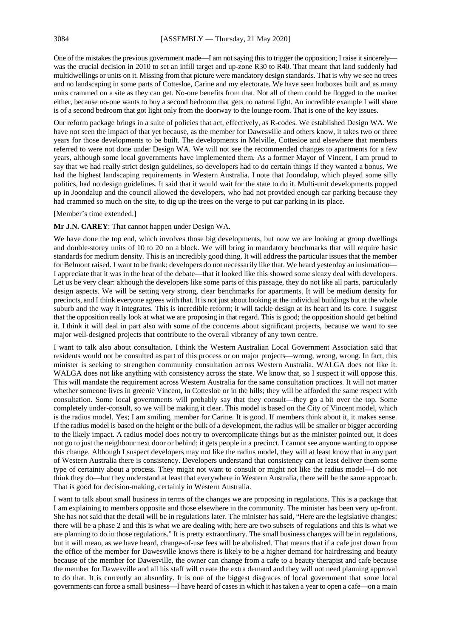One of the mistakes the previous government made—I am not saying this to trigger the opposition; I raise it sincerely was the crucial decision in 2010 to set an infill target and up-zone R30 to R40. That meant that land suddenly had multidwellings or units on it. Missing from that picture were mandatory design standards. That is why we see no trees and no landscaping in some parts of Cottesloe, Carine and my electorate. We have seen hotboxes built and as many units crammed on a site as they can get. No-one benefits from that. Not all of them could be flogged to the market either, because no-one wants to buy a second bedroom that gets no natural light. An incredible example I will share is of a second bedroom that got light only from the doorway to the lounge room. That is one of the key issues.

Our reform package brings in a suite of policies that act, effectively, as R-codes. We established Design WA. We have not seen the impact of that yet because, as the member for Dawesville and others know, it takes two or three years for those developments to be built. The developments in Melville, Cottesloe and elsewhere that members referred to were not done under Design WA. We will not see the recommended changes to apartments for a few years, although some local governments have implemented them. As a former Mayor of Vincent, I am proud to say that we had really strict design guidelines, so developers had to do certain things if they wanted a bonus. We had the highest landscaping requirements in Western Australia. I note that Joondalup, which played some silly politics, had no design guidelines. It said that it would wait for the state to do it. Multi-unit developments popped up in Joondalup and the council allowed the developers, who had not provided enough car parking because they had crammed so much on the site, to dig up the trees on the verge to put car parking in its place.

#### [Member's time extended.]

#### **Mr J.N. CAREY**: That cannot happen under Design WA.

We have done the top end, which involves those big developments, but now we are looking at group dwellings and double-storey units of 10 to 20 on a block. We will bring in mandatory benchmarks that will require basic standards for medium density. This is an incredibly good thing. It will address the particular issues that the member for Belmont raised. I want to be frank: developers do not necessarily like that. We heard yesterday an insinuation— I appreciate that it was in the heat of the debate—that it looked like this showed some sleazy deal with developers. Let us be very clear: although the developers like some parts of this passage, they do not like all parts, particularly design aspects. We will be setting very strong, clear benchmarks for apartments. It will be medium density for precincts, and I think everyone agrees with that. It is not just about looking at the individual buildings but at the whole suburb and the way it integrates. This is incredible reform; it will tackle design at its heart and its core. I suggest that the opposition really look at what we are proposing in that regard. This is good; the opposition should get behind it. I think it will deal in part also with some of the concerns about significant projects, because we want to see major well-designed projects that contribute to the overall vibrancy of any town centre.

I want to talk also about consultation. I think the Western Australian Local Government Association said that residents would not be consulted as part of this process or on major projects—wrong, wrong, wrong. In fact, this minister is seeking to strengthen community consultation across Western Australia. WALGA does not like it. WALGA does not like anything with consistency across the state. We know that, so I suspect it will oppose this. This will mandate the requirement across Western Australia for the same consultation practices. It will not matter whether someone lives in greenie Vincent, in Cottesloe or in the hills; they will be afforded the same respect with consultation. Some local governments will probably say that they consult—they go a bit over the top. Some completely under-consult, so we will be making it clear. This model is based on the City of Vincent model, which is the radius model. Yes; I am smiling, member for Carine. It is good. If members think about it, it makes sense. If the radius model is based on the height or the bulk of a development, the radius will be smaller or bigger according to the likely impact. A radius model does not try to overcomplicate things but as the minister pointed out, it does not go to just the neighbour next door or behind; it gets people in a precinct. I cannot see anyone wanting to oppose this change. Although I suspect developers may not like the radius model, they will at least know that in any part of Western Australia there is consistency. Developers understand that consistency can at least deliver them some type of certainty about a process. They might not want to consult or might not like the radius model—I do not think they do—but they understand at least that everywhere in Western Australia, there will be the same approach. That is good for decision-making, certainly in Western Australia.

I want to talk about small business in terms of the changes we are proposing in regulations. This is a package that I am explaining to members opposite and those elsewhere in the community. The minister has been very up-front. She has not said that the detail will be in regulations later. The minister has said, "Here are the legislative changes; there will be a phase 2 and this is what we are dealing with; here are two subsets of regulations and this is what we are planning to do in those regulations." It is pretty extraordinary. The small business changes will be in regulations, but it will mean, as we have heard, change-of-use fees will be abolished. That means that if a cafe just down from the office of the member for Dawesville knows there is likely to be a higher demand for hairdressing and beauty because of the member for Dawesville, the owner can change from a cafe to a beauty therapist and cafe because the member for Dawesville and all his staff will create the extra demand and they will not need planning approval to do that. It is currently an absurdity. It is one of the biggest disgraces of local government that some local governments can force a small business—I have heard of cases in which it has taken a year to open a cafe—on a main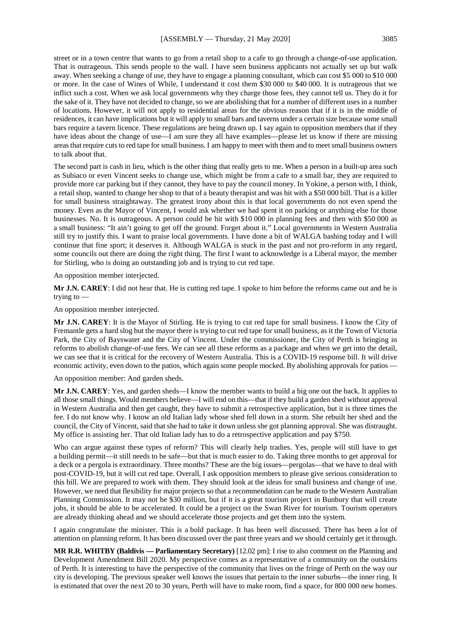street or in a town centre that wants to go from a retail shop to a cafe to go through a change-of-use application. That is outrageous. This sends people to the wall. I have seen business applicants not actually set up but walk

away. When seeking a change of use, they have to engage a planning consultant, which can cost \$5 000 to \$10 000 or more. In the case of Wines of While, I understand it cost them \$30 000 to \$40 000. It is outrageous that we inflict such a cost. When we ask local governments why they charge those fees, they cannot tell us. They do it for the sake of it. They have not decided to change, so we are abolishing that for a number of different uses in a number of locations. However, it will not apply to residential areas for the obvious reason that if it is in the middle of residences, it can have implications but it will apply to small bars and taverns under a certain size because some small bars require a tavern licence. These regulations are being drawn up. I say again to opposition members that if they have ideas about the change of use—I am sure they all have examples—please let us know if there are missing areas that require cuts to red tape for small business. I am happy to meet with them and to meet small business owners to talk about that.

The second part is cash in lieu, which is the other thing that really gets to me. When a person in a built-up area such as Subiaco or even Vincent seeks to change use, which might be from a cafe to a small bar, they are required to provide more car parking but if they cannot, they have to pay the council money. In Yokine, a person with, I think, a retail shop, wanted to change her shop to that of a beauty therapist and was hit with a \$50 000 bill. That is a killer for small business straightaway. The greatest irony about this is that local governments do not even spend the money. Even as the Mayor of Vincent, I would ask whether we had spent it on parking or anything else for those businesses. No. It is outrageous. A person could be hit with \$10 000 in planning fees and then with \$50 000 as a small business: "It ain't going to get off the ground. Forget about it." Local governments in Western Australia still try to justify this. I want to praise local governments. I have done a bit of WALGA bashing today and I will continue that fine sport; it deserves it. Although WALGA is stuck in the past and not pro-reform in any regard, some councils out there are doing the right thing. The first I want to acknowledge is a Liberal mayor, the member for Stirling, who is doing an outstanding job and is trying to cut red tape.

An opposition member interjected.

**Mr J.N. CAREY**: I did not hear that. He is cutting red tape. I spoke to him before the reforms came out and he is trying to —

An opposition member interjected.

**Mr J.N. CAREY**: It is the Mayor of Stirling. He is trying to cut red tape for small business. I know the City of Fremantle gets a hard slog but the mayor there is trying to cut red tape for small business, as it the Town of Victoria Park, the City of Bayswater and the City of Vincent. Under the commissioner, the City of Perth is bringing in reforms to abolish change-of-use fees. We can see all these reforms as a package and when we get into the detail, we can see that it is critical for the recovery of Western Australia. This is a COVID-19 response bill. It will drive economic activity, even down to the patios, which again some people mocked. By abolishing approvals for patios —

An opposition member: And garden sheds.

**Mr J.N. CAREY**: Yes, and garden sheds—I know the member wants to build a big one out the back. It applies to all those small things. Would members believe—I will end on this—that if they build a garden shed without approval in Western Australia and then get caught, they have to submit a retrospective application, but it is three times the fee. I do not know why. I know an old Italian lady whose shed fell down in a storm. She rebuilt her shed and the council, the City of Vincent, said that she had to take it down unless she got planning approval. She was distraught. My office is assisting her. That old Italian lady has to do a retrospective application and pay \$750.

Who can argue against these types of reform? This will clearly help tradies. Yes, people will still have to get a building permit—it still needs to be safe—but that is much easier to do. Taking three months to get approval for a deck or a pergola is extraordinary. Three months? These are the big issues—pergolas—that we have to deal with post-COVID-19, but it will cut red tape. Overall, I ask opposition members to please give serious consideration to this bill. We are prepared to work with them. They should look at the ideas for small business and change of use. However, we need that flexibility for major projects so that a recommendation can be made to the Western Australian Planning Commission. It may not be \$30 million, but if it is a great tourism project in Bunbury that will create jobs, it should be able to be accelerated. It could be a project on the Swan River for tourism. Tourism operators are already thinking ahead and we should accelerate those projects and get them into the system.

I again congratulate the minister. This is a bold package. It has been well discussed. There has been a lot of attention on planning reform. It has been discussed over the past three years and we should certainly get it through.

**MR R.R. WHITBY (Baldivis — Parliamentary Secretary)** [12.02 pm]: I rise to also comment on the Planning and Development Amendment Bill 2020. My perspective comes as a representative of a community on the outskirts of Perth. It is interesting to have the perspective of the community that lives on the fringe of Perth on the way our city is developing. The previous speaker well knows the issues that pertain to the inner suburbs—the inner ring. It is estimated that over the next 20 to 30 years, Perth will have to make room, find a space, for 800 000 new homes.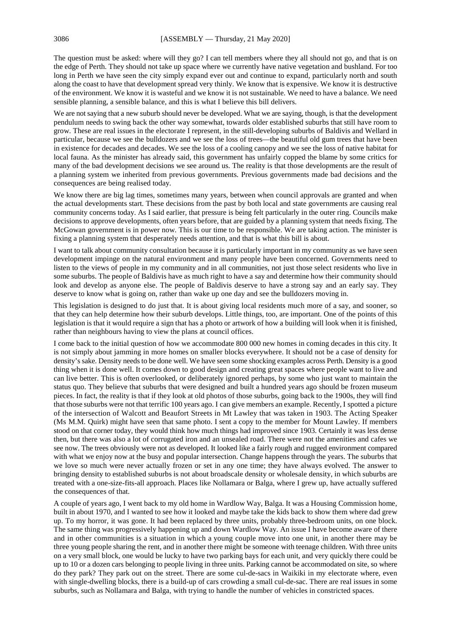The question must be asked: where will they go? I can tell members where they all should not go, and that is on the edge of Perth. They should not take up space where we currently have native vegetation and bushland. For too long in Perth we have seen the city simply expand ever out and continue to expand, particularly north and south along the coast to have that development spread very thinly. We know that is expensive. We know it is destructive of the environment. We know it is wasteful and we know it is not sustainable. We need to have a balance. We need sensible planning, a sensible balance, and this is what I believe this bill delivers.

We are not saying that a new suburb should never be developed. What we are saying, though, is that the development pendulum needs to swing back the other way somewhat, towards older established suburbs that still have room to grow. These are real issues in the electorate I represent, in the still-developing suburbs of Baldivis and Wellard in particular, because we see the bulldozers and we see the loss of trees—the beautiful old gum trees that have been in existence for decades and decades. We see the loss of a cooling canopy and we see the loss of native habitat for local fauna. As the minister has already said, this government has unfairly copped the blame by some critics for many of the bad development decisions we see around us. The reality is that those developments are the result of a planning system we inherited from previous governments. Previous governments made bad decisions and the consequences are being realised today.

We know there are big lag times, sometimes many years, between when council approvals are granted and when the actual developments start. These decisions from the past by both local and state governments are causing real community concerns today. As I said earlier, that pressure is being felt particularly in the outer ring. Councils make decisions to approve developments, often years before, that are guided by a planning system that needs fixing. The McGowan government is in power now. This is our time to be responsible. We are taking action. The minister is fixing a planning system that desperately needs attention, and that is what this bill is about.

I want to talk about community consultation because it is particularly important in my community as we have seen development impinge on the natural environment and many people have been concerned. Governments need to listen to the views of people in my community and in all communities, not just those select residents who live in some suburbs. The people of Baldivis have as much right to have a say and determine how their community should look and develop as anyone else. The people of Baldivis deserve to have a strong say and an early say. They deserve to know what is going on, rather than wake up one day and see the bulldozers moving in.

This legislation is designed to do just that. It is about giving local residents much more of a say, and sooner, so that they can help determine how their suburb develops. Little things, too, are important. One of the points of this legislation is that it would require a sign that has a photo or artwork of how a building will look when it is finished, rather than neighbours having to view the plans at council offices.

I come back to the initial question of how we accommodate 800 000 new homes in coming decades in this city. It is not simply about jamming in more homes on smaller blocks everywhere. It should not be a case of density for density's sake. Density needs to be done well. We have seen some shocking examples across Perth. Density is a good thing when it is done well. It comes down to good design and creating great spaces where people want to live and can live better. This is often overlooked, or deliberately ignored perhaps, by some who just want to maintain the status quo. They believe that suburbs that were designed and built a hundred years ago should be frozen museum pieces. In fact, the reality is that if they look at old photos of those suburbs, going back to the 1900s, they will find that those suburbs were not that terrific 100 years ago. I can give members an example. Recently, I spotted a picture of the intersection of Walcott and Beaufort Streets in Mt Lawley that was taken in 1903. The Acting Speaker (Ms M.M. Quirk) might have seen that same photo. I sent a copy to the member for Mount Lawley. If members stood on that corner today, they would think how much things had improved since 1903. Certainly it was less dense then, but there was also a lot of corrugated iron and an unsealed road. There were not the amenities and cafes we see now. The trees obviously were not as developed. It looked like a fairly rough and rugged environment compared with what we enjoy now at the busy and popular intersection. Change happens through the years. The suburbs that we love so much were never actually frozen or set in any one time; they have always evolved. The answer to bringing density to established suburbs is not about broadscale density or wholesale density, in which suburbs are treated with a one-size-fits-all approach. Places like Nollamara or Balga, where I grew up, have actually suffered the consequences of that.

A couple of years ago, I went back to my old home in Wardlow Way, Balga. It was a Housing Commission home, built in about 1970, and I wanted to see how it looked and maybe take the kids back to show them where dad grew up. To my horror, it was gone. It had been replaced by three units, probably three-bedroom units, on one block. The same thing was progressively happening up and down Wardlow Way. An issue I have become aware of there and in other communities is a situation in which a young couple move into one unit, in another there may be three young people sharing the rent, and in another there might be someone with teenage children. With three units on a very small block, one would be lucky to have two parking bays for each unit, and very quickly there could be up to 10 or a dozen cars belonging to people living in three units. Parking cannot be accommodated on site, so where do they park? They park out on the street. There are some cul-de-sacs in Waikiki in my electorate where, even with single-dwelling blocks, there is a build-up of cars crowding a small cul-de-sac. There are real issues in some suburbs, such as Nollamara and Balga, with trying to handle the number of vehicles in constricted spaces.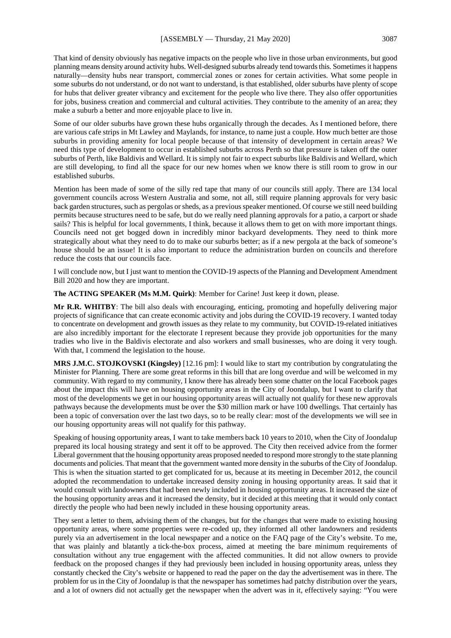That kind of density obviously has negative impacts on the people who live in those urban environments, but good planning means density around activity hubs. Well-designed suburbs already tend towards this. Sometimes it happens naturally—density hubs near transport, commercial zones or zones for certain activities. What some people in some suburbs do not understand, or do not want to understand, is that established, older suburbs have plenty of scope for hubs that deliver greater vibrancy and excitement for the people who live there. They also offer opportunities for jobs, business creation and commercial and cultural activities. They contribute to the amenity of an area; they make a suburb a better and more enjoyable place to live in.

Some of our older suburbs have grown these hubs organically through the decades. As I mentioned before, there are various cafe strips in Mt Lawley and Maylands, for instance, to name just a couple. How much better are those suburbs in providing amenity for local people because of that intensity of development in certain areas? We need this type of development to occur in established suburbs across Perth so that pressure is taken off the outer suburbs of Perth, like Baldivis and Wellard. It is simply not fair to expect suburbs like Baldivis and Wellard, which are still developing, to find all the space for our new homes when we know there is still room to grow in our established suburbs.

Mention has been made of some of the silly red tape that many of our councils still apply. There are 134 local government councils across Western Australia and some, not all, still require planning approvals for very basic back garden structures, such as pergolas or sheds, as a previous speaker mentioned. Of course we still need building permits because structures need to be safe, but do we really need planning approvals for a patio, a carport or shade sails? This is helpful for local governments, I think, because it allows them to get on with more important things. Councils need not get bogged down in incredibly minor backyard developments. They need to think more strategically about what they need to do to make our suburbs better; as if a new pergola at the back of someone's house should be an issue! It is also important to reduce the administration burden on councils and therefore reduce the costs that our councils face.

I will conclude now, but I just want to mention the COVID-19 aspects of the Planning and Development Amendment Bill 2020 and how they are important.

**The ACTING SPEAKER (Ms M.M. Quirk)**: Member for Carine! Just keep it down, please.

**Mr R.R. WHITBY**: The bill also deals with encouraging, enticing, promoting and hopefully delivering major projects of significance that can create economic activity and jobs during the COVID-19 recovery. I wanted today to concentrate on development and growth issues as they relate to my community, but COVID-19-related initiatives are also incredibly important for the electorate I represent because they provide job opportunities for the many tradies who live in the Baldivis electorate and also workers and small businesses, who are doing it very tough. With that, I commend the legislation to the house.

**MRS J.M.C. STOJKOVSKI (Kingsley)** [12.16 pm]: I would like to start my contribution by congratulating the Minister for Planning. There are some great reforms in this bill that are long overdue and will be welcomed in my community. With regard to my community, I know there has already been some chatter on the local Facebook pages about the impact this will have on housing opportunity areas in the City of Joondalup, but I want to clarify that most of the developments we get in our housing opportunity areas will actually not qualify for these new approvals pathways because the developments must be over the \$30 million mark or have 100 dwellings. That certainly has been a topic of conversation over the last two days, so to be really clear: most of the developments we will see in our housing opportunity areas will not qualify for this pathway.

Speaking of housing opportunity areas, I want to take members back 10 years to 2010, when the City of Joondalup prepared its local housing strategy and sent it off to be approved. The City then received advice from the former Liberal government that the housing opportunity areas proposed needed to respond more strongly to the state planning documents and policies. That meant that the government wanted more density in the suburbs of the City of Joondalup. This is when the situation started to get complicated for us, because at its meeting in December 2012, the council adopted the recommendation to undertake increased density zoning in housing opportunity areas. It said that it would consult with landowners that had been newly included in housing opportunity areas. It increased the size of the housing opportunity areas and it increased the density, but it decided at this meeting that it would only contact directly the people who had been newly included in these housing opportunity areas.

They sent a letter to them, advising them of the changes, but for the changes that were made to existing housing opportunity areas, where some properties were re-coded up, they informed all other landowners and residents purely via an advertisement in the local newspaper and a notice on the FAQ page of the City's website. To me, that was plainly and blatantly a tick-the-box process, aimed at meeting the bare minimum requirements of consultation without any true engagement with the affected communities. It did not allow owners to provide feedback on the proposed changes if they had previously been included in housing opportunity areas, unless they constantly checked the City's website or happened to read the paper on the day the advertisement was in there. The problem for us in the City of Joondalup is that the newspaper has sometimes had patchy distribution over the years, and a lot of owners did not actually get the newspaper when the advert was in it, effectively saying: "You were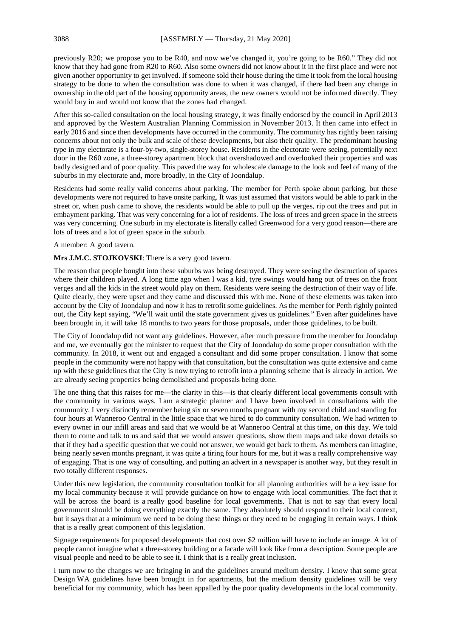previously R20; we propose you to be R40, and now we've changed it, you're going to be R60." They did not know that they had gone from R20 to R60. Also some owners did not know about it in the first place and were not given another opportunity to get involved. If someone sold their house during the time it took from the local housing strategy to be done to when the consultation was done to when it was changed, if there had been any change in ownership in the old part of the housing opportunity areas, the new owners would not be informed directly. They would buy in and would not know that the zones had changed.

After this so-called consultation on the local housing strategy, it was finally endorsed by the council in April 2013 and approved by the Western Australian Planning Commission in November 2013. It then came into effect in early 2016 and since then developments have occurred in the community. The community has rightly been raising concerns about not only the bulk and scale of these developments, but also their quality. The predominant housing type in my electorate is a four-by-two, single-storey house. Residents in the electorate were seeing, potentially next door in the R60 zone, a three-storey apartment block that overshadowed and overlooked their properties and was badly designed and of poor quality. This paved the way for wholescale damage to the look and feel of many of the suburbs in my electorate and, more broadly, in the City of Joondalup.

Residents had some really valid concerns about parking. The member for Perth spoke about parking, but these developments were not required to have onsite parking. It was just assumed that visitors would be able to park in the street or, when push came to shove, the residents would be able to pull up the verges, rip out the trees and put in embayment parking. That was very concerning for a lot of residents. The loss of trees and green space in the streets was very concerning. One suburb in my electorate is literally called Greenwood for a very good reason—there are lots of trees and a lot of green space in the suburb.

## A member: A good tavern.

#### **Mrs J.M.C. STOJKOVSKI**: There is a very good tavern.

The reason that people bought into these suburbs was being destroyed. They were seeing the destruction of spaces where their children played. A long time ago when I was a kid, tyre swings would hang out of trees on the front verges and all the kids in the street would play on them. Residents were seeing the destruction of their way of life. Quite clearly, they were upset and they came and discussed this with me. None of these elements was taken into account by the City of Joondalup and now it has to retrofit some guidelines. As the member for Perth rightly pointed out, the City kept saying, "We'll wait until the state government gives us guidelines." Even after guidelines have been brought in, it will take 18 months to two years for those proposals, under those guidelines, to be built.

The City of Joondalup did not want any guidelines. However, after much pressure from the member for Joondalup and me, we eventually got the minister to request that the City of Joondalup do some proper consultation with the community. In 2018, it went out and engaged a consultant and did some proper consultation. I know that some people in the community were not happy with that consultation, but the consultation was quite extensive and came up with these guidelines that the City is now trying to retrofit into a planning scheme that is already in action. We are already seeing properties being demolished and proposals being done.

The one thing that this raises for me—the clarity in this—is that clearly different local governments consult with the community in various ways. I am a strategic planner and I have been involved in consultations with the community. I very distinctly remember being six or seven months pregnant with my second child and standing for four hours at Wanneroo Central in the little space that we hired to do community consultation. We had written to every owner in our infill areas and said that we would be at Wanneroo Central at this time, on this day. We told them to come and talk to us and said that we would answer questions, show them maps and take down details so that if they had a specific question that we could not answer, we would get back to them. As members can imagine, being nearly seven months pregnant, it was quite a tiring four hours for me, but it was a really comprehensive way of engaging. That is one way of consulting, and putting an advert in a newspaper is another way, but they result in two totally different responses.

Under this new legislation, the community consultation toolkit for all planning authorities will be a key issue for my local community because it will provide guidance on how to engage with local communities. The fact that it will be across the board is a really good baseline for local governments. That is not to say that every local government should be doing everything exactly the same. They absolutely should respond to their local context, but it says that at a minimum we need to be doing these things or they need to be engaging in certain ways. I think that is a really great component of this legislation.

Signage requirements for proposed developments that cost over \$2 million will have to include an image. A lot of people cannot imagine what a three-storey building or a facade will look like from a description. Some people are visual people and need to be able to see it. I think that is a really great inclusion.

I turn now to the changes we are bringing in and the guidelines around medium density. I know that some great Design WA guidelines have been brought in for apartments, but the medium density guidelines will be very beneficial for my community, which has been appalled by the poor quality developments in the local community.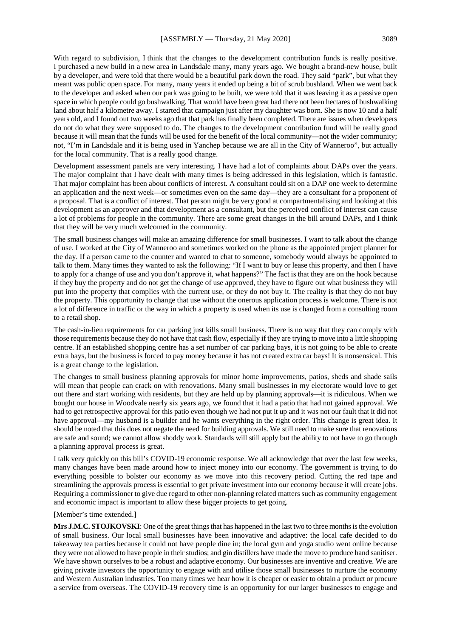With regard to subdivision, I think that the changes to the development contribution funds is really positive. I purchased a new build in a new area in Landsdale many, many years ago. We bought a brand-new house, built by a developer, and were told that there would be a beautiful park down the road. They said "park", but what they meant was public open space. For many, many years it ended up being a bit of scrub bushland. When we went back to the developer and asked when our park was going to be built, we were told that it was leaving it as a passive open space in which people could go bushwalking. That would have been great had there not been hectares of bushwalking land about half a kilometre away. I started that campaign just after my daughter was born. She is now 10 and a half years old, and I found out two weeks ago that that park has finally been completed. There are issues when developers do not do what they were supposed to do. The changes to the development contribution fund will be really good because it will mean that the funds will be used for the benefit of the local community—not the wider community; not, "I'm in Landsdale and it is being used in Yanchep because we are all in the City of Wanneroo", but actually for the local community. That is a really good change.

Development assessment panels are very interesting. I have had a lot of complaints about DAPs over the years. The major complaint that I have dealt with many times is being addressed in this legislation, which is fantastic. That major complaint has been about conflicts of interest. A consultant could sit on a DAP one week to determine an application and the next week—or sometimes even on the same day—they are a consultant for a proponent of a proposal. That is a conflict of interest. That person might be very good at compartmentalising and looking at this development as an approver and that development as a consultant, but the perceived conflict of interest can cause a lot of problems for people in the community. There are some great changes in the bill around DAPs, and I think that they will be very much welcomed in the community.

The small business changes will make an amazing difference for small businesses. I want to talk about the change of use. I worked at the City of Wanneroo and sometimes worked on the phone as the appointed project planner for the day. If a person came to the counter and wanted to chat to someone, somebody would always be appointed to talk to them. Many times they wanted to ask the following: "If I want to buy or lease this property, and then I have to apply for a change of use and you don't approve it, what happens?" The fact is that they are on the hook because if they buy the property and do not get the change of use approved, they have to figure out what business they will put into the property that complies with the current use, or they do not buy it. The reality is that they do not buy the property. This opportunity to change that use without the onerous application process is welcome. There is not a lot of difference in traffic or the way in which a property is used when its use is changed from a consulting room to a retail shop.

The cash-in-lieu requirements for car parking just kills small business. There is no way that they can comply with those requirements because they do not have that cash flow, especially if they are trying to move into a little shopping centre. If an established shopping centre has a set number of car parking bays, it is not going to be able to create extra bays, but the business is forced to pay money because it has not created extra car bays! It is nonsensical. This is a great change to the legislation.

The changes to small business planning approvals for minor home improvements, patios, sheds and shade sails will mean that people can crack on with renovations. Many small businesses in my electorate would love to get out there and start working with residents, but they are held up by planning approvals—it is ridiculous. When we bought our house in Woodvale nearly six years ago, we found that it had a patio that had not gained approval. We had to get retrospective approval for this patio even though we had not put it up and it was not our fault that it did not have approval—my husband is a builder and he wants everything in the right order. This change is great idea. It should be noted that this does not negate the need for building approvals. We still need to make sure that renovations are safe and sound; we cannot allow shoddy work. Standards will still apply but the ability to not have to go through a planning approval process is great.

I talk very quickly on this bill's COVID-19 economic response. We all acknowledge that over the last few weeks, many changes have been made around how to inject money into our economy. The government is trying to do everything possible to bolster our economy as we move into this recovery period. Cutting the red tape and streamlining the approvals process is essential to get private investment into our economy because it will create jobs. Requiring a commissioner to give due regard to other non-planning related matters such as community engagement and economic impact is important to allow these bigger projects to get going.

## [Member's time extended.]

**Mrs J.M.C. STOJKOVSKI**: One of the great things that has happened in the last two to three months is the evolution of small business. Our local small businesses have been innovative and adaptive: the local cafe decided to do takeaway tea parties because it could not have people dine in; the local gym and yoga studio went online because they were not allowed to have people in their studios; and gin distillers have made the move to produce hand sanitiser. We have shown ourselves to be a robust and adaptive economy. Our businesses are inventive and creative. We are giving private investors the opportunity to engage with and utilise those small businesses to nurture the economy and Western Australian industries. Too many times we hear how it is cheaper or easier to obtain a product or procure a service from overseas. The COVID-19 recovery time is an opportunity for our larger businesses to engage and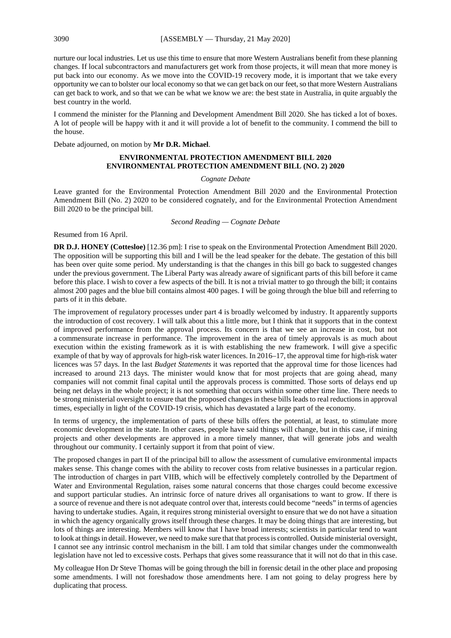nurture our local industries. Let us use this time to ensure that more Western Australians benefit from these planning changes. If local subcontractors and manufacturers get work from those projects, it will mean that more money is put back into our economy. As we move into the COVID-19 recovery mode, it is important that we take every opportunity we can to bolster our local economy so that we can get back on our feet, so that more Western Australians can get back to work, and so that we can be what we know we are: the best state in Australia, in quite arguably the best country in the world.

I commend the minister for the Planning and Development Amendment Bill 2020. She has ticked a lot of boxes. A lot of people will be happy with it and it will provide a lot of benefit to the community. I commend the bill to the house.

Debate adjourned, on motion by **Mr D.R. Michael**.

## **ENVIRONMENTAL PROTECTION AMENDMENT BILL 2020 ENVIRONMENTAL PROTECTION AMENDMENT BILL (NO. 2) 2020**

#### *Cognate Debate*

Leave granted for the Environmental Protection Amendment Bill 2020 and the Environmental Protection Amendment Bill (No. 2) 2020 to be considered cognately, and for the Environmental Protection Amendment Bill 2020 to be the principal bill.

*Second Reading — Cognate Debate*

Resumed from 16 April.

**DR D.J. HONEY (Cottesloe)** [12.36 pm]: I rise to speak on the Environmental Protection Amendment Bill 2020. The opposition will be supporting this bill and I will be the lead speaker for the debate. The gestation of this bill has been over quite some period. My understanding is that the changes in this bill go back to suggested changes under the previous government. The Liberal Party was already aware of significant parts of this bill before it came before this place. I wish to cover a few aspects of the bill. It is not a trivial matter to go through the bill; it contains almost 200 pages and the blue bill contains almost 400 pages. I will be going through the blue bill and referring to parts of it in this debate.

The improvement of regulatory processes under part 4 is broadly welcomed by industry. It apparently supports the introduction of cost recovery. I will talk about this a little more, but I think that it supports that in the context of improved performance from the approval process. Its concern is that we see an increase in cost, but not a commensurate increase in performance. The improvement in the area of timely approvals is as much about execution within the existing framework as it is with establishing the new framework. I will give a specific example of that by way of approvals for high-risk water licences. In 2016–17, the approval time for high-risk water licences was 57 days. In the last *Budget Statements* it was reported that the approval time for those licences had increased to around 213 days. The minister would know that for most projects that are going ahead, many companies will not commit final capital until the approvals process is committed. Those sorts of delays end up being net delays in the whole project; it is not something that occurs within some other time line. There needs to be strong ministerial oversight to ensure that the proposed changes in these bills leads to real reductions in approval times, especially in light of the COVID-19 crisis, which has devastated a large part of the economy.

In terms of urgency, the implementation of parts of these bills offers the potential, at least, to stimulate more economic development in the state. In other cases, people have said things will change, but in this case, if mining projects and other developments are approved in a more timely manner, that will generate jobs and wealth throughout our community. I certainly support it from that point of view.

The proposed changes in part II of the principal bill to allow the assessment of cumulative environmental impacts makes sense. This change comes with the ability to recover costs from relative businesses in a particular region. The introduction of charges in part VIIB, which will be effectively completely controlled by the Department of Water and Environmental Regulation, raises some natural concerns that those charges could become excessive and support particular studies. An intrinsic force of nature drives all organisations to want to grow. If there is a source of revenue and there is not adequate control over that, interests could become "needs" in terms of agencies having to undertake studies. Again, it requires strong ministerial oversight to ensure that we do not have a situation in which the agency organically grows itself through these charges. It may be doing things that are interesting, but lots of things are interesting. Members will know that I have broad interests; scientists in particular tend to want to look at things in detail. However, we need to make sure that that process is controlled. Outside ministerial oversight, I cannot see any intrinsic control mechanism in the bill. I am told that similar changes under the commonwealth legislation have not led to excessive costs. Perhaps that gives some reassurance that it will not do that in this case.

My colleague Hon Dr Steve Thomas will be going through the bill in forensic detail in the other place and proposing some amendments. I will not foreshadow those amendments here. I am not going to delay progress here by duplicating that process.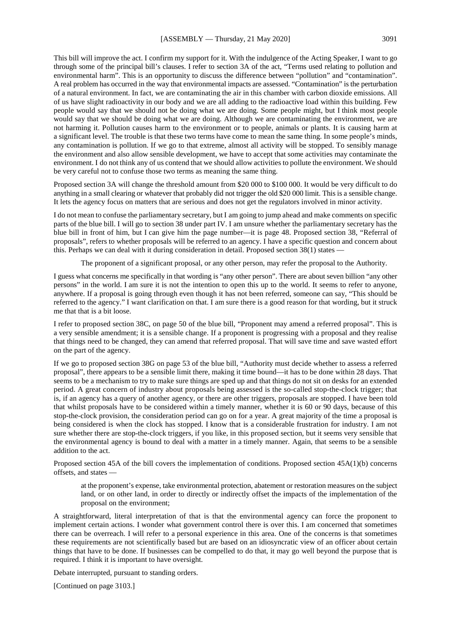This bill will improve the act. I confirm my support for it. With the indulgence of the Acting Speaker, I want to go through some of the principal bill's clauses. I refer to section 3A of the act, "Terms used relating to pollution and environmental harm". This is an opportunity to discuss the difference between "pollution" and "contamination". A real problem has occurred in the way that environmental impacts are assessed. "Contamination" is the perturbation of a natural environment. In fact, we are contaminating the air in this chamber with carbon dioxide emissions. All of us have slight radioactivity in our body and we are all adding to the radioactive load within this building. Few people would say that we should not be doing what we are doing. Some people might, but I think most people would say that we should be doing what we are doing. Although we are contaminating the environment, we are not harming it. Pollution causes harm to the environment or to people, animals or plants. It is causing harm at a significant level. The trouble is that these two terms have come to mean the same thing. In some people's minds, any contamination is pollution. If we go to that extreme, almost all activity will be stopped. To sensibly manage the environment and also allow sensible development, we have to accept that some activities may contaminate the environment. I do not think any of us contend that we should allow activities to pollute the environment. We should be very careful not to confuse those two terms as meaning the same thing.

Proposed section 3A will change the threshold amount from \$20 000 to \$100 000. It would be very difficult to do anything in a small clearing or whatever that probably did not trigger the old \$20 000 limit. This is a sensible change. It lets the agency focus on matters that are serious and does not get the regulators involved in minor activity.

I do not mean to confuse the parliamentary secretary, but I am going to jump ahead and make comments on specific parts of the blue bill. I will go to section 38 under part IV. I am unsure whether the parliamentary secretary has the blue bill in front of him, but I can give him the page number—it is page 48. Proposed section 38, "Referral of proposals", refers to whether proposals will be referred to an agency. I have a specific question and concern about this. Perhaps we can deal with it during consideration in detail. Proposed section 38(1) states —

The proponent of a significant proposal, or any other person, may refer the proposal to the Authority.

I guess what concerns me specifically in that wording is "any other person". There are about seven billion "any other persons" in the world. I am sure it is not the intention to open this up to the world. It seems to refer to anyone, anywhere. If a proposal is going through even though it has not been referred, someone can say, "This should be referred to the agency." I want clarification on that. I am sure there is a good reason for that wording, but it struck me that that is a bit loose.

I refer to proposed section 38C, on page 50 of the blue bill, "Proponent may amend a referred proposal". This is a very sensible amendment; it is a sensible change. If a proponent is progressing with a proposal and they realise that things need to be changed, they can amend that referred proposal. That will save time and save wasted effort on the part of the agency.

If we go to proposed section 38G on page 53 of the blue bill, "Authority must decide whether to assess a referred proposal", there appears to be a sensible limit there, making it time bound—it has to be done within 28 days. That seems to be a mechanism to try to make sure things are sped up and that things do not sit on desks for an extended period. A great concern of industry about proposals being assessed is the so-called stop-the-clock trigger; that is, if an agency has a query of another agency, or there are other triggers, proposals are stopped. I have been told that whilst proposals have to be considered within a timely manner, whether it is 60 or 90 days, because of this stop-the-clock provision, the consideration period can go on for a year. A great majority of the time a proposal is being considered is when the clock has stopped. I know that is a considerable frustration for industry. I am not sure whether there are stop-the-clock triggers, if you like, in this proposed section, but it seems very sensible that the environmental agency is bound to deal with a matter in a timely manner. Again, that seems to be a sensible addition to the act.

Proposed section 45A of the bill covers the implementation of conditions. Proposed section 45A(1)(b) concerns offsets, and states —

at the proponent's expense, take environmental protection, abatement or restoration measures on the subject land, or on other land, in order to directly or indirectly offset the impacts of the implementation of the proposal on the environment;

A straightforward, literal interpretation of that is that the environmental agency can force the proponent to implement certain actions. I wonder what government control there is over this. I am concerned that sometimes there can be overreach. I will refer to a personal experience in this area. One of the concerns is that sometimes these requirements are not scientifically based but are based on an idiosyncratic view of an officer about certain things that have to be done. If businesses can be compelled to do that, it may go well beyond the purpose that is required. I think it is important to have oversight.

Debate interrupted, pursuant to standing orders.

[Continued on page 3103.]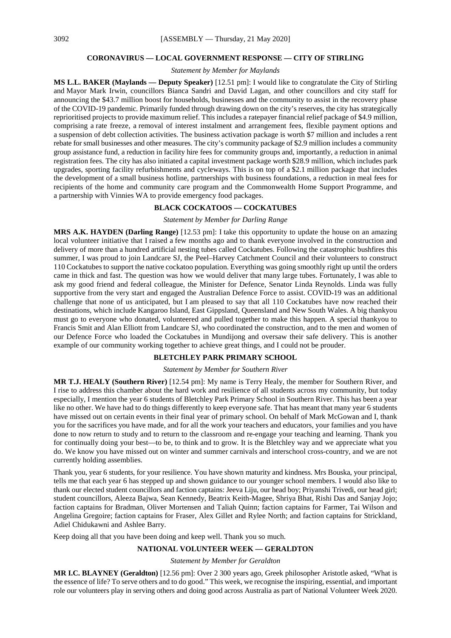#### **CORONAVIRUS — LOCAL GOVERNMENT RESPONSE — CITY OF STIRLING**

*Statement by Member for Maylands*

**MS L.L. BAKER (Maylands — Deputy Speaker)** [12.51 pm]: I would like to congratulate the City of Stirling and Mayor Mark Irwin, councillors Bianca Sandri and David Lagan, and other councillors and city staff for announcing the \$43.7 million boost for households, businesses and the community to assist in the recovery phase of the COVID-19 pandemic. Primarily funded through drawing down on the city's reserves, the city has strategically reprioritised projects to provide maximum relief. This includes a ratepayer financial relief package of \$4.9 million, comprising a rate freeze, a removal of interest instalment and arrangement fees, flexible payment options and a suspension of debt collection activities. The business activation package is worth \$7 million and includes a rent rebate for small businesses and other measures. The city's community package of \$2.9 million includes a community group assistance fund, a reduction in facility hire fees for community groups and, importantly, a reduction in animal registration fees. The city has also initiated a capital investment package worth \$28.9 million, which includes park upgrades, sporting facility refurbishments and cycleways. This is on top of a \$2.1 million package that includes the development of a small business hotline, partnerships with business foundations, a reduction in meal fees for recipients of the home and community care program and the Commonwealth Home Support Programme, and a partnership with Vinnies WA to provide emergency food packages.

## **BLACK COCKATOOS — COCKATUBES**

#### *Statement by Member for Darling Range*

**MRS A.K. HAYDEN (Darling Range)** [12.53 pm]: I take this opportunity to update the house on an amazing local volunteer initiative that I raised a few months ago and to thank everyone involved in the construction and delivery of more than a hundred artificial nesting tubes called Cockatubes. Following the catastrophic bushfires this summer, I was proud to join Landcare SJ, the Peel–Harvey Catchment Council and their volunteers to construct 110 Cockatubes to support the native cockatoo population. Everything was going smoothly right up until the orders came in thick and fast. The question was how we would deliver that many large tubes. Fortunately, I was able to ask my good friend and federal colleague, the Minister for Defence, Senator Linda Reynolds. Linda was fully supportive from the very start and engaged the Australian Defence Force to assist. COVID-19 was an additional challenge that none of us anticipated, but I am pleased to say that all 110 Cockatubes have now reached their destinations, which include Kangaroo Island, East Gippsland, Queensland and New South Wales. A big thankyou must go to everyone who donated, volunteered and pulled together to make this happen. A special thankyou to Francis Smit and Alan Elliott from Landcare SJ, who coordinated the construction, and to the men and women of our Defence Force who loaded the Cockatubes in Mundijong and oversaw their safe delivery. This is another example of our community working together to achieve great things, and I could not be prouder.

## **BLETCHLEY PARK PRIMARY SCHOOL**

## *Statement by Member for Southern River*

**MR T.J. HEALY (Southern River)** [12.54 pm]: My name is Terry Healy, the member for Southern River, and I rise to address this chamber about the hard work and resilience of all students across my community, but today especially, I mention the year 6 students of Bletchley Park Primary School in Southern River. This has been a year like no other. We have had to do things differently to keep everyone safe. That has meant that many year 6 students have missed out on certain events in their final year of primary school. On behalf of Mark McGowan and I, thank you for the sacrifices you have made, and for all the work your teachers and educators, your families and you have done to now return to study and to return to the classroom and re-engage your teaching and learning. Thank you for continually doing your best—to be, to think and to grow. It is the Bletchley way and we appreciate what you do. We know you have missed out on winter and summer carnivals and interschool cross-country, and we are not currently holding assemblies.

Thank you, year 6 students, for your resilience. You have shown maturity and kindness. Mrs Bouska, your principal, tells me that each year 6 has stepped up and shown guidance to our younger school members. I would also like to thank our elected student councillors and faction captains: Jeeva Liju, our head boy; Priyanshi Trivedi, our head girl; student councillors, Aleeza Bajwa, Sean Kennedy, Beatrix Keith-Magee, Shriya Bhat, Rishi Das and Sanjay Jojo; faction captains for Bradman, Oliver Mortensen and Taliah Quinn; faction captains for Farmer, Tai Wilson and Angelina Gregoire; faction captains for Fraser, Alex Gillet and Rylee North; and faction captains for Strickland, Adiel Chidukawni and Ashlee Barry.

Keep doing all that you have been doing and keep well. Thank you so much.

## **NATIONAL VOLUNTEER WEEK — GERALDTON**

#### *Statement by Member for Geraldton*

**MR I.C. BLAYNEY (Geraldton)** [12.56 pm]: Over 2 300 years ago, Greek philosopher Aristotle asked, "What is the essence of life? To serve others and to do good." This week, we recognise the inspiring, essential, and important role our volunteers play in serving others and doing good across Australia as part of National Volunteer Week 2020.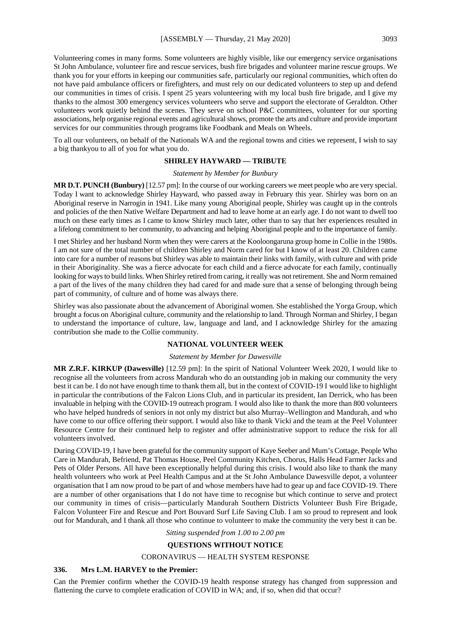Volunteering comes in many forms. Some volunteers are highly visible, like our emergency service organisations St John Ambulance, volunteer fire and rescue services, bush fire brigades and volunteer marine rescue groups. We thank you for your efforts in keeping our communities safe, particularly our regional communities, which often do not have paid ambulance officers or firefighters, and must rely on our dedicated volunteers to step up and defend our communities in times of crisis. I spent 25 years volunteering with my local bush fire brigade, and I give my thanks to the almost 300 emergency services volunteers who serve and support the electorate of Geraldton. Other volunteers work quietly behind the scenes. They serve on school P&C committees, volunteer for our sporting associations, help organise regional events and agricultural shows, promote the arts and culture and provide important services for our communities through programs like Foodbank and Meals on Wheels.

To all our volunteers, on behalf of the Nationals WA and the regional towns and cities we represent, I wish to say a big thankyou to all of you for what you do.

#### **SHIRLEY HAYWARD — TRIBUTE**

*Statement by Member for Bunbury*

**MR D.T. PUNCH (Bunbury)** [12.57 pm]: In the course of our working careers we meet people who are very special. Today I want to acknowledge Shirley Hayward, who passed away in February this year. Shirley was born on an Aboriginal reserve in Narrogin in 1941. Like many young Aboriginal people, Shirley was caught up in the controls and policies of the then Native Welfare Department and had to leave home at an early age. I do not want to dwell too much on these early times as I came to know Shirley much later, other than to say that her experiences resulted in a lifelong commitment to her community, to advancing and helping Aboriginal people and to the importance of family.

I met Shirley and her husband Norm when they were carers at the Kooloongaruna group home in Collie in the 1980s. I am not sure of the total number of children Shirley and Norm cared for but I know of at least 20. Children came into care for a number of reasons but Shirley was able to maintain their links with family, with culture and with pride in their Aboriginality. She was a fierce advocate for each child and a fierce advocate for each family, continually looking for ways to build links. When Shirley retired from caring, it really was not retirement. She and Norm remained a part of the lives of the many children they had cared for and made sure that a sense of belonging through being part of community, of culture and of home was always there.

Shirley was also passionate about the advancement of Aboriginal women. She established the Yorga Group, which brought a focus on Aboriginal culture, community and the relationship to land. Through Norman and Shirley, I began to understand the importance of culture, law, language and land, and I acknowledge Shirley for the amazing contribution she made to the Collie community.

## **NATIONAL VOLUNTEER WEEK**

#### *Statement by Member for Dawesville*

**MR Z.R.F. KIRKUP (Dawesville)** [12.59 pm]: In the spirit of National Volunteer Week 2020, I would like to recognise all the volunteers from across Mandurah who do an outstanding job in making our community the very best it can be. I do not have enough time to thank them all, but in the context of COVID-19 I would like to highlight in particular the contributions of the Falcon Lions Club, and in particular its president, Ian Derrick, who has been invaluable in helping with the COVID-19 outreach program. I would also like to thank the more than 800 volunteers who have helped hundreds of seniors in not only my district but also Murray–Wellington and Mandurah, and who have come to our office offering their support. I would also like to thank Vicki and the team at the Peel Volunteer Resource Centre for their continued help to register and offer administrative support to reduce the risk for all volunteers involved.

During COVID-19, I have been grateful for the community support of Kaye Seeber and Mum's Cottage, People Who Care in Mandurah, Befriend, Pat Thomas House, Peel Community Kitchen, Chorus, Halls Head Farmer Jacks and Pets of Older Persons. All have been exceptionally helpful during this crisis. I would also like to thank the many health volunteers who work at Peel Health Campus and at the St John Ambulance Dawesville depot, a volunteer organisation that I am now proud to be part of and whose members have had to gear up and face COVID-19. There are a number of other organisations that I do not have time to recognise but which continue to serve and protect our community in times of crisis—particularly Mandurah Southern Districts Volunteer Bush Fire Brigade, Falcon Volunteer Fire and Rescue and Port Bouvard Surf Life Saving Club. I am so proud to represent and look out for Mandurah, and I thank all those who continue to volunteer to make the community the very best it can be.

#### *Sitting suspended from 1.00 to 2.00 pm*

#### **QUESTIONS WITHOUT NOTICE**

#### CORONAVIRUS — HEALTH SYSTEM RESPONSE

## **336. Mrs L.M. HARVEY to the Premier:**

Can the Premier confirm whether the COVID-19 health response strategy has changed from suppression and flattening the curve to complete eradication of COVID in WA; and, if so, when did that occur?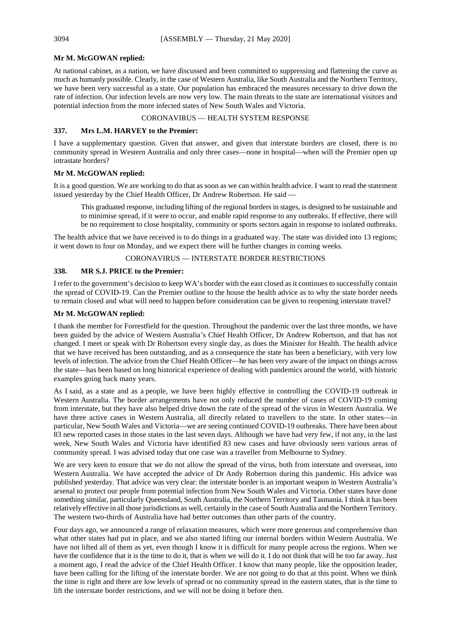#### **Mr M. McGOWAN replied:**

At national cabinet, as a nation, we have discussed and been committed to suppressing and flattening the curve as much as humanly possible. Clearly, in the case of Western Australia, like South Australia and the Northern Territory, we have been very successful as a state. Our population has embraced the measures necessary to drive down the rate of infection. Our infection levels are now very low. The main threats to the state are international visitors and potential infection from the more infected states of New South Wales and Victoria.

## CORONAVIRUS — HEALTH SYSTEM RESPONSE

#### **337. Mrs L.M. HARVEY to the Premier:**

I have a supplementary question. Given that answer, and given that interstate borders are closed, there is no community spread in Western Australia and only three cases—none in hospital—when will the Premier open up intrastate borders?

## **Mr M. McGOWAN replied:**

It is a good question. We are working to do that as soon as we can within health advice. I want to read the statement issued yesterday by the Chief Health Officer, Dr Andrew Robertson. He said -

This graduated response, including lifting of the regional borders in stages, is designed to be sustainable and to minimise spread, if it were to occur, and enable rapid response to any outbreaks. If effective, there will be no requirement to close hospitality, community or sports sectors again in response to isolated outbreaks.

The health advice that we have received is to do things in a graduated way. The state was divided into 13 regions; it went down to four on Monday, and we expect there will be further changes in coming weeks.

#### CORONAVIRUS — INTERSTATE BORDER RESTRICTIONS

## **338. MR S.J. PRICE to the Premier:**

I refer to the government's decision to keep WA's border with the east closed as it continues to successfully contain the spread of COVID-19. Can the Premier outline to the house the health advice as to why the state border needs to remain closed and what will need to happen before consideration can be given to reopening interstate travel?

#### **Mr M. McGOWAN replied:**

I thank the member for Forrestfield for the question. Throughout the pandemic over the last three months, we have been guided by the advice of Western Australia's Chief Health Officer, Dr Andrew Robertson, and that has not changed. I meet or speak with Dr Robertson every single day, as does the Minister for Health. The health advice that we have received has been outstanding, and as a consequence the state has been a beneficiary, with very low levels of infection. The advice from the Chief Health Officer—he has been very aware of the impact on things across the state—has been based on long historical experience of dealing with pandemics around the world, with historic examples going back many years.

As I said, as a state and as a people, we have been highly effective in controlling the COVID-19 outbreak in Western Australia. The border arrangements have not only reduced the number of cases of COVID-19 coming from interstate, but they have also helped drive down the rate of the spread of the virus in Western Australia. We have three active cases in Western Australia, all directly related to travellers to the state. In other states—in particular, New South Wales and Victoria—we are seeing continued COVID-19 outbreaks. There have been about 83 new reported cases in those states in the last seven days. Although we have had very few, if not any, in the last week, New South Wales and Victoria have identified 83 new cases and have obviously seen various areas of community spread. I was advised today that one case was a traveller from Melbourne to Sydney.

We are very keen to ensure that we do not allow the spread of the virus, both from interstate and overseas, into Western Australia. We have accepted the advice of Dr Andy Robertson during this pandemic. His advice was published yesterday. That advice was very clear: the interstate border is an important weapon in Western Australia's arsenal to protect our people from potential infection from New South Wales and Victoria. Other states have done something similar, particularly Queensland, South Australia, the Northern Territory and Tasmania. I think it has been relatively effective in all those jurisdictions as well, certainly in the case of South Australia and the Northern Territory. The western two-thirds of Australia have had better outcomes than other parts of the country.

Four days ago, we announced a range of relaxation measures, which were more generous and comprehensive than what other states had put in place, and we also started lifting our internal borders within Western Australia. We have not lifted all of them as yet, even though I know it is difficult for many people across the regions. When we have the confidence that it is the time to do it, that is when we will do it. I do not think that will be too far away. Just a moment ago, I read the advice of the Chief Health Officer. I know that many people, like the opposition leader, have been calling for the lifting of the interstate border. We are not going to do that at this point. When we think the time is right and there are low levels of spread or no community spread in the eastern states, that is the time to lift the interstate border restrictions, and we will not be doing it before then.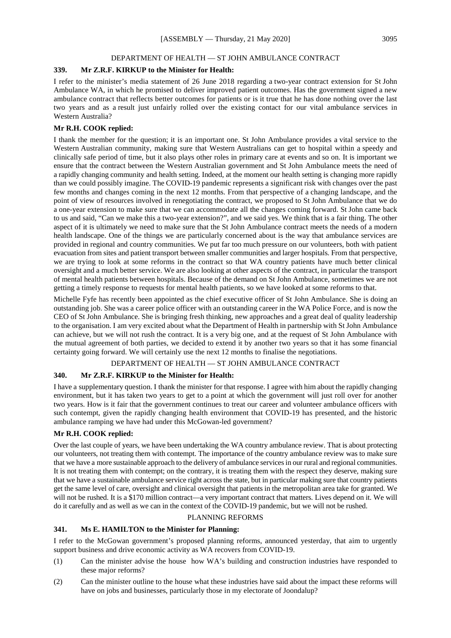## DEPARTMENT OF HEALTH — ST JOHN AMBULANCE CONTRACT

## **339. Mr Z.R.F. KIRKUP to the Minister for Health:**

I refer to the minister's media statement of 26 June 2018 regarding a two-year contract extension for St John Ambulance WA, in which he promised to deliver improved patient outcomes. Has the government signed a new ambulance contract that reflects better outcomes for patients or is it true that he has done nothing over the last two years and as a result just unfairly rolled over the existing contact for our vital ambulance services in Western Australia?

## **Mr R.H. COOK replied:**

I thank the member for the question; it is an important one. St John Ambulance provides a vital service to the Western Australian community, making sure that Western Australians can get to hospital within a speedy and clinically safe period of time, but it also plays other roles in primary care at events and so on. It is important we ensure that the contract between the Western Australian government and St John Ambulance meets the need of a rapidly changing community and health setting. Indeed, at the moment our health setting is changing more rapidly than we could possibly imagine. The COVID-19 pandemic represents a significant risk with changes over the past few months and changes coming in the next 12 months. From that perspective of a changing landscape, and the point of view of resources involved in renegotiating the contract, we proposed to St John Ambulance that we do a one-year extension to make sure that we can accommodate all the changes coming forward. St John came back to us and said, "Can we make this a two-year extension?", and we said yes. We think that is a fair thing. The other aspect of it is ultimately we need to make sure that the St John Ambulance contract meets the needs of a modern health landscape. One of the things we are particularly concerned about is the way that ambulance services are provided in regional and country communities. We put far too much pressure on our volunteers, both with patient evacuation from sites and patient transport between smaller communities and larger hospitals. From that perspective, we are trying to look at some reforms in the contract so that WA country patients have much better clinical oversight and a much better service. We are also looking at other aspects of the contract, in particular the transport of mental health patients between hospitals. Because of the demand on St John Ambulance, sometimes we are not getting a timely response to requests for mental health patients, so we have looked at some reforms to that.

Michelle Fyfe has recently been appointed as the chief executive officer of St John Ambulance. She is doing an outstanding job. She was a career police officer with an outstanding career in the WA Police Force, and is now the CEO of St John Ambulance. She is bringing fresh thinking, new approaches and a great deal of quality leadership to the organisation. I am very excited about what the Department of Health in partnership with St John Ambulance can achieve, but we will not rush the contract. It is a very big one, and at the request of St John Ambulance with the mutual agreement of both parties, we decided to extend it by another two years so that it has some financial certainty going forward. We will certainly use the next 12 months to finalise the negotiations.

## DEPARTMENT OF HEALTH — ST JOHN AMBULANCE CONTRACT

## **340. Mr Z.R.F. KIRKUP to the Minister for Health:**

I have a supplementary question. I thank the minister for that response. I agree with him about the rapidly changing environment, but it has taken two years to get to a point at which the government will just roll over for another two years. How is it fair that the government continues to treat our career and volunteer ambulance officers with such contempt, given the rapidly changing health environment that COVID-19 has presented, and the historic ambulance ramping we have had under this McGowan-led government?

#### **Mr R.H. COOK replied:**

Over the last couple of years, we have been undertaking the WA country ambulance review. That is about protecting our volunteers, not treating them with contempt. The importance of the country ambulance review was to make sure that we have a more sustainable approach to the delivery of ambulance services in our rural and regional communities. It is not treating them with contempt; on the contrary, it is treating them with the respect they deserve, making sure that we have a sustainable ambulance service right across the state, but in particular making sure that country patients get the same level of care, oversight and clinical oversight that patients in the metropolitan area take for granted. We will not be rushed. It is a \$170 million contract—a very important contract that matters. Lives depend on it. We will do it carefully and as well as we can in the context of the COVID-19 pandemic, but we will not be rushed.

## PLANNING REFORMS

## **341. Ms E. HAMILTON to the Minister for Planning:**

I refer to the McGowan government's proposed planning reforms, announced yesterday, that aim to urgently support business and drive economic activity as WA recovers from COVID-19.

- (1) Can the minister advise the house how WA's building and construction industries have responded to these major reforms?
- (2) Can the minister outline to the house what these industries have said about the impact these reforms will have on jobs and businesses, particularly those in my electorate of Joondalup?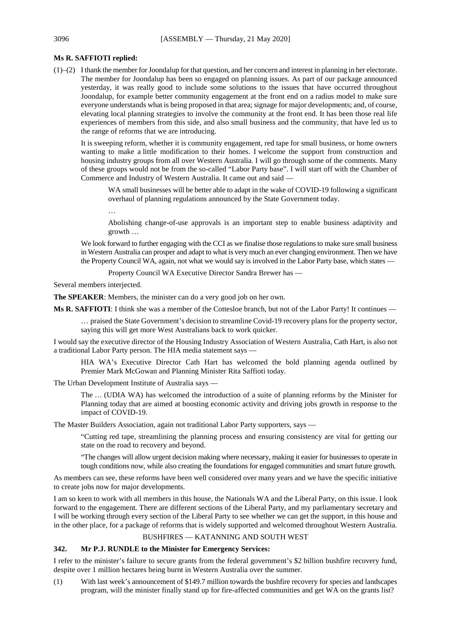## **Ms R. SAFFIOTI replied:**

(1)–(2) I thank the member for Joondalup for that question, and her concern and interest in planning in her electorate. The member for Joondalup has been so engaged on planning issues. As part of our package announced yesterday, it was really good to include some solutions to the issues that have occurred throughout Joondalup, for example better community engagement at the front end on a radius model to make sure everyone understands what is being proposed in that area; signage for major developments; and, of course, elevating local planning strategies to involve the community at the front end. It has been those real life experiences of members from this side, and also small business and the community, that have led us to the range of reforms that we are introducing.

It is sweeping reform, whether it is community engagement, red tape for small business, or home owners wanting to make a little modification to their homes. I welcome the support from construction and housing industry groups from all over Western Australia. I will go through some of the comments. Many of these groups would not be from the so-called "Labor Party base". I will start off with the Chamber of Commerce and Industry of Western Australia. It came out and said —

WA small businesses will be better able to adapt in the wake of COVID-19 following a significant overhaul of planning regulations announced by the State Government today.

…

Abolishing change-of-use approvals is an important step to enable business adaptivity and growth …

We look forward to further engaging with the CCI as we finalise those regulations to make sure small business in Western Australia can prosper and adapt to what is very much an ever changing environment. Then we have the Property Council WA, again, not what we would say is involved in the Labor Party base, which states —

Property Council WA Executive Director Sandra Brewer has —

Several members interjected.

**The SPEAKER**: Members, the minister can do a very good job on her own.

**Ms R. SAFFIOTI**: I think she was a member of the Cottesloe branch, but not of the Labor Party! It continues —

… praised the State Government's decision to streamline Covid-19 recovery plans for the property sector, saying this will get more West Australians back to work quicker.

I would say the executive director of the Housing Industry Association of Western Australia, Cath Hart, is also not a traditional Labor Party person. The HIA media statement says —

HIA WA's Executive Director Cath Hart has welcomed the bold planning agenda outlined by Premier Mark McGowan and Planning Minister Rita Saffioti today.

The Urban Development Institute of Australia says —

The … (UDIA WA) has welcomed the introduction of a suite of planning reforms by the Minister for Planning today that are aimed at boosting economic activity and driving jobs growth in response to the impact of COVID-19.

The Master Builders Association, again not traditional Labor Party supporters, says —

"Cutting red tape, streamlining the planning process and ensuring consistency are vital for getting our state on the road to recovery and beyond.

"The changes will allow urgent decision making where necessary, making it easier for businesses to operate in tough conditions now, while also creating the foundations for engaged communities and smart future growth.

As members can see, these reforms have been well considered over many years and we have the specific initiative to create jobs now for major developments.

I am so keen to work with all members in this house, the Nationals WA and the Liberal Party, on this issue. I look forward to the engagement. There are different sections of the Liberal Party, and my parliamentary secretary and I will be working through every section of the Liberal Party to see whether we can get the support, in this house and in the other place, for a package of reforms that is widely supported and welcomed throughout Western Australia.

## BUSHFIRES — KATANNING AND SOUTH WEST

## **342. Mr P.J. RUNDLE to the Minister for Emergency Services:**

I refer to the minister's failure to secure grants from the federal government's \$2 billion bushfire recovery fund, despite over 1 million hectares being burnt in Western Australia over the summer.

(1) With last week's announcement of \$149.7 million towards the bushfire recovery for species and landscapes program, will the minister finally stand up for fire-affected communities and get WA on the grants list?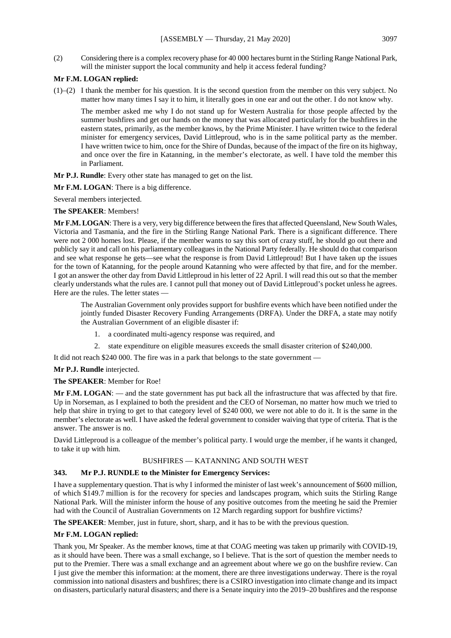(2) Considering there is a complex recovery phase for 40 000 hectares burnt in the Stirling Range National Park, will the minister support the local community and help it access federal funding?

## **Mr F.M. LOGAN replied:**

(1)–(2) I thank the member for his question. It is the second question from the member on this very subject. No matter how many times I say it to him, it literally goes in one ear and out the other. I do not know why.

The member asked me why I do not stand up for Western Australia for those people affected by the summer bushfires and get our hands on the money that was allocated particularly for the bushfires in the eastern states, primarily, as the member knows, by the Prime Minister. I have written twice to the federal minister for emergency services, David Littleproud, who is in the same political party as the member. I have written twice to him, once for the Shire of Dundas, because of the impact of the fire on its highway, and once over the fire in Katanning, in the member's electorate, as well. I have told the member this in Parliament.

**Mr P.J. Rundle**: Every other state has managed to get on the list.

**Mr F.M. LOGAN**: There is a big difference.

Several members interjected.

#### **The SPEAKER**: Members!

**Mr F.M. LOGAN**: There is a very, very big difference between the fires that affected Queensland, New South Wales, Victoria and Tasmania, and the fire in the Stirling Range National Park. There is a significant difference. There were not 2 000 homes lost. Please, if the member wants to say this sort of crazy stuff, he should go out there and publicly say it and call on his parliamentary colleagues in the National Party federally. He should do that comparison and see what response he gets—see what the response is from David Littleproud! But I have taken up the issues for the town of Katanning, for the people around Katanning who were affected by that fire, and for the member. I got an answer the other day from David Littleproud in his letter of 22 April. I will read this out so that the member clearly understands what the rules are. I cannot pull that money out of David Littleproud's pocket unless he agrees. Here are the rules. The letter states —

The Australian Government only provides support for bushfire events which have been notified under the jointly funded Disaster Recovery Funding Arrangements (DRFA). Under the DRFA, a state may notify the Australian Government of an eligible disaster if:

- 1. a coordinated multi-agency response was required, and
- 2. state expenditure on eligible measures exceeds the small disaster criterion of \$240,000.

It did not reach \$240 000. The fire was in a park that belongs to the state government —

## **Mr P.J. Rundle** interjected.

#### **The SPEAKER**: Member for Roe!

**Mr F.M. LOGAN**: — and the state government has put back all the infrastructure that was affected by that fire. Up in Norseman, as I explained to both the president and the CEO of Norseman, no matter how much we tried to help that shire in trying to get to that category level of \$240 000, we were not able to do it. It is the same in the member's electorate as well. I have asked the federal government to consider waiving that type of criteria. That is the answer. The answer is no.

David Littleproud is a colleague of the member's political party. I would urge the member, if he wants it changed, to take it up with him.

## BUSHFIRES — KATANNING AND SOUTH WEST

## **343. Mr P.J. RUNDLE to the Minister for Emergency Services:**

I have a supplementary question. That is why I informed the minister of last week's announcement of \$600 million, of which \$149.7 million is for the recovery for species and landscapes program, which suits the Stirling Range National Park. Will the minister inform the house of any positive outcomes from the meeting he said the Premier had with the Council of Australian Governments on 12 March regarding support for bushfire victims?

**The SPEAKER**: Member, just in future, short, sharp, and it has to be with the previous question.

## **Mr F.M. LOGAN replied:**

Thank you, Mr Speaker. As the member knows, time at that COAG meeting was taken up primarily with COVID-19, as it should have been. There was a small exchange, so I believe. That is the sort of question the member needs to put to the Premier. There was a small exchange and an agreement about where we go on the bushfire review. Can I just give the member this information: at the moment, there are three investigations underway. There is the royal commission into national disasters and bushfires; there is a CSIRO investigation into climate change and its impact on disasters, particularly natural disasters; and there is a Senate inquiry into the 2019–20 bushfires and the response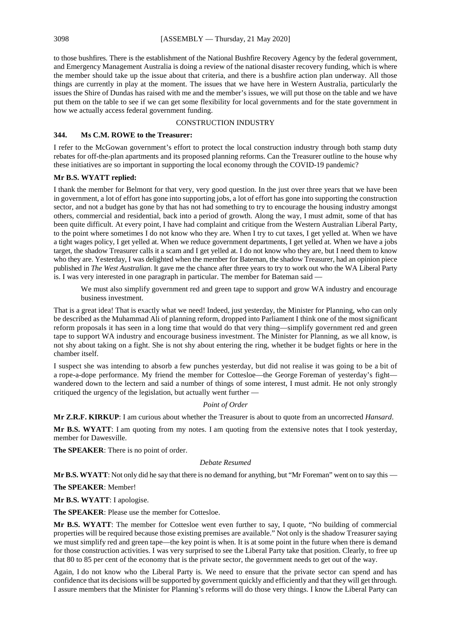to those bushfires. There is the establishment of the National Bushfire Recovery Agency by the federal government, and Emergency Management Australia is doing a review of the national disaster recovery funding, which is where the member should take up the issue about that criteria, and there is a bushfire action plan underway. All those things are currently in play at the moment. The issues that we have here in Western Australia, particularly the issues the Shire of Dundas has raised with me and the member's issues, we will put those on the table and we have put them on the table to see if we can get some flexibility for local governments and for the state government in how we actually access federal government funding.

## CONSTRUCTION INDUSTRY

#### **344. Ms C.M. ROWE to the Treasurer:**

I refer to the McGowan government's effort to protect the local construction industry through both stamp duty rebates for off-the-plan apartments and its proposed planning reforms. Can the Treasurer outline to the house why these initiatives are so important in supporting the local economy through the COVID-19 pandemic?

## **Mr B.S. WYATT replied:**

I thank the member for Belmont for that very, very good question. In the just over three years that we have been in government, a lot of effort has gone into supporting jobs, a lot of effort has gone into supporting the construction sector, and not a budget has gone by that has not had something to try to encourage the housing industry amongst others, commercial and residential, back into a period of growth. Along the way, I must admit, some of that has been quite difficult. At every point, I have had complaint and critique from the Western Australian Liberal Party, to the point where sometimes I do not know who they are. When I try to cut taxes, I get yelled at. When we have a tight wages policy, I get yelled at. When we reduce government departments, I get yelled at. When we have a jobs target, the shadow Treasurer calls it a scam and I get yelled at. I do not know who they are, but I need them to know who they are. Yesterday, I was delighted when the member for Bateman, the shadow Treasurer, had an opinion piece published in *The West Australian*. It gave me the chance after three years to try to work out who the WA Liberal Party is. I was very interested in one paragraph in particular. The member for Bateman said —

We must also simplify government red and green tape to support and grow WA industry and encourage business investment.

That is a great idea! That is exactly what we need! Indeed, just yesterday, the Minister for Planning, who can only be described as the Muhammad Ali of planning reform, dropped into Parliament I think one of the most significant reform proposals it has seen in a long time that would do that very thing—simplify government red and green tape to support WA industry and encourage business investment. The Minister for Planning, as we all know, is not shy about taking on a fight. She is not shy about entering the ring, whether it be budget fights or here in the chamber itself.

I suspect she was intending to absorb a few punches yesterday, but did not realise it was going to be a bit of a rope-a-dope performance. My friend the member for Cottesloe—the George Foreman of yesterday's fight wandered down to the lectern and said a number of things of some interest, I must admit. He not only strongly critiqued the urgency of the legislation, but actually went further —

## *Point of Order*

**Mr Z.R.F. KIRKUP**: I am curious about whether the Treasurer is about to quote from an uncorrected *Hansard*.

**Mr B.S. WYATT**: I am quoting from my notes. I am quoting from the extensive notes that I took yesterday, member for Dawesville.

**The SPEAKER**: There is no point of order.

#### *Debate Resumed*

**Mr B.S. WYATT**: Not only did he say that there is no demand for anything, but "Mr Foreman" went on to say this —

**The SPEAKER**: Member!

**Mr B.S. WYATT**: I apologise.

**The SPEAKER**: Please use the member for Cottesloe.

**Mr B.S. WYATT**: The member for Cottesloe went even further to say, I quote, "No building of commercial properties will be required because those existing premises are available." Not only is the shadow Treasurer saying we must simplify red and green tape—the key point is when. It is at some point in the future when there is demand for those construction activities. I was very surprised to see the Liberal Party take that position. Clearly, to free up that 80 to 85 per cent of the economy that is the private sector, the government needs to get out of the way.

Again, I do not know who the Liberal Party is. We need to ensure that the private sector can spend and has confidence that its decisions will be supported by government quickly and efficiently and that they will get through. I assure members that the Minister for Planning's reforms will do those very things. I know the Liberal Party can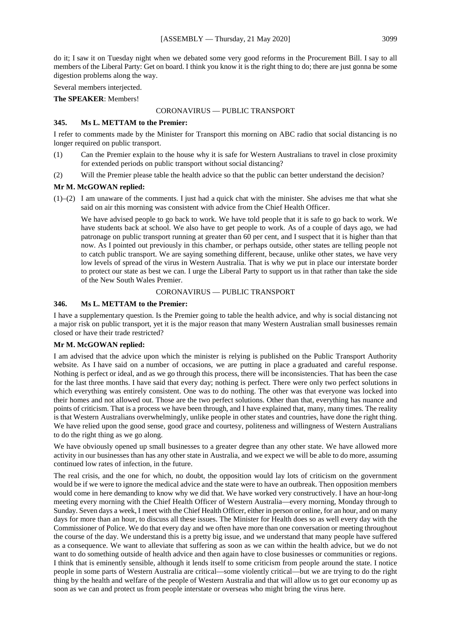do it; I saw it on Tuesday night when we debated some very good reforms in the Procurement Bill. I say to all members of the Liberal Party: Get on board. I think you know it is the right thing to do; there are just gonna be some digestion problems along the way.

Several members interjected.

**The SPEAKER**: Members!

#### CORONAVIRUS — PUBLIC TRANSPORT

## **345. Ms L. METTAM to the Premier:**

I refer to comments made by the Minister for Transport this morning on ABC radio that social distancing is no longer required on public transport.

- (1) Can the Premier explain to the house why it is safe for Western Australians to travel in close proximity for extended periods on public transport without social distancing?
- (2) Will the Premier please table the health advice so that the public can better understand the decision?

## **Mr M. McGOWAN replied:**

 $(1)$ – $(2)$  I am unaware of the comments. I just had a quick chat with the minister. She advises me that what she said on air this morning was consistent with advice from the Chief Health Officer.

We have advised people to go back to work. We have told people that it is safe to go back to work. We have students back at school. We also have to get people to work. As of a couple of days ago, we had patronage on public transport running at greater than 60 per cent, and I suspect that it is higher than that now. As I pointed out previously in this chamber, or perhaps outside, other states are telling people not to catch public transport. We are saying something different, because, unlike other states, we have very low levels of spread of the virus in Western Australia. That is why we put in place our interstate border to protect our state as best we can. I urge the Liberal Party to support us in that rather than take the side of the New South Wales Premier.

## CORONAVIRUS — PUBLIC TRANSPORT

## **346. Ms L. METTAM to the Premier:**

I have a supplementary question. Is the Premier going to table the health advice, and why is social distancing not a major risk on public transport, yet it is the major reason that many Western Australian small businesses remain closed or have their trade restricted?

## **Mr M. McGOWAN replied:**

I am advised that the advice upon which the minister is relying is published on the Public Transport Authority website. As I have said on a number of occasions, we are putting in place a graduated and careful response. Nothing is perfect or ideal, and as we go through this process, there will be inconsistencies. That has been the case for the last three months. I have said that every day; nothing is perfect. There were only two perfect solutions in which everything was entirely consistent. One was to do nothing. The other was that everyone was locked into their homes and not allowed out. Those are the two perfect solutions. Other than that, everything has nuance and points of criticism. That is a process we have been through, and I have explained that, many, many times. The reality is that Western Australians overwhelmingly, unlike people in other states and countries, have done the right thing. We have relied upon the good sense, good grace and courtesy, politeness and willingness of Western Australians to do the right thing as we go along.

We have obviously opened up small businesses to a greater degree than any other state. We have allowed more activity in our businesses than has any other state in Australia, and we expect we will be able to do more, assuming continued low rates of infection, in the future.

The real crisis, and the one for which, no doubt, the opposition would lay lots of criticism on the government would be if we were to ignore the medical advice and the state were to have an outbreak. Then opposition members would come in here demanding to know why we did that. We have worked very constructively. I have an hour-long meeting every morning with the Chief Health Officer of Western Australia—every morning, Monday through to Sunday. Seven days a week, I meet with the Chief Health Officer, either in person or online, for an hour, and on many days for more than an hour, to discuss all these issues. The Minister for Health does so as well every day with the Commissioner of Police. We do that every day and we often have more than one conversation or meeting throughout the course of the day. We understand this is a pretty big issue, and we understand that many people have suffered as a consequence. We want to alleviate that suffering as soon as we can within the health advice, but we do not want to do something outside of health advice and then again have to close businesses or communities or regions. I think that is eminently sensible, although it lends itself to some criticism from people around the state. I notice people in some parts of Western Australia are critical—some violently critical—but we are trying to do the right thing by the health and welfare of the people of Western Australia and that will allow us to get our economy up as soon as we can and protect us from people interstate or overseas who might bring the virus here.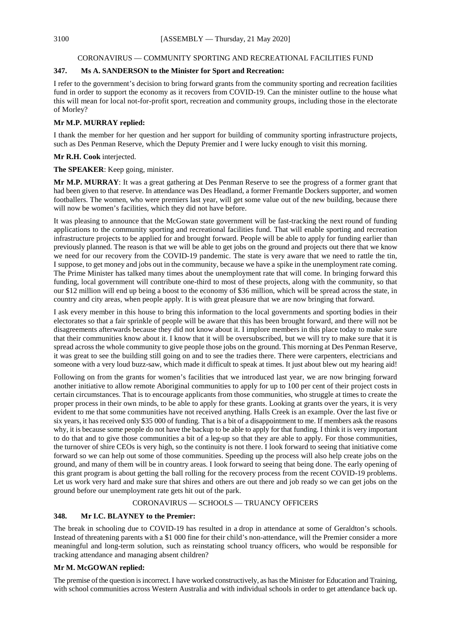## CORONAVIRUS — COMMUNITY SPORTING AND RECREATIONAL FACILITIES FUND

## **347. Ms A. SANDERSON to the Minister for Sport and Recreation:**

I refer to the government's decision to bring forward grants from the community sporting and recreation facilities fund in order to support the economy as it recovers from COVID-19. Can the minister outline to the house what this will mean for local not-for-profit sport, recreation and community groups, including those in the electorate of Morley?

## **Mr M.P. MURRAY replied:**

I thank the member for her question and her support for building of community sporting infrastructure projects, such as Des Penman Reserve, which the Deputy Premier and I were lucky enough to visit this morning.

## **Mr R.H. Cook** interjected.

## **The SPEAKER**: Keep going, minister.

**Mr M.P. MURRAY**: It was a great gathering at Des Penman Reserve to see the progress of a former grant that had been given to that reserve. In attendance was Des Headland, a former Fremantle Dockers supporter, and women footballers. The women, who were premiers last year, will get some value out of the new building, because there will now be women's facilities, which they did not have before.

It was pleasing to announce that the McGowan state government will be fast-tracking the next round of funding applications to the community sporting and recreational facilities fund. That will enable sporting and recreation infrastructure projects to be applied for and brought forward. People will be able to apply for funding earlier than previously planned. The reason is that we will be able to get jobs on the ground and projects out there that we know we need for our recovery from the COVID-19 pandemic. The state is very aware that we need to rattle the tin, I suppose, to get money and jobs out in the community, because we have a spike in the unemployment rate coming. The Prime Minister has talked many times about the unemployment rate that will come. In bringing forward this funding, local government will contribute one-third to most of these projects, along with the community, so that our \$12 million will end up being a boost to the economy of \$36 million, which will be spread across the state, in country and city areas, when people apply. It is with great pleasure that we are now bringing that forward.

I ask every member in this house to bring this information to the local governments and sporting bodies in their electorates so that a fair sprinkle of people will be aware that this has been brought forward, and there will not be disagreements afterwards because they did not know about it. I implore members in this place today to make sure that their communities know about it. I know that it will be oversubscribed, but we will try to make sure that it is spread across the whole community to give people those jobs on the ground. This morning at Des Penman Reserve, it was great to see the building still going on and to see the tradies there. There were carpenters, electricians and someone with a very loud buzz-saw, which made it difficult to speak at times. It just about blew out my hearing aid!

Following on from the grants for women's facilities that we introduced last year, we are now bringing forward another initiative to allow remote Aboriginal communities to apply for up to 100 per cent of their project costs in certain circumstances. That is to encourage applicants from those communities, who struggle at times to create the proper process in their own minds, to be able to apply for these grants. Looking at grants over the years, it is very evident to me that some communities have not received anything. Halls Creek is an example. Over the last five or six years, it has received only \$35 000 of funding. That is a bit of a disappointment to me. If members ask the reasons why, it is because some people do not have the backup to be able to apply for that funding. I think it is very important to do that and to give those communities a bit of a leg-up so that they are able to apply. For those communities, the turnover of shire CEOs is very high, so the continuity is not there. I look forward to seeing that initiative come forward so we can help out some of those communities. Speeding up the process will also help create jobs on the ground, and many of them will be in country areas. I look forward to seeing that being done. The early opening of this grant program is about getting the ball rolling for the recovery process from the recent COVID-19 problems. Let us work very hard and make sure that shires and others are out there and job ready so we can get jobs on the ground before our unemployment rate gets hit out of the park.

#### CORONAVIRUS — SCHOOLS — TRUANCY OFFICERS

## **348. Mr I.C. BLAYNEY to the Premier:**

The break in schooling due to COVID-19 has resulted in a drop in attendance at some of Geraldton's schools. Instead of threatening parents with a \$1 000 fine for their child's non-attendance, will the Premier consider a more meaningful and long-term solution, such as reinstating school truancy officers, who would be responsible for tracking attendance and managing absent children?

## **Mr M. McGOWAN replied:**

The premise of the question is incorrect. I have worked constructively, as has the Minister for Education and Training, with school communities across Western Australia and with individual schools in order to get attendance back up.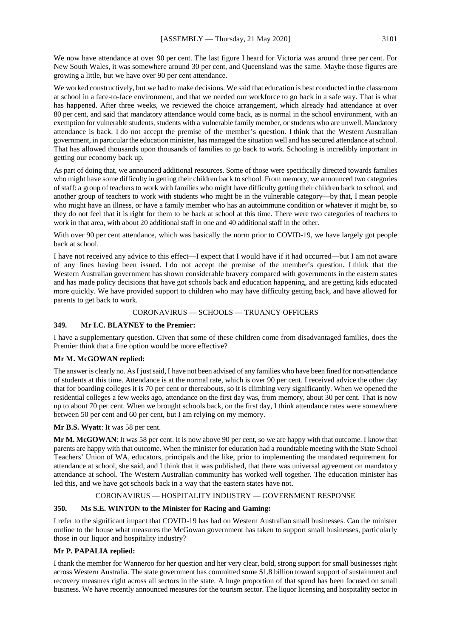We now have attendance at over 90 per cent. The last figure I heard for Victoria was around three per cent. For New South Wales, it was somewhere around 30 per cent, and Queensland was the same. Maybe those figures are growing a little, but we have over 90 per cent attendance.

We worked constructively, but we had to make decisions. We said that education is best conducted in the classroom at school in a face-to-face environment, and that we needed our workforce to go back in a safe way. That is what has happened. After three weeks, we reviewed the choice arrangement, which already had attendance at over 80 per cent, and said that mandatory attendance would come back, as is normal in the school environment, with an exemption for vulnerable students, students with a vulnerable family member, or students who are unwell. Mandatory attendance is back. I do not accept the premise of the member's question. I think that the Western Australian government, in particular the education minister, has managed the situation well and has secured attendance at school. That has allowed thousands upon thousands of families to go back to work. Schooling is incredibly important in getting our economy back up.

As part of doing that, we announced additional resources. Some of those were specifically directed towards families who might have some difficulty in getting their children back to school. From memory, we announced two categories of staff: a group of teachers to work with families who might have difficulty getting their children back to school, and another group of teachers to work with students who might be in the vulnerable category—by that, I mean people who might have an illness, or have a family member who has an autoimmune condition or whatever it might be, so they do not feel that it is right for them to be back at school at this time. There were two categories of teachers to work in that area, with about 20 additional staff in one and 40 additional staff in the other.

With over 90 per cent attendance, which was basically the norm prior to COVID-19, we have largely got people back at school.

I have not received any advice to this effect—I expect that I would have if it had occurred—but I am not aware of any fines having been issued. I do not accept the premise of the member's question. I think that the Western Australian government has shown considerable bravery compared with governments in the eastern states and has made policy decisions that have got schools back and education happening, and are getting kids educated more quickly. We have provided support to children who may have difficulty getting back, and have allowed for parents to get back to work.

#### CORONAVIRUS — SCHOOLS — TRUANCY OFFICERS

#### **349. Mr I.C. BLAYNEY to the Premier:**

I have a supplementary question. Given that some of these children come from disadvantaged families, does the Premier think that a fine option would be more effective?

#### **Mr M. McGOWAN replied:**

The answer is clearly no. As I just said, I have not been advised of any families who have been fined for non-attendance of students at this time. Attendance is at the normal rate, which is over 90 per cent. I received advice the other day that for boarding colleges it is 70 per cent or thereabouts, so it is climbing very significantly. When we opened the residential colleges a few weeks ago, attendance on the first day was, from memory, about 30 per cent. That is now up to about 70 per cent. When we brought schools back, on the first day, I think attendance rates were somewhere between 50 per cent and 60 per cent, but I am relying on my memory.

#### **Mr B.S. Wyatt**: It was 58 per cent.

**Mr M. McGOWAN**: It was 58 per cent. It is now above 90 per cent, so we are happy with that outcome. I know that parents are happy with that outcome. When the minister for education had a roundtable meeting with the State School Teachers' Union of WA, educators, principals and the like, prior to implementing the mandated requirement for attendance at school, she said, and I think that it was published, that there was universal agreement on mandatory attendance at school. The Western Australian community has worked well together. The education minister has led this, and we have got schools back in a way that the eastern states have not.

## CORONAVIRUS — HOSPITALITY INDUSTRY — GOVERNMENT RESPONSE

## **350. Ms S.E. WINTON to the Minister for Racing and Gaming:**

I refer to the significant impact that COVID-19 has had on Western Australian small businesses. Can the minister outline to the house what measures the McGowan government has taken to support small businesses, particularly those in our liquor and hospitality industry?

## **Mr P. PAPALIA replied:**

I thank the member for Wanneroo for her question and her very clear, bold, strong support for small businesses right across Western Australia. The state government has committed some \$1.8 billion toward support of sustainment and recovery measures right across all sectors in the state. A huge proportion of that spend has been focused on small business. We have recently announced measures for the tourism sector. The liquor licensing and hospitality sector in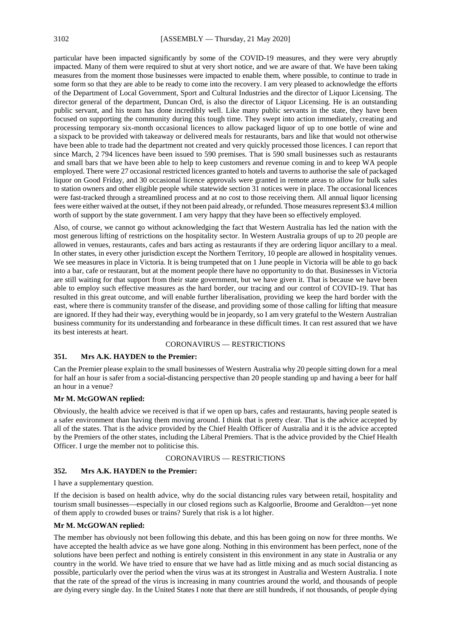particular have been impacted significantly by some of the COVID-19 measures, and they were very abruptly impacted. Many of them were required to shut at very short notice, and we are aware of that. We have been taking measures from the moment those businesses were impacted to enable them, where possible, to continue to trade in some form so that they are able to be ready to come into the recovery. I am very pleased to acknowledge the efforts of the Department of Local Government, Sport and Cultural Industries and the director of Liquor Licensing. The director general of the department, Duncan Ord, is also the director of Liquor Licensing. He is an outstanding public servant, and his team has done incredibly well. Like many public servants in the state, they have been focused on supporting the community during this tough time. They swept into action immediately, creating and processing temporary six-month occasional licences to allow packaged liquor of up to one bottle of wine and a sixpack to be provided with takeaway or delivered meals for restaurants, bars and like that would not otherwise have been able to trade had the department not created and very quickly processed those licences. I can report that since March, 2 794 licences have been issued to 590 premises. That is 590 small businesses such as restaurants and small bars that we have been able to help to keep customers and revenue coming in and to keep WA people employed. There were 27 occasional restricted licences granted to hotels and taverns to authorise the sale of packaged liquor on Good Friday, and 30 occasional licence approvals were granted in remote areas to allow for bulk sales to station owners and other eligible people while statewide section 31 notices were in place. The occasional licences were fast-tracked through a streamlined process and at no cost to those receiving them. All annual liquor licensing fees were either waived at the outset, if they not been paid already, or refunded. Those measures represent \$3.4 million worth of support by the state government. I am very happy that they have been so effectively employed.

Also, of course, we cannot go without acknowledging the fact that Western Australia has led the nation with the most generous lifting of restrictions on the hospitality sector. In Western Australia groups of up to 20 people are allowed in venues, restaurants, cafes and bars acting as restaurants if they are ordering liquor ancillary to a meal. In other states, in every other jurisdiction except the Northern Territory, 10 people are allowed in hospitality venues. We see measures in place in Victoria. It is being trumpeted that on 1 June people in Victoria will be able to go back into a bar, cafe or restaurant, but at the moment people there have no opportunity to do that. Businesses in Victoria are still waiting for that support from their state government, but we have given it. That is because we have been able to employ such effective measures as the hard border, our tracing and our control of COVID-19. That has resulted in this great outcome, and will enable further liberalisation, providing we keep the hard border with the east, where there is community transfer of the disease, and providing some of those calling for lifting that measure are ignored. If they had their way, everything would be in jeopardy, so I am very grateful to the Western Australian business community for its understanding and forbearance in these difficult times. It can rest assured that we have its best interests at heart.

#### CORONAVIRUS — RESTRICTIONS

## **351. Mrs A.K. HAYDEN to the Premier:**

Can the Premier please explain to the small businesses of Western Australia why 20 people sitting down for a meal for half an hour is safer from a social-distancing perspective than 20 people standing up and having a beer for half an hour in a venue?

## **Mr M. McGOWAN replied:**

Obviously, the health advice we received is that if we open up bars, cafes and restaurants, having people seated is a safer environment than having them moving around. I think that is pretty clear. That is the advice accepted by all of the states. That is the advice provided by the Chief Health Officer of Australia and it is the advice accepted by the Premiers of the other states, including the Liberal Premiers. That is the advice provided by the Chief Health Officer. I urge the member not to politicise this.

## CORONAVIRUS — RESTRICTIONS

#### **352. Mrs A.K. HAYDEN to the Premier:**

I have a supplementary question.

If the decision is based on health advice, why do the social distancing rules vary between retail, hospitality and tourism small businesses—especially in our closed regions such as Kalgoorlie, Broome and Geraldton—yet none of them apply to crowded buses or trains? Surely that risk is a lot higher.

#### **Mr M. McGOWAN replied:**

The member has obviously not been following this debate, and this has been going on now for three months. We have accepted the health advice as we have gone along. Nothing in this environment has been perfect, none of the solutions have been perfect and nothing is entirely consistent in this environment in any state in Australia or any country in the world. We have tried to ensure that we have had as little mixing and as much social distancing as possible, particularly over the period when the virus was at its strongest in Australia and Western Australia. I note that the rate of the spread of the virus is increasing in many countries around the world, and thousands of people are dying every single day. In the United States I note that there are still hundreds, if not thousands, of people dying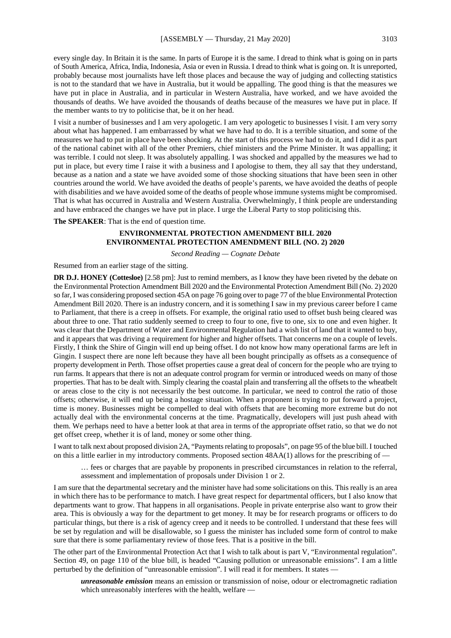every single day. In Britain it is the same. In parts of Europe it is the same. I dread to think what is going on in parts of South America, Africa, India, Indonesia, Asia or even in Russia. I dread to think what is going on. It is unreported, probably because most journalists have left those places and because the way of judging and collecting statistics is not to the standard that we have in Australia, but it would be appalling. The good thing is that the measures we have put in place in Australia, and in particular in Western Australia, have worked, and we have avoided the thousands of deaths. We have avoided the thousands of deaths because of the measures we have put in place. If the member wants to try to politicise that, be it on her head.

I visit a number of businesses and I am very apologetic. I am very apologetic to businesses I visit. I am very sorry about what has happened. I am embarrassed by what we have had to do. It is a terrible situation, and some of the measures we had to put in place have been shocking. At the start of this process we had to do it, and I did it as part of the national cabinet with all of the other Premiers, chief ministers and the Prime Minister. It was appalling; it was terrible. I could not sleep. It was absolutely appalling. I was shocked and appalled by the measures we had to put in place, but every time I raise it with a business and I apologise to them, they all say that they understand, because as a nation and a state we have avoided some of those shocking situations that have been seen in other countries around the world. We have avoided the deaths of people's parents, we have avoided the deaths of people with disabilities and we have avoided some of the deaths of people whose immune systems might be compromised. That is what has occurred in Australia and Western Australia. Overwhelmingly, I think people are understanding and have embraced the changes we have put in place. I urge the Liberal Party to stop politicising this.

**The SPEAKER**: That is the end of question time.

## **ENVIRONMENTAL PROTECTION AMENDMENT BILL 2020 ENVIRONMENTAL PROTECTION AMENDMENT BILL (NO. 2) 2020**

*Second Reading — Cognate Debate*

Resumed from an earlier stage of the sitting.

**DR D.J. HONEY** (Cottesloe) [2.58 pm]: Just to remind members, as I know they have been riveted by the debate on the Environmental Protection Amendment Bill 2020 and the Environmental Protection Amendment Bill (No. 2) 2020 so far, I was considering proposed section 45A on page 76 going over to page 77 of the blue Environmental Protection Amendment Bill 2020. There is an industry concern, and it is something I saw in my previous career before I came to Parliament, that there is a creep in offsets. For example, the original ratio used to offset bush being cleared was about three to one. That ratio suddenly seemed to creep to four to one, five to one, six to one and even higher. It was clear that the Department of Water and Environmental Regulation had a wish list of land that it wanted to buy, and it appears that was driving a requirement for higher and higher offsets. That concerns me on a couple of levels. Firstly, I think the Shire of Gingin will end up being offset. I do not know how many operational farms are left in Gingin. I suspect there are none left because they have all been bought principally as offsets as a consequence of property development in Perth. Those offset properties cause a great deal of concern for the people who are trying to run farms. It appears that there is not an adequate control program for vermin or introduced weeds on many of those properties. That has to be dealt with. Simply clearing the coastal plain and transferring all the offsets to the wheatbelt or areas close to the city is not necessarily the best outcome. In particular, we need to control the ratio of those offsets; otherwise, it will end up being a hostage situation. When a proponent is trying to put forward a project, time is money. Businesses might be compelled to deal with offsets that are becoming more extreme but do not actually deal with the environmental concerns at the time. Pragmatically, developers will just push ahead with them. We perhaps need to have a better look at that area in terms of the appropriate offset ratio, so that we do not get offset creep, whether it is of land, money or some other thing.

I want to talk next about proposed division 2A, "Payments relating to proposals", on page 95 of the blue bill. I touched on this a little earlier in my introductory comments. Proposed section 48AA(1) allows for the prescribing of —

… fees or charges that are payable by proponents in prescribed circumstances in relation to the referral, assessment and implementation of proposals under Division 1 or 2.

I am sure that the departmental secretary and the minister have had some solicitations on this. This really is an area in which there has to be performance to match. I have great respect for departmental officers, but I also know that departments want to grow. That happens in all organisations. People in private enterprise also want to grow their area. This is obviously a way for the department to get money. It may be for research programs or officers to do particular things, but there is a risk of agency creep and it needs to be controlled. I understand that these fees will be set by regulation and will be disallowable, so I guess the minister has included some form of control to make sure that there is some parliamentary review of those fees. That is a positive in the bill.

The other part of the Environmental Protection Act that I wish to talk about is part V, "Environmental regulation". Section 49, on page 110 of the blue bill, is headed "Causing pollution or unreasonable emissions". I am a little perturbed by the definition of "unreasonable emission". I will read it for members. It states —

*unreasonable emission* means an emission or transmission of noise, odour or electromagnetic radiation which unreasonably interferes with the health, welfare —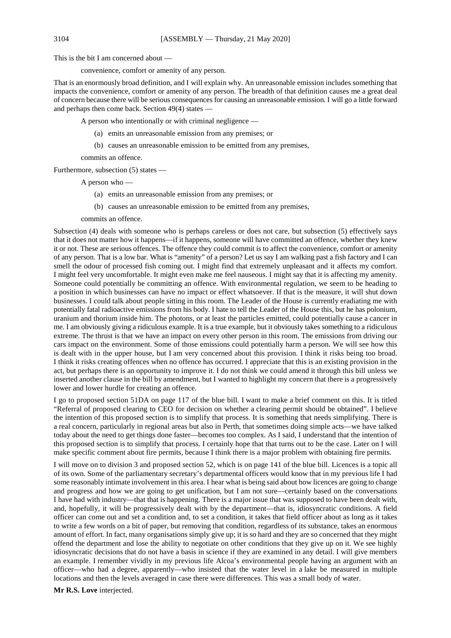This is the bit I am concerned about —

convenience, comfort or amenity of any person.

That is an enormously broad definition, and I will explain why. An unreasonable emission includes something that impacts the convenience, comfort or amenity of any person. The breadth of that definition causes me a great deal of concern because there will be serious consequences for causing an unreasonable emission. I will go a little forward and perhaps then come back. Section 49(4) states —

A person who intentionally or with criminal negligence —

- (a) emits an unreasonable emission from any premises; or
- (b) causes an unreasonable emission to be emitted from any premises,

commits an offence.

Furthermore, subsection (5) states —

A person who —

- (a) emits an unreasonable emission from any premises; or
- (b) causes an unreasonable emission to be emitted from any premises,

commits an offence.

Subsection (4) deals with someone who is perhaps careless or does not care, but subsection (5) effectively says that it does not matter how it happens—if it happens, someone will have committed an offence, whether they knew it or not. These are serious offences. The offence they could commit is to affect the convenience, comfort or amenity of any person. That is a low bar. What is "amenity" of a person? Let us say I am walking past a fish factory and I can smell the odour of processed fish coming out. I might find that extremely unpleasant and it affects my comfort. I might feel very uncomfortable. It might even make me feel nauseous. I might say that it is affecting my amenity. Someone could potentially be committing an offence. With environmental regulation, we seem to be heading to a position in which businesses can have no impact or effect whatsoever. If that is the measure, it will shut down businesses. I could talk about people sitting in this room. The Leader of the House is currently eradiating me with potentially fatal radioactive emissions from his body. I hate to tell the Leader of the House this, but he has polonium, uranium and thorium inside him. The photons, or at least the particles emitted, could potentially cause a cancer in me. I am obviously giving a ridiculous example. It is a true example, but it obviously takes something to a ridiculous extreme. The thrust is that we have an impact on every other person in this room. The emissions from driving our cars impact on the environment. Some of those emissions could potentially harm a person. We will see how this is dealt with in the upper house, but I am very concerned about this provision. I think it risks being too broad. I think it risks creating offences when no offence has occurred. I appreciate that this is an existing provision in the act, but perhaps there is an opportunity to improve it. I do not think we could amend it through this bill unless we inserted another clause in the bill by amendment, but I wanted to highlight my concern that there is a progressively lower and lower hurdle for creating an offence.

I go to proposed section 51DA on page 117 of the blue bill. I want to make a brief comment on this. It is titled "Referral of proposed clearing to CEO for decision on whether a clearing permit should be obtained". I believe the intention of this proposed section is to simplify that process. It is something that needs simplifying. There is a real concern, particularly in regional areas but also in Perth, that sometimes doing simple acts—we have talked today about the need to get things done faster—becomes too complex. As I said, I understand that the intention of this proposed section is to simplify that process. I certainly hope that that turns out to be the case. Later on I will make specific comment about fire permits, because I think there is a major problem with obtaining fire permits.

I will move on to division 3 and proposed section 52, which is on page 141 of the blue bill. Licences is a topic all of its own. Some of the parliamentary secretary's departmental officers would know that in my previous life I had some reasonably intimate involvement in this area. I hear what is being said about how licences are going to change and progress and how we are going to get unification, but I am not sure—certainly based on the conversations I have had with industry—that that is happening. There is a major issue that was supposed to have been dealt with, and, hopefully, it will be progressively dealt with by the department—that is, idiosyncratic conditions. A field officer can come out and set a condition and, to set a condition, it takes that field officer about as long as it takes to write a few words on a bit of paper, but removing that condition, regardless of its substance, takes an enormous amount of effort. In fact, many organisations simply give up; it is so hard and they are so concerned that they might offend the department and lose the ability to negotiate on other conditions that they give up on it. We see highly idiosyncratic decisions that do not have a basis in science if they are examined in any detail. I will give members an example. I remember vividly in my previous life Alcoa's environmental people having an argument with an officer—who had a degree, apparently—who insisted that the water level in a lake be measured in multiple locations and then the levels averaged in case there were differences. This was a small body of water.

**Mr R.S. Love** interjected.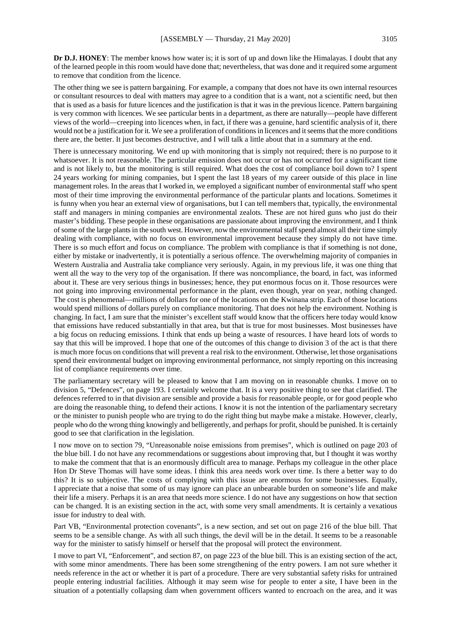**Dr D.J. HONEY**: The member knows how water is; it is sort of up and down like the Himalayas. I doubt that any of the learned people in this room would have done that; nevertheless, that was done and it required some argument to remove that condition from the licence.

The other thing we see is pattern bargaining. For example, a company that does not have its own internal resources or consultant resources to deal with matters may agree to a condition that is a want, not a scientific need, but then that is used as a basis for future licences and the justification is that it was in the previous licence. Pattern bargaining is very common with licences. We see particular bents in a department, as there are naturally—people have different views of the world—creeping into licences when, in fact, if there was a genuine, hard scientific analysis of it, there would not be a justification for it. We see a proliferation of conditions in licences and it seems that the more conditions there are, the better. It just becomes destructive, and I will talk a little about that in a summary at the end.

There is unnecessary monitoring. We end up with monitoring that is simply not required; there is no purpose to it whatsoever. It is not reasonable. The particular emission does not occur or has not occurred for a significant time and is not likely to, but the monitoring is still required. What does the cost of compliance boil down to? I spent 24 years working for mining companies, but I spent the last 18 years of my career outside of this place in line management roles. In the areas that I worked in, we employed a significant number of environmental staff who spent most of their time improving the environmental performance of the particular plants and locations. Sometimes it is funny when you hear an external view of organisations, but I can tell members that, typically, the environmental staff and managers in mining companies are environmental zealots. These are not hired guns who just do their master's bidding. These people in these organisations are passionate about improving the environment, and I think of some of the large plants in the south west. However, now the environmental staff spend almost all their time simply dealing with compliance, with no focus on environmental improvement because they simply do not have time. There is so much effort and focus on compliance. The problem with compliance is that if something is not done, either by mistake or inadvertently, it is potentially a serious offence. The overwhelming majority of companies in Western Australia and Australia take compliance very seriously. Again, in my previous life, it was one thing that went all the way to the very top of the organisation. If there was noncompliance, the board, in fact, was informed about it. These are very serious things in businesses; hence, they put enormous focus on it. Those resources were not going into improving environmental performance in the plant, even though, year on year, nothing changed. The cost is phenomenal—millions of dollars for one of the locations on the Kwinana strip. Each of those locations would spend millions of dollars purely on compliance monitoring. That does not help the environment. Nothing is changing. In fact, I am sure that the minister's excellent staff would know that the officers here today would know that emissions have reduced substantially in that area, but that is true for most businesses. Most businesses have a big focus on reducing emissions. I think that ends up being a waste of resources. I have heard lots of words to say that this will be improved. I hope that one of the outcomes of this change to division 3 of the act is that there is much more focus on conditions that will prevent a real risk to the environment. Otherwise, let those organisations spend their environmental budget on improving environmental performance, not simply reporting on this increasing list of compliance requirements over time.

The parliamentary secretary will be pleased to know that I am moving on in reasonable chunks. I move on to division 5, "Defences", on page 193. I certainly welcome that. It is a very positive thing to see that clarified. The defences referred to in that division are sensible and provide a basis for reasonable people, or for good people who are doing the reasonable thing, to defend their actions. I know it is not the intention of the parliamentary secretary or the minister to punish people who are trying to do the right thing but maybe make a mistake. However, clearly, people who do the wrong thing knowingly and belligerently, and perhaps for profit, should be punished. It is certainly good to see that clarification in the legislation.

I now move on to section 79, "Unreasonable noise emissions from premises", which is outlined on page 203 of the blue bill. I do not have any recommendations or suggestions about improving that, but I thought it was worthy to make the comment that that is an enormously difficult area to manage. Perhaps my colleague in the other place Hon Dr Steve Thomas will have some ideas. I think this area needs work over time. Is there a better way to do this? It is so subjective. The costs of complying with this issue are enormous for some businesses. Equally, I appreciate that a noise that some of us may ignore can place an unbearable burden on someone's life and make their life a misery. Perhaps it is an area that needs more science. I do not have any suggestions on how that section can be changed. It is an existing section in the act, with some very small amendments. It is certainly a vexatious issue for industry to deal with.

Part VB, "Environmental protection covenants", is a new section, and set out on page 216 of the blue bill. That seems to be a sensible change. As with all such things, the devil will be in the detail. It seems to be a reasonable way for the minister to satisfy himself or herself that the proposal will protect the environment.

I move to part VI, "Enforcement", and section 87, on page 223 of the blue bill. This is an existing section of the act, with some minor amendments. There has been some strengthening of the entry powers. I am not sure whether it needs reference in the act or whether it is part of a procedure. There are very substantial safety risks for untrained people entering industrial facilities. Although it may seem wise for people to enter a site, I have been in the situation of a potentially collapsing dam when government officers wanted to encroach on the area, and it was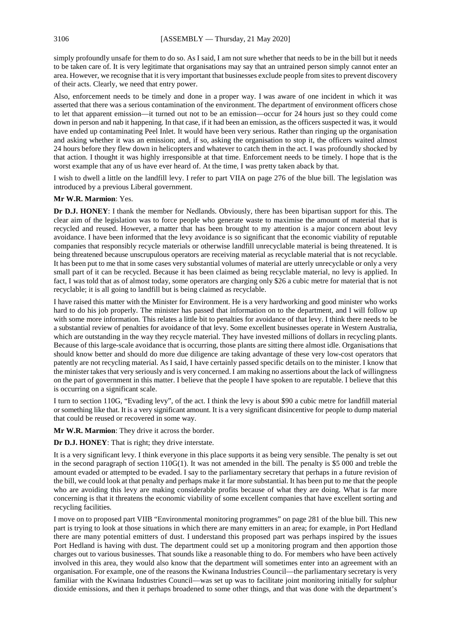simply profoundly unsafe for them to do so. As I said, I am not sure whether that needs to be in the bill but it needs to be taken care of. It is very legitimate that organisations may say that an untrained person simply cannot enter an area. However, we recognise that it is very important that businesses exclude people from sites to prevent discovery of their acts. Clearly, we need that entry power.

Also, enforcement needs to be timely and done in a proper way. I was aware of one incident in which it was asserted that there was a serious contamination of the environment. The department of environment officers chose to let that apparent emission—it turned out not to be an emission—occur for 24 hours just so they could come down in person and nab it happening. In that case, if it had been an emission, as the officers suspected it was, it would have ended up contaminating Peel Inlet. It would have been very serious. Rather than ringing up the organisation and asking whether it was an emission; and, if so, asking the organisation to stop it, the officers waited almost 24 hours before they flew down in helicopters and whatever to catch them in the act. I was profoundly shocked by that action. I thought it was highly irresponsible at that time. Enforcement needs to be timely. I hope that is the worst example that any of us have ever heard of. At the time, I was pretty taken aback by that.

I wish to dwell a little on the landfill levy. I refer to part VIIA on page 276 of the blue bill. The legislation was introduced by a previous Liberal government.

#### **Mr W.R. Marmion**: Yes.

**Dr D.J. HONEY**: I thank the member for Nedlands. Obviously, there has been bipartisan support for this. The clear aim of the legislation was to force people who generate waste to maximise the amount of material that is recycled and reused. However, a matter that has been brought to my attention is a major concern about levy avoidance. I have been informed that the levy avoidance is so significant that the economic viability of reputable companies that responsibly recycle materials or otherwise landfill unrecyclable material is being threatened. It is being threatened because unscrupulous operators are receiving material as recyclable material that is not recyclable. It has been put to me that in some cases very substantial volumes of material are utterly unrecyclable or only a very small part of it can be recycled. Because it has been claimed as being recyclable material, no levy is applied. In fact, I was told that as of almost today, some operators are charging only \$26 a cubic metre for material that is not recyclable; it is all going to landfill but is being claimed as recyclable.

I have raised this matter with the Minister for Environment. He is a very hardworking and good minister who works hard to do his job properly. The minister has passed that information on to the department, and I will follow up with some more information. This relates a little bit to penalties for avoidance of that levy. I think there needs to be a substantial review of penalties for avoidance of that levy. Some excellent businesses operate in Western Australia, which are outstanding in the way they recycle material. They have invested millions of dollars in recycling plants. Because of this large-scale avoidance that is occurring, those plants are sitting there almost idle. Organisations that should know better and should do more due diligence are taking advantage of these very low-cost operators that patently are not recycling material. As I said, I have certainly passed specific details on to the minister. I know that the minister takes that very seriously and is very concerned. I am making no assertions about the lack of willingness on the part of government in this matter. I believe that the people I have spoken to are reputable. I believe that this is occurring on a significant scale.

I turn to section 110G, "Evading levy", of the act. I think the levy is about \$90 a cubic metre for landfill material or something like that. It is a very significant amount. It is a very significant disincentive for people to dump material that could be reused or recovered in some way.

**Mr W.R. Marmion**: They drive it across the border.

**Dr D.J. HONEY**: That is right; they drive interstate.

It is a very significant levy. I think everyone in this place supports it as being very sensible. The penalty is set out in the second paragraph of section 110G(1). It was not amended in the bill. The penalty is \$5 000 and treble the amount evaded or attempted to be evaded. I say to the parliamentary secretary that perhaps in a future revision of the bill, we could look at that penalty and perhaps make it far more substantial. It has been put to me that the people who are avoiding this levy are making considerable profits because of what they are doing. What is far more concerning is that it threatens the economic viability of some excellent companies that have excellent sorting and recycling facilities.

I move on to proposed part VIIB "Environmental monitoring programmes" on page 281 of the blue bill. This new part is trying to look at those situations in which there are many emitters in an area; for example, in Port Hedland there are many potential emitters of dust. I understand this proposed part was perhaps inspired by the issues Port Hedland is having with dust. The department could set up a monitoring program and then apportion those charges out to various businesses. That sounds like a reasonable thing to do. For members who have been actively involved in this area, they would also know that the department will sometimes enter into an agreement with an organisation. For example, one of the reasons the Kwinana Industries Council—the parliamentary secretary is very familiar with the Kwinana Industries Council—was set up was to facilitate joint monitoring initially for sulphur dioxide emissions, and then it perhaps broadened to some other things, and that was done with the department's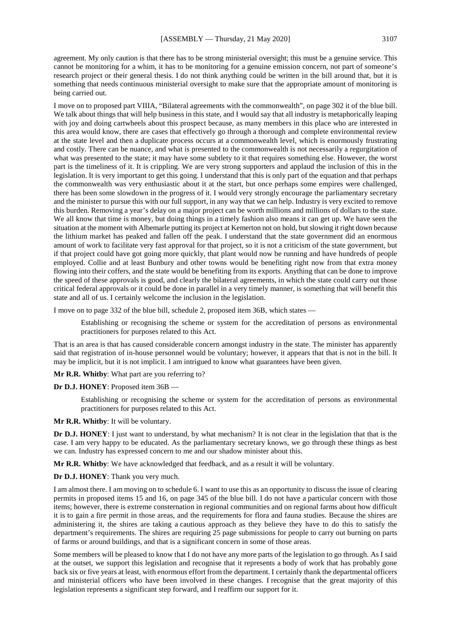agreement. My only caution is that there has to be strong ministerial oversight; this must be a genuine service. This cannot be monitoring for a whim, it has to be monitoring for a genuine emission concern, not part of someone's research project or their general thesis. I do not think anything could be written in the bill around that, but it is something that needs continuous ministerial oversight to make sure that the appropriate amount of monitoring is

I move on to proposed part VIIIA, "Bilateral agreements with the commonwealth", on page 302 it of the blue bill. We talk about things that will help business in this state, and I would say that all industry is metaphorically leaping with joy and doing cartwheels about this prospect because, as many members in this place who are interested in this area would know, there are cases that effectively go through a thorough and complete environmental review at the state level and then a duplicate process occurs at a commonwealth level, which is enormously frustrating and costly. There can be nuance, and what is presented to the commonwealth is not necessarily a regurgitation of what was presented to the state; it may have some subtlety to it that requires something else. However, the worst part is the timeliness of it. It is crippling. We are very strong supporters and applaud the inclusion of this in the legislation. It is very important to get this going. I understand that this is only part of the equation and that perhaps the commonwealth was very enthusiastic about it at the start, but once perhaps some empires were challenged, there has been some slowdown in the progress of it. I would very strongly encourage the parliamentary secretary and the minister to pursue this with our full support, in any way that we can help. Industry is very excited to remove this burden. Removing a year's delay on a major project can be worth millions and millions of dollars to the state. We all know that time is money, but doing things in a timely fashion also means it can get up. We have seen the situation at the moment with Albemarle putting its project at Kemerton not on hold, but slowing it right down because the lithium market has peaked and fallen off the peak. I understand that the state government did an enormous amount of work to facilitate very fast approval for that project, so it is not a criticism of the state government, but if that project could have got going more quickly, that plant would now be running and have hundreds of people employed. Collie and at least Bunbury and other towns would be benefiting right now from that extra money flowing into their coffers, and the state would be benefiting from its exports. Anything that can be done to improve the speed of these approvals is good, and clearly the bilateral agreements, in which the state could carry out those critical federal approvals or it could be done in parallel in a very timely manner, is something that will benefit this state and all of us. I certainly welcome the inclusion in the legislation.

I move on to page 332 of the blue bill, schedule 2, proposed item 36B, which states —

Establishing or recognising the scheme or system for the accreditation of persons as environmental practitioners for purposes related to this Act.

That is an area is that has caused considerable concern amongst industry in the state. The minister has apparently said that registration of in-house personnel would be voluntary; however, it appears that that is not in the bill. It may be implicit, but it is not implicit. I am intrigued to know what guarantees have been given.

**Mr R.R. Whitby**: What part are you referring to?

**Dr D.J. HONEY**: Proposed item 36B —

being carried out.

Establishing or recognising the scheme or system for the accreditation of persons as environmental practitioners for purposes related to this Act.

**Mr R.R. Whitby**: It will be voluntary.

**Dr D.J. HONEY**: I just want to understand, by what mechanism? It is not clear in the legislation that that is the case. I am very happy to be educated. As the parliamentary secretary knows, we go through these things as best we can. Industry has expressed concern to me and our shadow minister about this.

**Mr R.R. Whitby**: We have acknowledged that feedback, and as a result it will be voluntary.

## **Dr D.J. HONEY**: Thank you very much.

I am almost there. I am moving on to schedule 6. I want to use this as an opportunity to discuss the issue of clearing permits in proposed items 15 and 16, on page 345 of the blue bill. I do not have a particular concern with those items; however, there is extreme consternation in regional communities and on regional farms about how difficult it is to gain a fire permit in those areas, and the requirements for flora and fauna studies. Because the shires are administering it, the shires are taking a cautious approach as they believe they have to do this to satisfy the department's requirements. The shires are requiring 25 page submissions for people to carry out burning on parts of farms or around buildings, and that is a significant concern in some of those areas.

Some members will be pleased to know that I do not have any more parts of the legislation to go through. As I said at the outset, we support this legislation and recognise that it represents a body of work that has probably gone back six or five years at least, with enormous effort from the department. I certainly thank the departmental officers and ministerial officers who have been involved in these changes. I recognise that the great majority of this legislation represents a significant step forward, and I reaffirm our support for it.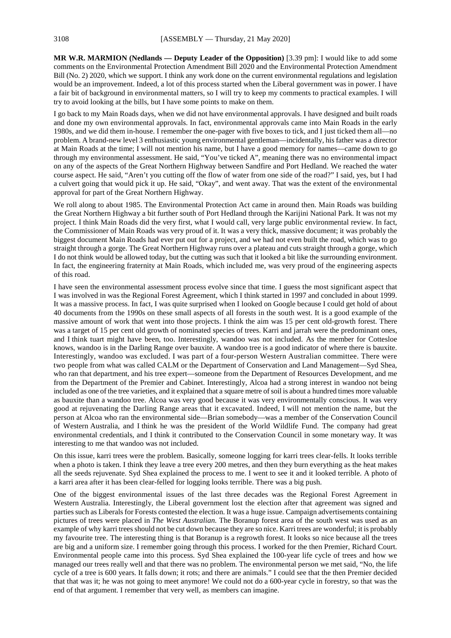**MR W.R. MARMION (Nedlands — Deputy Leader of the Opposition)** [3.39 pm]: I would like to add some comments on the Environmental Protection Amendment Bill 2020 and the Environmental Protection Amendment Bill (No. 2) 2020, which we support. I think any work done on the current environmental regulations and legislation would be an improvement. Indeed, a lot of this process started when the Liberal government was in power. I have a fair bit of background in environmental matters, so I will try to keep my comments to practical examples. I will try to avoid looking at the bills, but I have some points to make on them.

I go back to my Main Roads days, when we did not have environmental approvals. I have designed and built roads and done my own environmental approvals. In fact, environmental approvals came into Main Roads in the early 1980s, and we did them in-house. I remember the one-pager with five boxes to tick, and I just ticked them all—no problem. A brand-new level 3 enthusiastic young environmental gentleman—incidentally, his father was a director at Main Roads at the time; I will not mention his name, but I have a good memory for names—came down to go through my environmental assessment. He said, "You've ticked A", meaning there was no environmental impact on any of the aspects of the Great Northern Highway between Sandfire and Port Hedland. We reached the water course aspect. He said, "Aren't you cutting off the flow of water from one side of the road?" I said, yes, but I had a culvert going that would pick it up. He said, "Okay", and went away. That was the extent of the environmental approval for part of the Great Northern Highway.

We roll along to about 1985. The Environmental Protection Act came in around then. Main Roads was building the Great Northern Highway a bit further south of Port Hedland through the Karijini National Park. It was not my project. I think Main Roads did the very first, what I would call, very large public environmental review. In fact, the Commissioner of Main Roads was very proud of it. It was a very thick, massive document; it was probably the biggest document Main Roads had ever put out for a project, and we had not even built the road, which was to go straight through a gorge. The Great Northern Highway runs over a plateau and cuts straight through a gorge, which I do not think would be allowed today, but the cutting was such that it looked a bit like the surrounding environment. In fact, the engineering fraternity at Main Roads, which included me, was very proud of the engineering aspects of this road.

I have seen the environmental assessment process evolve since that time. I guess the most significant aspect that I was involved in was the Regional Forest Agreement, which I think started in 1997 and concluded in about 1999. It was a massive process. In fact, I was quite surprised when I looked on Google because I could get hold of about 40 documents from the 1990s on these small aspects of all forests in the south west. It is a good example of the massive amount of work that went into those projects. I think the aim was 15 per cent old-growth forest. There was a target of 15 per cent old growth of nominated species of trees. Karri and jarrah were the predominant ones, and I think tuart might have been, too. Interestingly, wandoo was not included. As the member for Cottesloe knows, wandoo is in the Darling Range over bauxite. A wandoo tree is a good indicator of where there is bauxite. Interestingly, wandoo was excluded. I was part of a four-person Western Australian committee. There were two people from what was called CALM or the Department of Conservation and Land Management—Syd Shea, who ran that department, and his tree expert—someone from the Department of Resources Development, and me from the Department of the Premier and Cabinet. Interestingly, Alcoa had a strong interest in wandoo not being included as one of the tree varieties, and it explained that a square metre of soil is about a hundred times more valuable as bauxite than a wandoo tree. Alcoa was very good because it was very environmentally conscious. It was very good at rejuvenating the Darling Range areas that it excavated. Indeed, I will not mention the name, but the person at Alcoa who ran the environmental side—Brian somebody—was a member of the Conservation Council of Western Australia, and I think he was the president of the World Wildlife Fund. The company had great environmental credentials, and I think it contributed to the Conservation Council in some monetary way. It was interesting to me that wandoo was not included.

On this issue, karri trees were the problem. Basically, someone logging for karri trees clear-fells. It looks terrible when a photo is taken. I think they leave a tree every 200 metres, and then they burn everything as the heat makes all the seeds rejuvenate. Syd Shea explained the process to me. I went to see it and it looked terrible. A photo of a karri area after it has been clear-felled for logging looks terrible. There was a big push.

One of the biggest environmental issues of the last three decades was the Regional Forest Agreement in Western Australia. Interestingly, the Liberal government lost the election after that agreement was signed and parties such as Liberals for Forests contested the election. It was a huge issue. Campaign advertisements containing pictures of trees were placed in *The West Australian.* The Boranup forest area of the south west was used as an example of why karri trees should not be cut down because they are so nice. Karri trees are wonderful; it is probably my favourite tree. The interesting thing is that Boranup is a regrowth forest. It looks so nice because all the trees are big and a uniform size. I remember going through this process. I worked for the then Premier, Richard Court. Environmental people came into this process. Syd Shea explained the 100-year life cycle of trees and how we managed our trees really well and that there was no problem. The environmental person we met said, "No, the life cycle of a tree is 600 years. It falls down; it rots; and there are animals." I could see that the then Premier decided that that was it; he was not going to meet anymore! We could not do a 600-year cycle in forestry, so that was the end of that argument. I remember that very well, as members can imagine.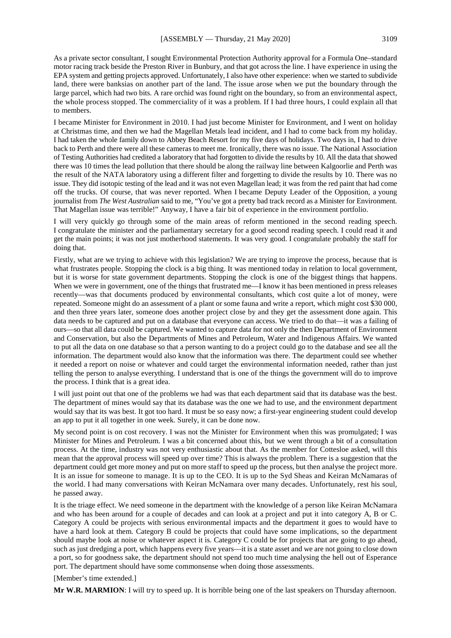As a private sector consultant, I sought Environmental Protection Authority approval for a Formula One–standard motor racing track beside the Preston River in Bunbury, and that got across the line. I have experience in using the EPA system and getting projects approved. Unfortunately, I also have other experience: when we started to subdivide land, there were banksias on another part of the land. The issue arose when we put the boundary through the large parcel, which had two bits. A rare orchid was found right on the boundary, so from an environmental aspect, the whole process stopped. The commerciality of it was a problem. If I had three hours, I could explain all that to members.

I became Minister for Environment in 2010. I had just become Minister for Environment, and I went on holiday at Christmas time, and then we had the Magellan Metals lead incident, and I had to come back from my holiday. I had taken the whole family down to Abbey Beach Resort for my five days of holidays. Two days in, I had to drive back to Perth and there were all these cameras to meet me. Ironically, there was no issue. The National Association of Testing Authorities had credited a laboratory that had forgotten to divide the results by 10. All the data that showed there was 10 times the lead pollution that there should be along the railway line between Kalgoorlie and Perth was the result of the NATA laboratory using a different filter and forgetting to divide the results by 10. There was no issue. They did isotopic testing of the lead and it was not even Magellan lead; it was from the red paint that had come off the trucks. Of course, that was never reported. When I became Deputy Leader of the Opposition, a young journalist from *The West Australian* said to me, "You've got a pretty bad track record as a Minister for Environment. That Magellan issue was terrible!" Anyway, I have a fair bit of experience in the environment portfolio.

I will very quickly go through some of the main areas of reform mentioned in the second reading speech. I congratulate the minister and the parliamentary secretary for a good second reading speech. I could read it and get the main points; it was not just motherhood statements. It was very good. I congratulate probably the staff for doing that.

Firstly, what are we trying to achieve with this legislation? We are trying to improve the process, because that is what frustrates people. Stopping the clock is a big thing. It was mentioned today in relation to local government, but it is worse for state government departments. Stopping the clock is one of the biggest things that happens. When we were in government, one of the things that frustrated me—I know it has been mentioned in press releases recently—was that documents produced by environmental consultants, which cost quite a lot of money, were repeated. Someone might do an assessment of a plant or some fauna and write a report, which might cost \$30 000, and then three years later, someone does another project close by and they get the assessment done again. This data needs to be captured and put on a database that everyone can access. We tried to do that—it was a failing of ours—so that all data could be captured. We wanted to capture data for not only the then Department of Environment and Conservation, but also the Departments of Mines and Petroleum, Water and Indigenous Affairs. We wanted to put all the data on one database so that a person wanting to do a project could go to the database and see all the information. The department would also know that the information was there. The department could see whether it needed a report on noise or whatever and could target the environmental information needed, rather than just telling the person to analyse everything. I understand that is one of the things the government will do to improve the process. I think that is a great idea.

I will just point out that one of the problems we had was that each department said that its database was the best. The department of mines would say that its database was the one we had to use, and the environment department would say that its was best. It got too hard. It must be so easy now; a first-year engineering student could develop an app to put it all together in one week. Surely, it can be done now.

My second point is on cost recovery. I was not the Minister for Environment when this was promulgated; I was Minister for Mines and Petroleum. I was a bit concerned about this, but we went through a bit of a consultation process. At the time, industry was not very enthusiastic about that. As the member for Cottesloe asked, will this mean that the approval process will speed up over time? This is always the problem. There is a suggestion that the department could get more money and put on more staff to speed up the process, but then analyse the project more. It is an issue for someone to manage. It is up to the CEO. It is up to the Syd Sheas and Keiran McNamaras of the world. I had many conversations with Keiran McNamara over many decades. Unfortunately, rest his soul, he passed away.

It is the triage effect. We need someone in the department with the knowledge of a person like Keiran McNamara and who has been around for a couple of decades and can look at a project and put it into category A, B or C. Category A could be projects with serious environmental impacts and the department it goes to would have to have a hard look at them. Category B could be projects that could have some implications, so the department should maybe look at noise or whatever aspect it is. Category C could be for projects that are going to go ahead, such as just dredging a port, which happens every five years—it is a state asset and we are not going to close down a port, so for goodness sake, the department should not spend too much time analysing the hell out of Esperance port. The department should have some commonsense when doing those assessments.

[Member's time extended.]

**Mr W.R. MARMION**: I will try to speed up. It is horrible being one of the last speakers on Thursday afternoon.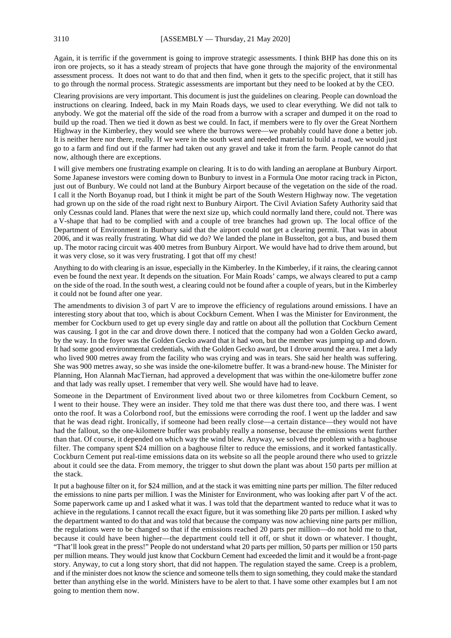Again, it is terrific if the government is going to improve strategic assessments. I think BHP has done this on its iron ore projects, so it has a steady stream of projects that have gone through the majority of the environmental assessment process. It does not want to do that and then find, when it gets to the specific project, that it still has to go through the normal process. Strategic assessments are important but they need to be looked at by the CEO.

Clearing provisions are very important. This document is just the guidelines on clearing. People can download the instructions on clearing. Indeed, back in my Main Roads days, we used to clear everything. We did not talk to anybody. We got the material off the side of the road from a burrow with a scraper and dumped it on the road to build up the road. Then we tied it down as best we could. In fact, if members were to fly over the Great Northern Highway in the Kimberley, they would see where the burrows were—we probably could have done a better job. It is neither here nor there, really. If we were in the south west and needed material to build a road, we would just go to a farm and find out if the farmer had taken out any gravel and take it from the farm. People cannot do that now, although there are exceptions.

I will give members one frustrating example on clearing. It is to do with landing an aeroplane at Bunbury Airport. Some Japanese investors were coming down to Bunbury to invest in a Formula One motor racing track in Picton, just out of Bunbury. We could not land at the Bunbury Airport because of the vegetation on the side of the road. I call it the North Boyanup road, but I think it might be part of the South Western Highway now. The vegetation had grown up on the side of the road right next to Bunbury Airport. The Civil Aviation Safety Authority said that only Cessnas could land. Planes that were the next size up, which could normally land there, could not. There was a V-shape that had to be complied with and a couple of tree branches had grown up. The local office of the Department of Environment in Bunbury said that the airport could not get a clearing permit. That was in about 2006, and it was really frustrating. What did we do? We landed the plane in Busselton, got a bus, and bused them up. The motor racing circuit was 400 metres from Bunbury Airport. We would have had to drive them around, but it was very close, so it was very frustrating. I got that off my chest!

Anything to do with clearing is an issue, especially in the Kimberley. In the Kimberley, if it rains, the clearing cannot even be found the next year. It depends on the situation. For Main Roads' camps, we always cleared to put a camp on the side of the road. In the south west, a clearing could not be found after a couple of years, but in the Kimberley it could not be found after one year.

The amendments to division 3 of part V are to improve the efficiency of regulations around emissions. I have an interesting story about that too, which is about Cockburn Cement. When I was the Minister for Environment, the member for Cockburn used to get up every single day and rattle on about all the pollution that Cockburn Cement was causing. I got in the car and drove down there. I noticed that the company had won a Golden Gecko award, by the way. In the foyer was the Golden Gecko award that it had won, but the member was jumping up and down. It had some good environmental credentials, with the Golden Gecko award, but I drove around the area. I met a lady who lived 900 metres away from the facility who was crying and was in tears. She said her health was suffering. She was 900 metres away, so she was inside the one-kilometre buffer. It was a brand-new house. The Minister for Planning, Hon Alannah MacTiernan, had approved a development that was within the one-kilometre buffer zone and that lady was really upset. I remember that very well. She would have had to leave.

Someone in the Department of Environment lived about two or three kilometres from Cockburn Cement, so I went to their house. They were an insider. They told me that there was dust there too, and there was. I went onto the roof. It was a Colorbond roof, but the emissions were corroding the roof. I went up the ladder and saw that he was dead right. Ironically, if someone had been really close—a certain distance—they would not have had the fallout, so the one-kilometre buffer was probably really a nonsense, because the emissions went further than that. Of course, it depended on which way the wind blew. Anyway, we solved the problem with a baghouse filter. The company spent \$24 million on a baghouse filter to reduce the emissions, and it worked fantastically. Cockburn Cement put real-time emissions data on its website so all the people around there who used to grizzle about it could see the data. From memory, the trigger to shut down the plant was about 150 parts per million at the stack.

It put a baghouse filter on it, for \$24 million, and at the stack it was emitting nine parts per million. The filter reduced the emissions to nine parts per million. I was the Minister for Environment, who was looking after part V of the act. Some paperwork came up and I asked what it was. I was told that the department wanted to reduce what it was to achieve in the regulations. I cannot recall the exact figure, but it was something like 20 parts per million. I asked why the department wanted to do that and was told that because the company was now achieving nine parts per million, the regulations were to be changed so that if the emissions reached 20 parts per million—do not hold me to that, because it could have been higher—the department could tell it off, or shut it down or whatever. I thought, "That'll look great in the press!" People do not understand what 20 parts per million, 50 parts per million or 150 parts per million means. They would just know that Cockburn Cement had exceeded the limit and it would be a front-page story. Anyway, to cut a long story short, that did not happen. The regulation stayed the same. Creep is a problem, and if the minister does not know the science and someone tells them to sign something, they could make the standard better than anything else in the world. Ministers have to be alert to that. I have some other examples but I am not going to mention them now.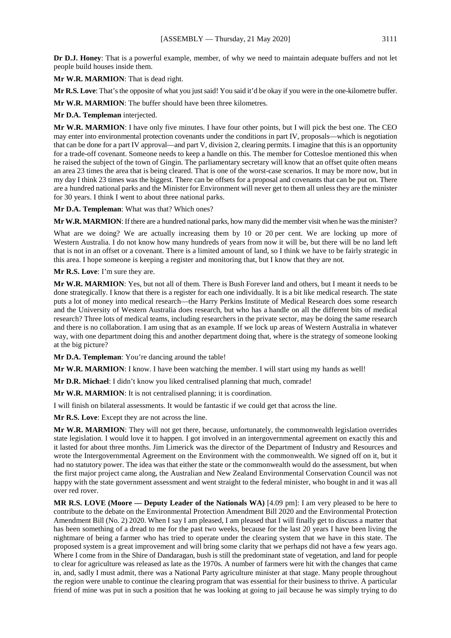**Dr D.J. Honey**: That is a powerful example, member, of why we need to maintain adequate buffers and not let people build houses inside them.

**Mr W.R. MARMION**: That is dead right.

**Mr R.S. Love**: That's the opposite of what you just said! You said it'd be okay if you were in the one-kilometre buffer.

**Mr W.R. MARMION**: The buffer should have been three kilometres.

**Mr D.A. Templeman** interjected.

**Mr W.R. MARMION**: I have only five minutes. I have four other points, but I will pick the best one. The CEO may enter into environmental protection covenants under the conditions in part IV, proposals—which is negotiation that can be done for a part IV approval—and part V, division 2, clearing permits. I imagine that this is an opportunity for a trade-off covenant. Someone needs to keep a handle on this. The member for Cottesloe mentioned this when he raised the subject of the town of Gingin. The parliamentary secretary will know that an offset quite often means an area 23 times the area that is being cleared. That is one of the worst-case scenarios. It may be more now, but in my day I think 23 times was the biggest. There can be offsets for a proposal and covenants that can be put on. There are a hundred national parks and the Minister for Environment will never get to them all unless they are the minister for 30 years. I think I went to about three national parks.

**Mr D.A. Templeman**: What was that? Which ones?

**Mr W.R. MARMION:** If there are a hundred national parks, how many did the member visit when he was the minister?

What are we doing? We are actually increasing them by 10 or 20 per cent. We are locking up more of Western Australia. I do not know how many hundreds of years from now it will be, but there will be no land left that is not in an offset or a covenant. There is a limited amount of land, so I think we have to be fairly strategic in this area. I hope someone is keeping a register and monitoring that, but I know that they are not.

**Mr R.S. Love**: I'm sure they are.

**Mr W.R. MARMION**: Yes, but not all of them. There is Bush Forever land and others, but I meant it needs to be done strategically. I know that there is a register for each one individually. It is a bit like medical research. The state puts a lot of money into medical research—the Harry Perkins Institute of Medical Research does some research and the University of Western Australia does research, but who has a handle on all the different bits of medical research? Three lots of medical teams, including researchers in the private sector, may be doing the same research and there is no collaboration. I am using that as an example. If we lock up areas of Western Australia in whatever way, with one department doing this and another department doing that, where is the strategy of someone looking at the big picture?

**Mr D.A. Templeman**: You're dancing around the table!

**Mr W.R. MARMION**: I know. I have been watching the member. I will start using my hands as well!

**Mr D.R. Michael**: I didn't know you liked centralised planning that much, comrade!

**Mr W.R. MARMION**: It is not centralised planning; it is coordination.

I will finish on bilateral assessments. It would be fantastic if we could get that across the line.

**Mr R.S. Love**: Except they are not across the line.

**Mr W.R. MARMION**: They will not get there, because, unfortunately, the commonwealth legislation overrides state legislation. I would love it to happen. I got involved in an intergovernmental agreement on exactly this and it lasted for about three months. Jim Limerick was the director of the Department of Industry and Resources and wrote the Intergovernmental Agreement on the Environment with the commonwealth. We signed off on it, but it had no statutory power. The idea was that either the state or the commonwealth would do the assessment, but when the first major project came along, the Australian and New Zealand Environmental Conservation Council was not happy with the state government assessment and went straight to the federal minister, who bought in and it was all over red rover.

**MR R.S. LOVE (Moore — Deputy Leader of the Nationals WA)** [4.09 pm]: I am very pleased to be here to contribute to the debate on the Environmental Protection Amendment Bill 2020 and the Environmental Protection Amendment Bill (No. 2) 2020. When I say I am pleased, I am pleased that I will finally get to discuss a matter that has been something of a dread to me for the past two weeks, because for the last 20 years I have been living the nightmare of being a farmer who has tried to operate under the clearing system that we have in this state. The proposed system is a great improvement and will bring some clarity that we perhaps did not have a few years ago. Where I come from in the Shire of Dandaragan, bush is still the predominant state of vegetation, and land for people to clear for agriculture was released as late as the 1970s. A number of farmers were hit with the changes that came in, and, sadly I must admit, there was a National Party agriculture minister at that stage. Many people throughout the region were unable to continue the clearing program that was essential for their business to thrive. A particular friend of mine was put in such a position that he was looking at going to jail because he was simply trying to do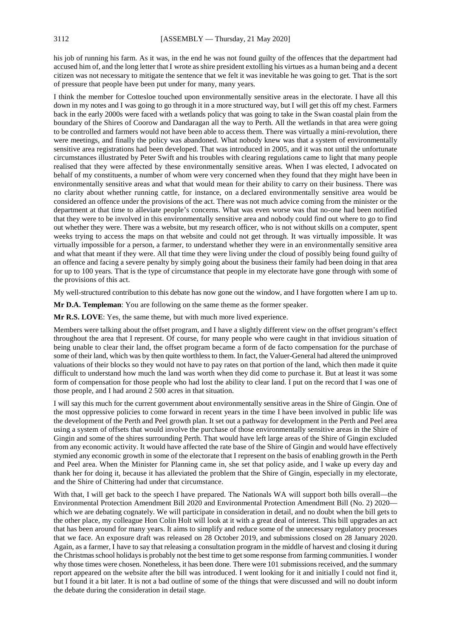his job of running his farm. As it was, in the end he was not found guilty of the offences that the department had accused him of, and the long letter that I wrote as shire president extolling his virtues as a human being and a decent citizen was not necessary to mitigate the sentence that we felt it was inevitable he was going to get. That is the sort of pressure that people have been put under for many, many years.

I think the member for Cottesloe touched upon environmentally sensitive areas in the electorate. I have all this down in my notes and I was going to go through it in a more structured way, but I will get this off my chest. Farmers back in the early 2000s were faced with a wetlands policy that was going to take in the Swan coastal plain from the boundary of the Shires of Coorow and Dandaragan all the way to Perth. All the wetlands in that area were going to be controlled and farmers would not have been able to access them. There was virtually a mini-revolution, there were meetings, and finally the policy was abandoned. What nobody knew was that a system of environmentally sensitive area registrations had been developed. That was introduced in 2005, and it was not until the unfortunate circumstances illustrated by Peter Swift and his troubles with clearing regulations came to light that many people realised that they were affected by these environmentally sensitive areas. When I was elected, I advocated on behalf of my constituents, a number of whom were very concerned when they found that they might have been in environmentally sensitive areas and what that would mean for their ability to carry on their business. There was no clarity about whether running cattle, for instance, on a declared environmentally sensitive area would be considered an offence under the provisions of the act. There was not much advice coming from the minister or the department at that time to alleviate people's concerns. What was even worse was that no-one had been notified that they were to be involved in this environmentally sensitive area and nobody could find out where to go to find out whether they were. There was a website, but my research officer, who is not without skills on a computer, spent weeks trying to access the maps on that website and could not get through. It was virtually impossible. It was virtually impossible for a person, a farmer, to understand whether they were in an environmentally sensitive area and what that meant if they were. All that time they were living under the cloud of possibly being found guilty of an offence and facing a severe penalty by simply going about the business their family had been doing in that area for up to 100 years. That is the type of circumstance that people in my electorate have gone through with some of the provisions of this act.

My well-structured contribution to this debate has now gone out the window, and I have forgotten where I am up to.

**Mr D.A. Templeman**: You are following on the same theme as the former speaker.

**Mr R.S. LOVE**: Yes, the same theme, but with much more lived experience.

Members were talking about the offset program, and I have a slightly different view on the offset program's effect throughout the area that I represent. Of course, for many people who were caught in that invidious situation of being unable to clear their land, the offset program became a form of de facto compensation for the purchase of some of their land, which was by then quite worthless to them. In fact, the Valuer-General had altered the unimproved valuations of their blocks so they would not have to pay rates on that portion of the land, which then made it quite difficult to understand how much the land was worth when they did come to purchase it. But at least it was some form of compensation for those people who had lost the ability to clear land. I put on the record that I was one of those people, and I had around 2 500 acres in that situation.

I will say this much for the current government about environmentally sensitive areas in the Shire of Gingin. One of the most oppressive policies to come forward in recent years in the time I have been involved in public life was the development of the Perth and Peel growth plan. It set out a pathway for development in the Perth and Peel area using a system of offsets that would involve the purchase of those environmentally sensitive areas in the Shire of Gingin and some of the shires surrounding Perth. That would have left large areas of the Shire of Gingin excluded from any economic activity. It would have affected the rate base of the Shire of Gingin and would have effectively stymied any economic growth in some of the electorate that I represent on the basis of enabling growth in the Perth and Peel area. When the Minister for Planning came in, she set that policy aside, and I wake up every day and thank her for doing it, because it has alleviated the problem that the Shire of Gingin, especially in my electorate, and the Shire of Chittering had under that circumstance.

With that, I will get back to the speech I have prepared. The Nationals WA will support both bills overall—the Environmental Protection Amendment Bill 2020 and Environmental Protection Amendment Bill (No. 2) 2020 which we are debating cognately. We will participate in consideration in detail, and no doubt when the bill gets to the other place, my colleague Hon Colin Holt will look at it with a great deal of interest. This bill upgrades an act that has been around for many years. It aims to simplify and reduce some of the unnecessary regulatory processes that we face. An exposure draft was released on 28 October 2019, and submissions closed on 28 January 2020. Again, as a farmer, I have to say that releasing a consultation program in the middle of harvest and closing it during the Christmas school holidays is probably not the best time to get some response from farming communities. I wonder why those times were chosen. Nonetheless, it has been done. There were 101 submissions received, and the summary report appeared on the website after the bill was introduced. I went looking for it and initially I could not find it, but I found it a bit later. It is not a bad outline of some of the things that were discussed and will no doubt inform the debate during the consideration in detail stage.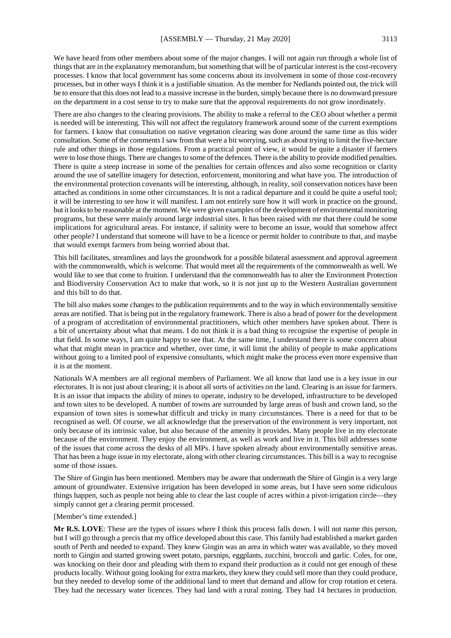We have heard from other members about some of the major changes. I will not again run through a whole list of things that are in the explanatory memorandum, but something that will be of particular interest is the cost-recovery processes. I know that local government has some concerns about its involvement in some of those cost-recovery processes, but in other ways I think it is a justifiable situation. As the member for Nedlands pointed out, the trick will be to ensure that this does not lead to a massive increase in the burden, simply because there is no downward pressure on the department in a cost sense to try to make sure that the approval requirements do not grow inordinately.

There are also changes to the clearing provisions. The ability to make a referral to the CEO about whether a permit is needed will be interesting. This will not affect the regulatory framework around some of the current exemptions for farmers. I know that consultation on native vegetation clearing was done around the same time as this wider consultation. Some of the commentsI saw from that were a bit worrying, such as about trying to limit the five-hectare rule and other things in those regulations. From a practical point of view, it would be quite a disaster if farmers were to lose those things. There are changes to some of the defences. There is the ability to provide modified penalties. There is quite a steep increase in some of the penalties for certain offences and also some recognition or clarity around the use of satellite imagery for detection, enforcement, monitoring and what have you. The introduction of the environmental protection covenants will be interesting, although, in reality, soil conservation notices have been attached as conditions in some other circumstances. It is not a radical departure and it could be quite a useful tool; it will be interesting to see how it will manifest. I am not entirely sure how it will work in practice on the ground, but it looks to be reasonable at the moment. We were given examples of the development of environmental monitoring programs, but these were mainly around large industrial sites. It has been raised with me that there could be some implications for agricultural areas. For instance, if salinity were to become an issue, would that somehow affect other people? I understand that someone will have to be a licence or permit holder to contribute to that, and maybe that would exempt farmers from being worried about that.

This bill facilitates, streamlines and lays the groundwork for a possible bilateral assessment and approval agreement with the commonwealth, which is welcome. That would meet all the requirements of the commonwealth as well. We would like to see that come to fruition. I understand that the commonwealth has to alter the Environment Protection and Biodiversity Conservation Act to make that work, so it is not just up to the Western Australian government and this bill to do that.

The bill also makes some changes to the publication requirements and to the way in which environmentally sensitive areas are notified. That is being put in the regulatory framework. There is also a head of power for the development of a program of accreditation of environmental practitioners, which other members have spoken about. There is a bit of uncertainty about what that means. I do not think it is a bad thing to recognise the expertise of people in that field. In some ways, I am quite happy to see that. At the same time, I understand there is some concern about what that might mean in practice and whether, over time, it will limit the ability of people to make applications without going to a limited pool of expensive consultants, which might make the process even more expensive than it is at the moment.

Nationals WA members are all regional members of Parliament. We all know that land use is a key issue in our electorates. It is not just about clearing; it is about all sorts of activities on the land. Clearing is an issue for farmers. It is an issue that impacts the ability of mines to operate, industry to be developed, infrastructure to be developed and town sites to be developed. A number of towns are surrounded by large areas of bush and crown land, so the expansion of town sites is somewhat difficult and tricky in many circumstances. There is a need for that to be recognised as well. Of course, we all acknowledge that the preservation of the environment is very important, not only because of its intrinsic value, but also because of the amenity it provides. Many people live in my electorate because of the environment. They enjoy the environment, as well as work and live in it. This bill addresses some of the issues that come across the desks of all MPs. I have spoken already about environmentally sensitive areas. That has been a huge issue in my electorate, along with other clearing circumstances. This bill is a way to recognise some of those issues.

The Shire of Gingin has been mentioned. Members may be aware that underneath the Shire of Gingin is a very large amount of groundwater. Extensive irrigation has been developed in some areas, but I have seen some ridiculous things happen, such as people not being able to clear the last couple of acres within a pivot-irrigation circle—they simply cannot get a clearing permit processed.

#### [Member's time extended.]

**Mr R.S. LOVE**: These are the types of issues where I think this process falls down. I will not name this person, but I will go through a precis that my office developed about this case. This family had established a market garden south of Perth and needed to expand. They knew Gingin was an area in which water was available, so they moved north to Gingin and started growing sweet potato, parsnips, eggplants, zucchini, broccoli and garlic. Coles, for one, was knocking on their door and pleading with them to expand their production as it could not get enough of these products locally. Without going looking for extra markets, they knew they could sell more than they could produce, but they needed to develop some of the additional land to meet that demand and allow for crop rotation et cetera. They had the necessary water licences. They had land with a rural zoning. They had 14 hectares in production.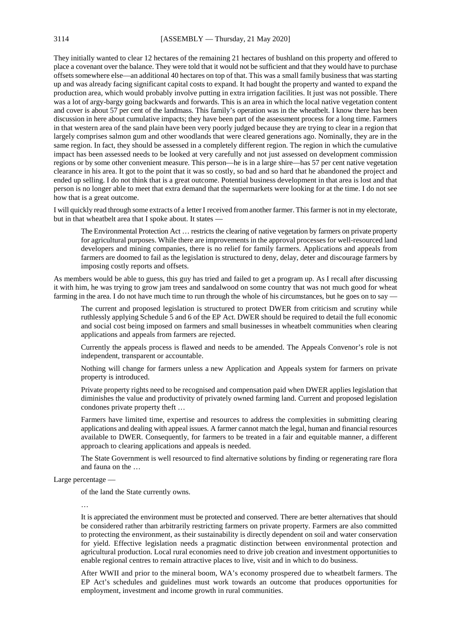They initially wanted to clear 12 hectares of the remaining 21 hectares of bushland on this property and offered to place a covenant over the balance. They were told that it would not be sufficient and that they would have to purchase offsets somewhere else—an additional 40 hectares on top of that. This was a small family business that was starting up and was already facing significant capital costs to expand. It had bought the property and wanted to expand the production area, which would probably involve putting in extra irrigation facilities. It just was not possible. There was a lot of argy-bargy going backwards and forwards. This is an area in which the local native vegetation content and cover is about 57 per cent of the landmass. This family's operation was in the wheatbelt. I know there has been discussion in here about cumulative impacts; they have been part of the assessment process for a long time. Farmers in that western area of the sand plain have been very poorly judged because they are trying to clear in a region that largely comprises salmon gum and other woodlands that were cleared generations ago. Nominally, they are in the same region. In fact, they should be assessed in a completely different region. The region in which the cumulative impact has been assessed needs to be looked at very carefully and not just assessed on development commission regions or by some other convenient measure. This person—he is in a large shire—has 57 per cent native vegetation clearance in his area. It got to the point that it was so costly, so bad and so hard that he abandoned the project and ended up selling. I do not think that is a great outcome. Potential business development in that area is lost and that person is no longer able to meet that extra demand that the supermarkets were looking for at the time. I do not see how that is a great outcome.

I will quickly read through some extracts of a letter I received from another farmer. This farmer is not in my electorate, but in that wheatbelt area that I spoke about. It states -

The Environmental Protection Act … restricts the clearing of native vegetation by farmers on private property for agricultural purposes. While there are improvements in the approval processes for well-resourced land developers and mining companies, there is no relief for family farmers. Applications and appeals from farmers are doomed to fail as the legislation is structured to deny, delay, deter and discourage farmers by imposing costly reports and offsets.

As members would be able to guess, this guy has tried and failed to get a program up. As I recall after discussing it with him, he was trying to grow jam trees and sandalwood on some country that was not much good for wheat farming in the area. I do not have much time to run through the whole of his circumstances, but he goes on to say -

The current and proposed legislation is structured to protect DWER from criticism and scrutiny while ruthlessly applying Schedule 5 and 6 of the EP Act. DWER should be required to detail the full economic and social cost being imposed on farmers and small businesses in wheatbelt communities when clearing applications and appeals from farmers are rejected.

Currently the appeals process is flawed and needs to be amended. The Appeals Convenor's role is not independent, transparent or accountable.

Nothing will change for farmers unless a new Application and Appeals system for farmers on private property is introduced.

Private property rights need to be recognised and compensation paid when DWER applies legislation that diminishes the value and productivity of privately owned farming land. Current and proposed legislation condones private property theft …

Farmers have limited time, expertise and resources to address the complexities in submitting clearing applications and dealing with appeal issues. A farmer cannot match the legal, human and financial resources available to DWER. Consequently, for farmers to be treated in a fair and equitable manner, a different approach to clearing applications and appeals is needed.

The State Government is well resourced to find alternative solutions by finding or regenerating rare flora and fauna on the …

Large percentage —

of the land the State currently owns.

…

It is appreciated the environment must be protected and conserved. There are better alternatives that should be considered rather than arbitrarily restricting farmers on private property. Farmers are also committed to protecting the environment, as their sustainability is directly dependent on soil and water conservation for yield. Effective legislation needs a pragmatic distinction between environmental protection and agricultural production. Local rural economies need to drive job creation and investment opportunities to enable regional centres to remain attractive places to live, visit and in which to do business.

After WWII and prior to the mineral boom, WA's economy prospered due to wheatbelt farmers. The EP Act's schedules and guidelines must work towards an outcome that produces opportunities for employment, investment and income growth in rural communities.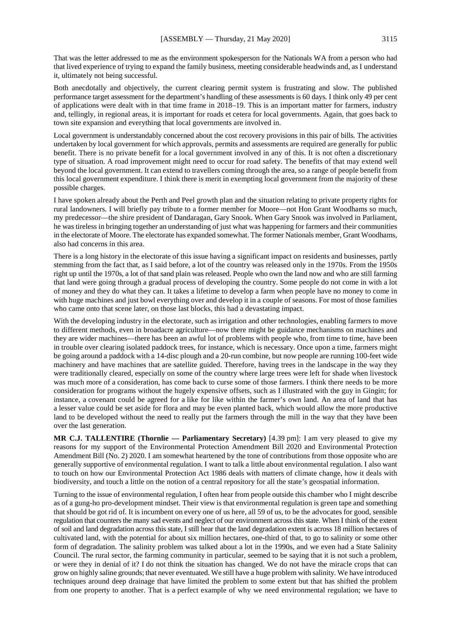That was the letter addressed to me as the environment spokesperson for the Nationals WA from a person who had that lived experience of trying to expand the family business, meeting considerable headwinds and, as I understand it, ultimately not being successful.

Both anecdotally and objectively, the current clearing permit system is frustrating and slow. The published performance target assessment for the department's handling of these assessments is 60 days. I think only 49 per cent of applications were dealt with in that time frame in 2018–19. This is an important matter for farmers, industry and, tellingly, in regional areas, it is important for roads et cetera for local governments. Again, that goes back to town site expansion and everything that local governments are involved in.

Local government is understandably concerned about the cost recovery provisions in this pair of bills. The activities undertaken by local government for which approvals, permits and assessments are required are generally for public benefit. There is no private benefit for a local government involved in any of this. It is not often a discretionary type of situation. A road improvement might need to occur for road safety. The benefits of that may extend well beyond the local government. It can extend to travellers coming through the area, so a range of people benefit from this local government expenditure. I think there is merit in exempting local government from the majority of these possible charges.

I have spoken already about the Perth and Peel growth plan and the situation relating to private property rights for rural landowners. I will briefly pay tribute to a former member for Moore—not Hon Grant Woodhams so much, my predecessor—the shire president of Dandaragan, Gary Snook. When Gary Snook was involved in Parliament, he was tireless in bringing together an understanding of just what was happening for farmers and their communities in the electorate of Moore. The electorate has expanded somewhat. The former Nationals member, Grant Woodhams, also had concerns in this area.

There is a long history in the electorate of this issue having a significant impact on residents and businesses, partly stemming from the fact that, as I said before, a lot of the country was released only in the 1970s. From the 1950s right up until the 1970s, a lot of that sand plain was released. People who own the land now and who are still farming that land were going through a gradual process of developing the country. Some people do not come in with a lot of money and they do what they can. It takes a lifetime to develop a farm when people have no money to come in with huge machines and just bowl everything over and develop it in a couple of seasons. For most of those families who came onto that scene later, on those last blocks, this had a devastating impact.

With the developing industry in the electorate, such as irrigation and other technologies, enabling farmers to move to different methods, even in broadacre agriculture—now there might be guidance mechanisms on machines and they are wider machines—there has been an awful lot of problems with people who, from time to time, have been in trouble over clearing isolated paddock trees, for instance, which is necessary. Once upon a time, farmers might be going around a paddock with a 14-disc plough and a 20-run combine, but now people are running 100-feet wide machinery and have machines that are satellite guided. Therefore, having trees in the landscape in the way they were traditionally cleared, especially on some of the country where large trees were left for shade when livestock was much more of a consideration, has come back to curse some of those farmers. I think there needs to be more consideration for programs without the hugely expensive offsets, such as I illustrated with the guy in Gingin; for instance, a covenant could be agreed for a like for like within the farmer's own land. An area of land that has a lesser value could be set aside for flora and may be even planted back, which would allow the more productive land to be developed without the need to really put the farmers through the mill in the way that they have been over the last generation.

**MR C.J. TALLENTIRE (Thornlie — Parliamentary Secretary)** [4.39 pm]: I am very pleased to give my reasons for my support of the Environmental Protection Amendment Bill 2020 and Environmental Protection Amendment Bill (No. 2) 2020. I am somewhat heartened by the tone of contributions from those opposite who are generally supportive of environmental regulation. I want to talk a little about environmental regulation. I also want to touch on how our Environmental Protection Act 1986 deals with matters of climate change, how it deals with biodiversity, and touch a little on the notion of a central repository for all the state's geospatial information.

Turning to the issue of environmental regulation, I often hear from people outside this chamber who I might describe as of a gung-ho pro-development mindset. Their view is that environmental regulation is green tape and something that should be got rid of. It is incumbent on every one of us here, all 59 of us, to be the advocates for good, sensible regulation that counters the many sad events and neglect of our environment across this state. When I think of the extent of soil and land degradation across this state, I still hear that the land degradation extent is across 18 million hectares of cultivated land, with the potential for about six million hectares, one-third of that, to go to salinity or some other form of degradation. The salinity problem was talked about a lot in the 1990s, and we even had a State Salinity Council. The rural sector, the farming community in particular, seemed to be saying that it is not such a problem, or were they in denial of it? I do not think the situation has changed. We do not have the miracle crops that can grow on highly saline grounds; that never eventuated. We still have a huge problem with salinity. We have introduced techniques around deep drainage that have limited the problem to some extent but that has shifted the problem from one property to another. That is a perfect example of why we need environmental regulation; we have to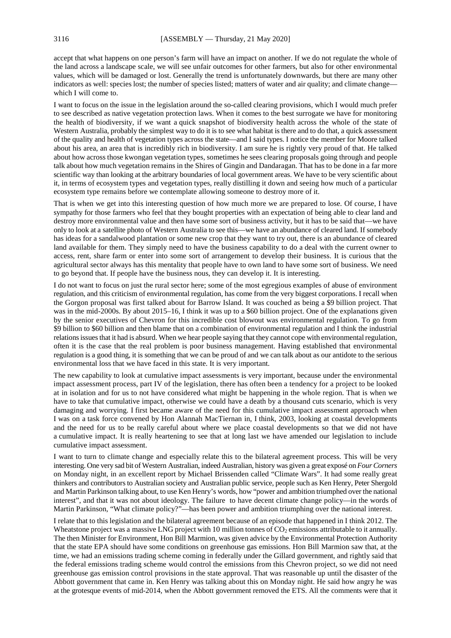accept that what happens on one person's farm will have an impact on another. If we do not regulate the whole of the land across a landscape scale, we will see unfair outcomes for other farmers, but also for other environmental values, which will be damaged or lost. Generally the trend is unfortunately downwards, but there are many other indicators as well: species lost; the number of species listed; matters of water and air quality; and climate change which I will come to.

I want to focus on the issue in the legislation around the so-called clearing provisions, which I would much prefer to see described as native vegetation protection laws. When it comes to the best surrogate we have for monitoring the health of biodiversity, if we want a quick snapshot of biodiversity health across the whole of the state of Western Australia, probably the simplest way to do it is to see what habitat is there and to do that, a quick assessment of the quality and health of vegetation types across the state—and I said types. I notice the member for Moore talked about his area, an area that is incredibly rich in biodiversity. I am sure he is rightly very proud of that. He talked about how across those kwongan vegetation types, sometimes he sees clearing proposals going through and people talk about how much vegetation remains in the Shires of Gingin and Dandaragan. That has to be done in a far more scientific way than looking at the arbitrary boundaries of local government areas. We have to be very scientific about it, in terms of ecosystem types and vegetation types, really distilling it down and seeing how much of a particular ecosystem type remains before we contemplate allowing someone to destroy more of it.

That is when we get into this interesting question of how much more we are prepared to lose. Of course, I have sympathy for those farmers who feel that they bought properties with an expectation of being able to clear land and destroy more environmental value and then have some sort of business activity, but it has to be said that—we have only to look at a satellite photo of Western Australia to see this—we have an abundance of cleared land. If somebody has ideas for a sandalwood plantation or some new crop that they want to try out, there is an abundance of cleared land available for them. They simply need to have the business capability to do a deal with the current owner to access, rent, share farm or enter into some sort of arrangement to develop their business. It is curious that the agricultural sector always has this mentality that people have to own land to have some sort of business. We need to go beyond that. If people have the business nous, they can develop it. It is interesting.

I do not want to focus on just the rural sector here; some of the most egregious examples of abuse of environment regulation, and this criticism of environmental regulation, has come from the very biggest corporations. I recall when the Gorgon proposal was first talked about for Barrow Island. It was couched as being a \$9 billion project. That was in the mid-2000s. By about 2015–16, I think it was up to a \$60 billion project. One of the explanations given by the senior executives of Chevron for this incredible cost blowout was environmental regulation. To go from \$9 billion to \$60 billion and then blame that on a combination of environmental regulation and I think the industrial relations issues that it had is absurd. When we hear people saying that they cannot cope with environmental regulation, often it is the case that the real problem is poor business management. Having established that environmental regulation is a good thing, it is something that we can be proud of and we can talk about as our antidote to the serious environmental loss that we have faced in this state. It is very important.

The new capability to look at cumulative impact assessments is very important, because under the environmental impact assessment process, part IV of the legislation, there has often been a tendency for a project to be looked at in isolation and for us to not have considered what might be happening in the whole region. That is when we have to take that cumulative impact, otherwise we could have a death by a thousand cuts scenario, which is very damaging and worrying. I first became aware of the need for this cumulative impact assessment approach when I was on a task force convened by Hon Alannah MacTiernan in, I think, 2003, looking at coastal developments and the need for us to be really careful about where we place coastal developments so that we did not have a cumulative impact. It is really heartening to see that at long last we have amended our legislation to include cumulative impact assessment.

I want to turn to climate change and especially relate this to the bilateral agreement process. This will be very interesting. One very sad bit of Western Australian, indeed Australian, history was given a great exposé on *Four Corners* on Monday night, in an excellent report by Michael Brissenden called "Climate Wars". It had some really great thinkers and contributors to Australian society and Australian public service, people such as Ken Henry, Peter Shergold and Martin Parkinson talking about, to use Ken Henry's words, how "power and ambition triumphed over the national interest", and that it was not about ideology. The failure to have decent climate change policy—in the words of Martin Parkinson, "What climate policy?"—has been power and ambition triumphing over the national interest.

I relate that to this legislation and the bilateral agreement because of an episode that happened in I think 2012. The Wheatstone project was a massive LNG project with 10 million tonnes of  $CO<sub>2</sub>$  emissions attributable to it annually. The then Minister for Environment, Hon Bill Marmion, was given advice by the Environmental Protection Authority that the state EPA should have some conditions on greenhouse gas emissions. Hon Bill Marmion saw that, at the time, we had an emissions trading scheme coming in federally under the Gillard government, and rightly said that the federal emissions trading scheme would control the emissions from this Chevron project, so we did not need greenhouse gas emission control provisions in the state approval. That was reasonable up until the disaster of the Abbott government that came in. Ken Henry was talking about this on Monday night. He said how angry he was at the grotesque events of mid-2014, when the Abbott government removed the ETS. All the comments were that it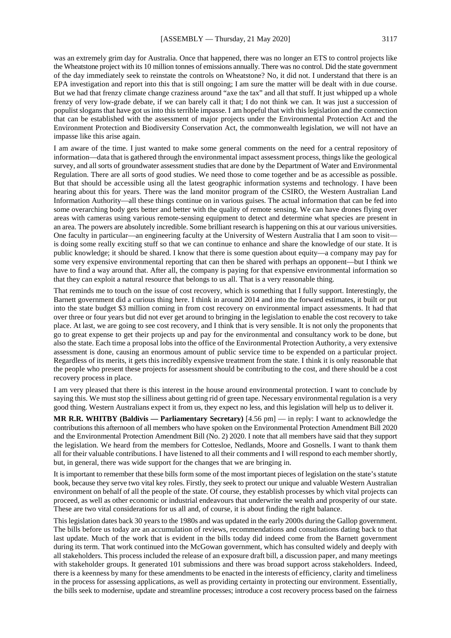was an extremely grim day for Australia. Once that happened, there was no longer an ETS to control projects like the Wheatstone project with its 10 million tonnes of emissions annually. There was no control. Did the state government of the day immediately seek to reinstate the controls on Wheatstone? No, it did not. I understand that there is an EPA investigation and report into this that is still ongoing; I am sure the matter will be dealt with in due course. But we had that frenzy climate change craziness around "axe the tax" and all that stuff. It just whipped up a whole frenzy of very low-grade debate, if we can barely call it that; I do not think we can. It was just a succession of populist slogans that have got us into this terrible impasse. I am hopeful that with this legislation and the connection that can be established with the assessment of major projects under the Environmental Protection Act and the Environment Protection and Biodiversity Conservation Act, the commonwealth legislation, we will not have an impasse like this arise again.

I am aware of the time. I just wanted to make some general comments on the need for a central repository of information—data that is gathered through the environmental impact assessment process, things like the geological survey, and all sorts of groundwater assessment studies that are done by the Department of Water and Environmental Regulation. There are all sorts of good studies. We need those to come together and be as accessible as possible. But that should be accessible using all the latest geographic information systems and technology. I have been hearing about this for years. There was the land monitor program of the CSIRO, the Western Australian Land Information Authority—all these things continue on in various guises. The actual information that can be fed into some overarching body gets better and better with the quality of remote sensing. We can have drones flying over areas with cameras using various remote-sensing equipment to detect and determine what species are present in an area. The powers are absolutely incredible. Some brilliant research is happening on this at our various universities. One faculty in particular—an engineering faculty at the University of Western Australia that I am soon to visit is doing some really exciting stuff so that we can continue to enhance and share the knowledge of our state. It is public knowledge; it should be shared. I know that there is some question about equity—a company may pay for some very expensive environmental reporting that can then be shared with perhaps an opponent—but I think we have to find a way around that. After all, the company is paying for that expensive environmental information so that they can exploit a natural resource that belongs to us all. That is a very reasonable thing.

That reminds me to touch on the issue of cost recovery, which is something that I fully support. Interestingly, the Barnett government did a curious thing here. I think in around 2014 and into the forward estimates, it built or put into the state budget \$3 million coming in from cost recovery on environmental impact assessments. It had that over three or four years but did not ever get around to bringing in the legislation to enable the cost recovery to take place. At last, we are going to see cost recovery, and I think that is very sensible. It is not only the proponents that go to great expense to get their projects up and pay for the environmental and consultancy work to be done, but also the state. Each time a proposal lobs into the office of the Environmental Protection Authority, a very extensive assessment is done, causing an enormous amount of public service time to be expended on a particular project. Regardless of its merits, it gets this incredibly expensive treatment from the state. I think it is only reasonable that the people who present these projects for assessment should be contributing to the cost, and there should be a cost recovery process in place.

I am very pleased that there is this interest in the house around environmental protection. I want to conclude by saying this. We must stop the silliness about getting rid of green tape. Necessary environmental regulation is a very good thing. Western Australians expect it from us, they expect no less, and this legislation will help us to deliver it.

**MR R.R. WHITBY (Baldivis — Parliamentary Secretary)** [4.56 pm] — in reply: I want to acknowledge the contributions this afternoon of all members who have spoken on the Environmental Protection Amendment Bill 2020 and the Environmental Protection Amendment Bill (No. 2) 2020. I note that all members have said that they support the legislation. We heard from the members for Cottesloe, Nedlands, Moore and Gosnells. I want to thank them all for their valuable contributions. I have listened to all their comments and I will respond to each member shortly, but, in general, there was wide support for the changes that we are bringing in.

It is important to remember that these bills form some of the most important pieces of legislation on the state's statute book, because they serve two vital key roles. Firstly, they seek to protect our unique and valuable Western Australian environment on behalf of all the people of the state. Of course, they establish processes by which vital projects can proceed, as well as other economic or industrial endeavours that underwrite the wealth and prosperity of our state. These are two vital considerations for us all and, of course, it is about finding the right balance.

This legislation dates back 30 years to the 1980s and was updated in the early 2000s during the Gallop government. The bills before us today are an accumulation of reviews, recommendations and consultations dating back to that last update. Much of the work that is evident in the bills today did indeed come from the Barnett government during its term. That work continued into the McGowan government, which has consulted widely and deeply with all stakeholders. This process included the release of an exposure draft bill, a discussion paper, and many meetings with stakeholder groups. It generated 101 submissions and there was broad support across stakeholders. Indeed, there is a keenness by many for these amendments to be enacted in the interests of efficiency, clarity and timeliness in the process for assessing applications, as well as providing certainty in protecting our environment. Essentially, the bills seek to modernise, update and streamline processes; introduce a cost recovery process based on the fairness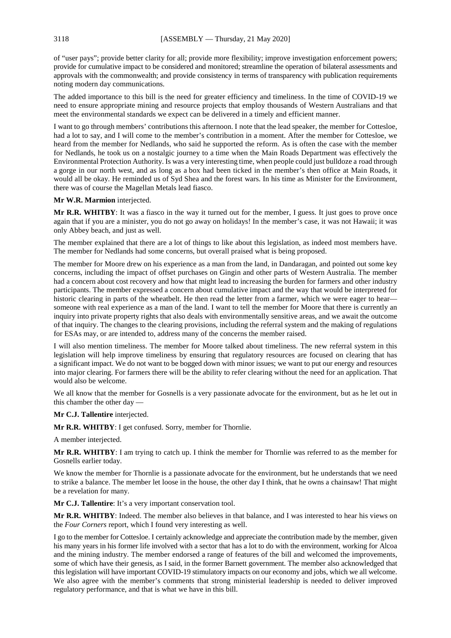of "user pays"; provide better clarity for all; provide more flexibility; improve investigation enforcement powers; provide for cumulative impact to be considered and monitored; streamline the operation of bilateral assessments and approvals with the commonwealth; and provide consistency in terms of transparency with publication requirements noting modern day communications.

The added importance to this bill is the need for greater efficiency and timeliness. In the time of COVID-19 we need to ensure appropriate mining and resource projects that employ thousands of Western Australians and that meet the environmental standards we expect can be delivered in a timely and efficient manner.

I want to go through members' contributions this afternoon. I note that the lead speaker, the member for Cottesloe, had a lot to say, and I will come to the member's contribution in a moment. After the member for Cottesloe, we heard from the member for Nedlands, who said he supported the reform. As is often the case with the member for Nedlands, he took us on a nostalgic journey to a time when the Main Roads Department was effectively the Environmental Protection Authority. Is was a very interesting time, when people could just bulldoze a road through a gorge in our north west, and as long as a box had been ticked in the member's then office at Main Roads, it would all be okay. He reminded us of Syd Shea and the forest wars. In his time as Minister for the Environment, there was of course the Magellan Metals lead fiasco.

#### **Mr W.R. Marmion** interjected.

**Mr R.R. WHITBY**: It was a fiasco in the way it turned out for the member, I guess. It just goes to prove once again that if you are a minister, you do not go away on holidays! In the member's case, it was not Hawaii; it was only Abbey beach, and just as well.

The member explained that there are a lot of things to like about this legislation, as indeed most members have. The member for Nedlands had some concerns, but overall praised what is being proposed.

The member for Moore drew on his experience as a man from the land, in Dandaragan, and pointed out some key concerns, including the impact of offset purchases on Gingin and other parts of Western Australia. The member had a concern about cost recovery and how that might lead to increasing the burden for farmers and other industry participants. The member expressed a concern about cumulative impact and the way that would be interpreted for historic clearing in parts of the wheatbelt. He then read the letter from a farmer, which we were eager to hearsomeone with real experience as a man of the land. I want to tell the member for Moore that there is currently an inquiry into private property rights that also deals with environmentally sensitive areas, and we await the outcome of that inquiry. The changes to the clearing provisions, including the referral system and the making of regulations for ESAs may, or are intended to, address many of the concerns the member raised.

I will also mention timeliness. The member for Moore talked about timeliness. The new referral system in this legislation will help improve timeliness by ensuring that regulatory resources are focused on clearing that has a significant impact. We do not want to be bogged down with minor issues; we want to put our energy and resources into major clearing. For farmers there will be the ability to refer clearing without the need for an application. That would also be welcome.

We all know that the member for Gosnells is a very passionate advocate for the environment, but as he let out in this chamber the other day —

**Mr C.J. Tallentire** interjected.

**Mr R.R. WHITBY**: I get confused. Sorry, member for Thornlie.

A member interjected.

**Mr R.R. WHITBY**: I am trying to catch up. I think the member for Thornlie was referred to as the member for Gosnells earlier today.

We know the member for Thornlie is a passionate advocate for the environment, but he understands that we need to strike a balance. The member let loose in the house, the other day I think, that he owns a chainsaw! That might be a revelation for many.

**Mr C.J. Tallentire**: It's a very important conservation tool.

**Mr R.R. WHITBY**: Indeed. The member also believes in that balance, and I was interested to hear his views on the *Four Corners* report, which I found very interesting as well.

I go to the member for Cottesloe. I certainly acknowledge and appreciate the contribution made by the member, given his many years in his former life involved with a sector that has a lot to do with the environment, working for Alcoa and the mining industry. The member endorsed a range of features of the bill and welcomed the improvements, some of which have their genesis, as I said, in the former Barnett government. The member also acknowledged that this legislation will have important COVID-19 stimulatory impacts on our economy and jobs, which we all welcome. We also agree with the member's comments that strong ministerial leadership is needed to deliver improved regulatory performance, and that is what we have in this bill.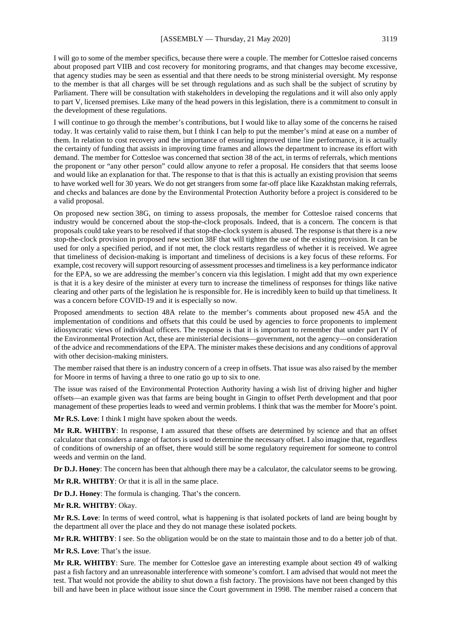I will go to some of the member specifics, because there were a couple. The member for Cottesloe raised concerns about proposed part VIIB and cost recovery for monitoring programs, and that changes may become excessive, that agency studies may be seen as essential and that there needs to be strong ministerial oversight. My response to the member is that all charges will be set through regulations and as such shall be the subject of scrutiny by Parliament. There will be consultation with stakeholders in developing the regulations and it will also only apply to part V, licensed premises. Like many of the head powers in this legislation, there is a commitment to consult in the development of these regulations.

I will continue to go through the member's contributions, but I would like to allay some of the concerns he raised today. It was certainly valid to raise them, but I think I can help to put the member's mind at ease on a number of them. In relation to cost recovery and the importance of ensuring improved time line performance, it is actually the certainty of funding that assists in improving time frames and allows the department to increase its effort with demand. The member for Cottesloe was concerned that section 38 of the act, in terms of referrals, which mentions the proponent or "any other person" could allow anyone to refer a proposal. He considers that that seems loose and would like an explanation for that. The response to that is that this is actually an existing provision that seems to have worked well for 30 years. We do not get strangers from some far-off place like Kazakhstan making referrals, and checks and balances are done by the Environmental Protection Authority before a project is considered to be a valid proposal.

On proposed new section 38G, on timing to assess proposals, the member for Cottesloe raised concerns that industry would be concerned about the stop-the-clock proposals. Indeed, that is a concern. The concern is that proposals could take years to be resolved if that stop-the-clock system is abused. The response is that there is a new stop-the-clock provision in proposed new section 38F that will tighten the use of the existing provision. It can be used for only a specified period, and if not met, the clock restarts regardless of whether it is received. We agree that timeliness of decision-making is important and timeliness of decisions is a key focus of these reforms. For example, cost recovery will support resourcing of assessment processes and timeliness is a key performance indicator for the EPA, so we are addressing the member's concern via this legislation. I might add that my own experience is that it is a key desire of the minister at every turn to increase the timeliness of responses for things like native clearing and other parts of the legislation he is responsible for. He is incredibly keen to build up that timeliness. It was a concern before COVID-19 and it is especially so now.

Proposed amendments to section 48A relate to the member's comments about proposed new 45A and the implementation of conditions and offsets that this could be used by agencies to force proponents to implement idiosyncratic views of individual officers. The response is that it is important to remember that under part IV of the Environmental Protection Act, these are ministerial decisions—government, not the agency—on consideration of the advice and recommendations of the EPA. The minister makes these decisions and any conditions of approval with other decision-making ministers.

The member raised that there is an industry concern of a creep in offsets. That issue was also raised by the member for Moore in terms of having a three to one ratio go up to six to one.

The issue was raised of the Environmental Protection Authority having a wish list of driving higher and higher offsets—an example given was that farms are being bought in Gingin to offset Perth development and that poor management of these properties leads to weed and vermin problems. I think that was the member for Moore's point.

**Mr R.S. Love**: I think I might have spoken about the weeds.

**Mr R.R. WHITBY**: In response, I am assured that these offsets are determined by science and that an offset calculator that considers a range of factors is used to determine the necessary offset. I also imagine that, regardless of conditions of ownership of an offset, there would still be some regulatory requirement for someone to control weeds and vermin on the land.

**Dr D.J. Honey**: The concern has been that although there may be a calculator, the calculator seems to be growing.

**Mr R.R. WHITBY**: Or that it is all in the same place.

**Dr D.J. Honey**: The formula is changing. That's the concern.

#### **Mr R.R. WHITBY**: Okay.

**Mr R.S. Love**: In terms of weed control, what is happening is that isolated pockets of land are being bought by the department all over the place and they do not manage these isolated pockets.

**Mr R.R. WHITBY**: I see. So the obligation would be on the state to maintain those and to do a better job of that.

**Mr R.S. Love**: That's the issue.

**Mr R.R. WHITBY**: Sure. The member for Cottesloe gave an interesting example about section 49 of walking past a fish factory and an unreasonable interference with someone's comfort. I am advised that would not meet the test. That would not provide the ability to shut down a fish factory. The provisions have not been changed by this bill and have been in place without issue since the Court government in 1998. The member raised a concern that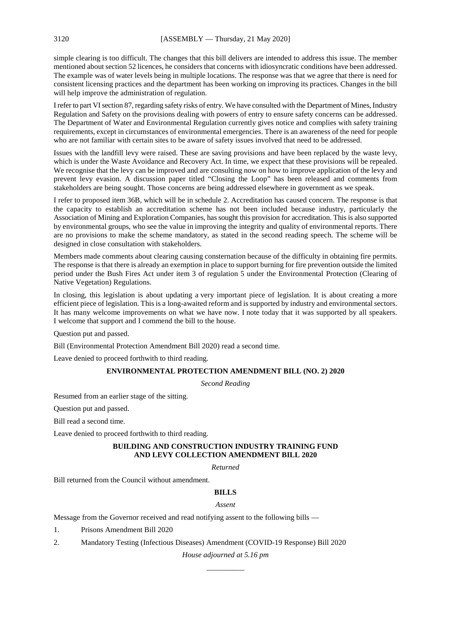simple clearing is too difficult. The changes that this bill delivers are intended to address this issue. The member mentioned about section 52 licences, he considers that concerns with idiosyncratic conditions have been addressed. The example was of water levels being in multiple locations. The response was that we agree that there is need for consistent licensing practices and the department has been working on improving its practices. Changes in the bill will help improve the administration of regulation.

I refer to part VI section 87, regarding safety risks of entry. We have consulted with the Department of Mines, Industry Regulation and Safety on the provisions dealing with powers of entry to ensure safety concerns can be addressed. The Department of Water and Environmental Regulation currently gives notice and complies with safety training requirements, except in circumstances of environmental emergencies. There is an awareness of the need for people who are not familiar with certain sites to be aware of safety issues involved that need to be addressed.

Issues with the landfill levy were raised. These are saving provisions and have been replaced by the waste levy, which is under the Waste Avoidance and Recovery Act. In time, we expect that these provisions will be repealed. We recognise that the levy can be improved and are consulting now on how to improve application of the levy and prevent levy evasion. A discussion paper titled "Closing the Loop" has been released and comments from stakeholders are being sought. Those concerns are being addressed elsewhere in government as we speak.

I refer to proposed item 36B, which will be in schedule 2. Accreditation has caused concern. The response is that the capacity to establish an accreditation scheme has not been included because industry, particularly the Association of Mining and Exploration Companies, has sought this provision for accreditation. This is also supported by environmental groups, who see the value in improving the integrity and quality of environmental reports. There are no provisions to make the scheme mandatory, as stated in the second reading speech. The scheme will be designed in close consultation with stakeholders.

Members made comments about clearing causing consternation because of the difficulty in obtaining fire permits. The response is that there is already an exemption in place to support burning for fire prevention outside the limited period under the Bush Fires Act under item 3 of regulation 5 under the Environmental Protection (Clearing of Native Vegetation) Regulations.

In closing, this legislation is about updating a very important piece of legislation. It is about creating a more efficient piece of legislation. This is a long-awaited reform and is supported by industry and environmental sectors. It has many welcome improvements on what we have now. I note today that it was supported by all speakers. I welcome that support and I commend the bill to the house.

Question put and passed.

Bill (Environmental Protection Amendment Bill 2020) read a second time.

Leave denied to proceed forthwith to third reading.

## **ENVIRONMENTAL PROTECTION AMENDMENT BILL (NO. 2) 2020**

*Second Reading*

Resumed from an earlier stage of the sitting.

Question put and passed.

Bill read a second time.

Leave denied to proceed forthwith to third reading.

## **BUILDING AND CONSTRUCTION INDUSTRY TRAINING FUND AND LEVY COLLECTION AMENDMENT BILL 2020**

*Returned*

Bill returned from the Council without amendment.

## **BILLS**

#### *Assent*

Message from the Governor received and read notifying assent to the following bills —

1. Prisons Amendment Bill 2020

2. Mandatory Testing (Infectious Diseases) Amendment (COVID-19 Response) Bill 2020

*House adjourned at 5.16 pm \_\_\_\_\_\_\_\_\_\_*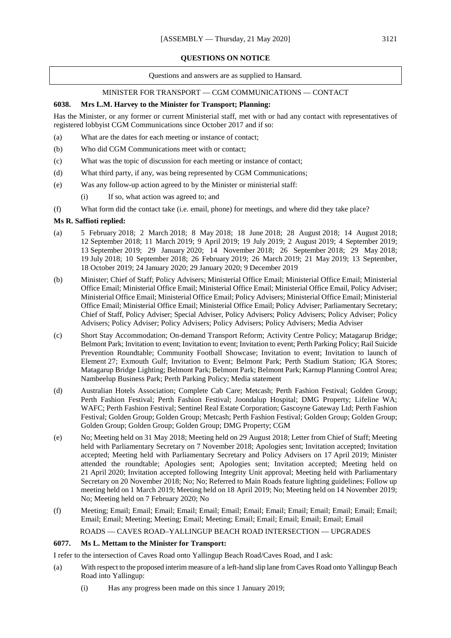## **QUESTIONS ON NOTICE**

#### Questions and answers are as supplied to Hansard.

## MINISTER FOR TRANSPORT — CGM COMMUNICATIONS — CONTACT

## **6038. Mrs L.M. Harvey to the Minister for Transport; Planning:**

Has the Minister, or any former or current Ministerial staff, met with or had any contact with representatives of registered lobbyist CGM Communications since October 2017 and if so:

- (a) What are the dates for each meeting or instance of contact;
- (b) Who did CGM Communications meet with or contact;
- (c) What was the topic of discussion for each meeting or instance of contact;
- (d) What third party, if any, was being represented by CGM Communications;
- (e) Was any follow-up action agreed to by the Minister or ministerial staff:
	- (i) If so, what action was agreed to; and
- (f) What form did the contact take (i.e. email, phone) for meetings, and where did they take place?

## **Ms R. Saffioti replied:**

- (a) 5 February 2018; 2 March 2018; 8 May 2018; 18 June 2018; 28 August 2018; 14 August 2018; 12 September 2018; 11 March 2019; 9 April 2019; 19 July 2019; 2 August 2019; 4 September 2019; 13 September 2019; 29 January 2020; 14 November 2018; 26 September 2018; 29 May 2018; 19 July 2018; 10 September 2018; 26 February 2019; 26 March 2019; 21 May 2019; 13 September, 18 October 2019; 24 January 2020; 29 January 2020; 9 December 2019
- (b) Minister; Chief of Staff; Policy Advisers; Ministerial Office Email; Ministerial Office Email; Ministerial Office Email; Ministerial Office Email; Ministerial Office Email; Ministerial Office Email, Policy Adviser; Ministerial Office Email; Ministerial Office Email; Policy Advisers; Ministerial Office Email; Ministerial Office Email; Ministerial Office Email; Ministerial Office Email; Policy Adviser; Parliamentary Secretary; Chief of Staff, Policy Adviser; Special Adviser, Policy Advisers; Policy Advisers; Policy Adviser; Policy Advisers; Policy Adviser; Policy Advisers; Policy Advisers; Policy Advisers; Media Adviser
- (c) Short Stay Accommodation; On-demand Transport Reform; Activity Centre Policy; Matagarup Bridge; Belmont Park; Invitation to event; Invitation to event; Invitation to event; Perth Parking Policy; Rail Suicide Prevention Roundtable; Community Football Showcase; Invitation to event; Invitation to launch of Element 27; Exmouth Gulf; Invitation to Event; Belmont Park; Perth Stadium Station; IGA Stores; Matagarup Bridge Lighting; Belmont Park; Belmont Park; Belmont Park; Karnup Planning Control Area; Nambeelup Business Park; Perth Parking Policy; Media statement
- (d) Australian Hotels Association; Complete Cab Care; Metcash; Perth Fashion Festival; Golden Group; Perth Fashion Festival; Perth Fashion Festival; Joondalup Hospital; DMG Property; Lifeline WA; WAFC; Perth Fashion Festival; Sentinel Real Estate Corporation; Gascoyne Gateway Ltd; Perth Fashion Festival; Golden Group; Golden Group; Metcash; Perth Fashion Festival; Golden Group; Golden Group; Golden Group; Golden Group; Golden Group; DMG Property; CGM
- (e) No; Meeting held on 31 May 2018; Meeting held on 29 August 2018; Letter from Chief of Staff; Meeting held with Parliamentary Secretary on 7 November 2018; Apologies sent; Invitation accepted; Invitation accepted; Meeting held with Parliamentary Secretary and Policy Advisers on 17 April 2019; Minister attended the roundtable; Apologies sent; Apologies sent; Invitation accepted; Meeting held on 21 April 2020; Invitation accepted following Integrity Unit approval; Meeting held with Parliamentary Secretary on 20 November 2018; No; No; Referred to Main Roads feature lighting guidelines; Follow up meeting held on 1 March 2019; Meeting held on 18 April 2019; No; Meeting held on 14 November 2019; No; Meeting held on 7 February 2020; No
- (f) Meeting; Email; Email; Email; Email; Email; Email; Email; Email; Email; Email; Email; Email; Email; Email; Email; Meeting; Meeting; Email; Meeting; Email; Email; Email; Email; Email; Email

ROADS — CAVES ROAD–YALLINGUP BEACH ROAD INTERSECTION — UPGRADES

## **6077. Ms L. Mettam to the Minister for Transport:**

I refer to the intersection of Caves Road onto Yallingup Beach Road/Caves Road, and I ask:

- (a) With respect to the proposed interim measure of a left-hand slip lane from Caves Road onto Yallingup Beach Road into Yallingup:
	- (i) Has any progress been made on this since 1 January 2019;